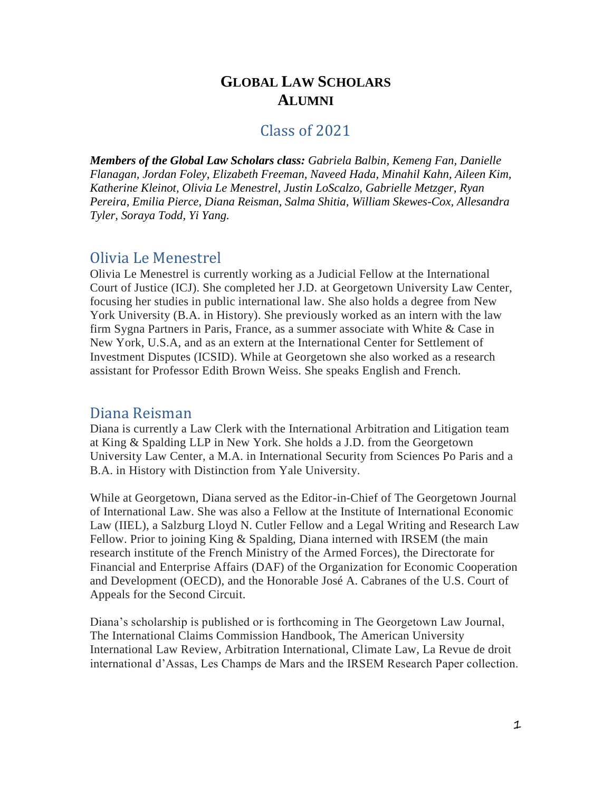### **GLOBAL LAW SCHOLARS ALUMNI**

#### Class of 2021

*Members of the Global Law Scholars class: Gabriela Balbin, Kemeng Fan, Danielle Flanagan, Jordan Foley, Elizabeth Freeman, Naveed Hada, Minahil Kahn, Aileen Kim, Katherine Kleinot, Olivia Le Menestrel, Justin LoScalzo, Gabrielle Metzger, Ryan Pereira, Emilia Pierce, Diana Reisman, Salma Shitia, William Skewes-Cox, Allesandra Tyler, Soraya Todd, Yi Yang.*

#### Olivia Le Menestrel

Olivia Le Menestrel is currently working as a Judicial Fellow at the International Court of Justice (ICJ). She completed her J.D. at Georgetown University Law Center, focusing her studies in public international law. She also holds a degree from New York University (B.A. in History). She previously worked as an intern with the law firm Sygna Partners in Paris, France, as a summer associate with White & Case in New York, U.S.A, and as an extern at the International Center for Settlement of Investment Disputes (ICSID). While at Georgetown she also worked as a research assistant for Professor Edith Brown Weiss. She speaks English and French.

#### Diana Reisman

Diana is currently a Law Clerk with the International Arbitration and Litigation team at King & Spalding LLP in New York. She holds a J.D. from the Georgetown University Law Center, a M.A. in International Security from Sciences Po Paris and a B.A. in History with Distinction from Yale University.

While at Georgetown, Diana served as the Editor-in-Chief of The Georgetown Journal of International Law. She was also a Fellow at the Institute of International Economic Law (IIEL), a Salzburg Lloyd N. Cutler Fellow and a Legal Writing and Research Law Fellow. Prior to joining King & Spalding, Diana interned with IRSEM (the main research institute of the French Ministry of the Armed Forces), the Directorate for Financial and Enterprise Affairs (DAF) of the Organization for Economic Cooperation and Development (OECD), and the Honorable José A. Cabranes of the U.S. Court of Appeals for the Second Circuit.

Diana's scholarship is published or is forthcoming in The Georgetown Law Journal, The International Claims Commission Handbook, The American University International Law Review, Arbitration International, Climate Law, La Revue de droit international d'Assas, Les Champs de Mars and the IRSEM Research Paper collection.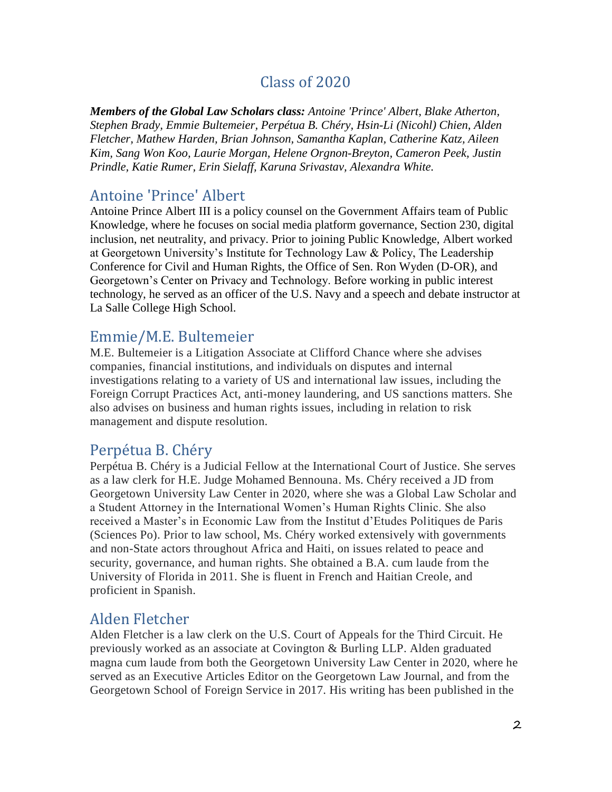# Class of 2020

*Members of the Global Law Scholars class: Antoine 'Prince' Albert, Blake Atherton, Stephen Brady, Emmie Bultemeier, Perpétua B. Chéry, Hsin-Li (Nicohl) Chien, Alden Fletcher, Mathew Harden, Brian Johnson, Samantha Kaplan, Catherine Katz, Aileen Kim, Sang Won Koo, Laurie Morgan, Helene Orgnon-Breyton, Cameron Peek, Justin Prindle, Katie Rumer, Erin Sielaff, Karuna Srivastav, Alexandra White.*

## Antoine 'Prince' Albert

Antoine Prince Albert III is a policy counsel on the Government Affairs team of Public Knowledge, where he focuses on social media platform governance, Section 230, digital inclusion, net neutrality, and privacy. Prior to joining Public Knowledge, Albert worked at Georgetown University's Institute for Technology Law & Policy, The Leadership Conference for Civil and Human Rights, the Office of Sen. Ron Wyden (D-OR), and Georgetown's Center on Privacy and Technology. Before working in public interest technology, he served as an officer of the U.S. Navy and a speech and debate instructor at La Salle College High School.

## Emmie/M.E. Bultemeier

M.E. Bultemeier is a Litigation Associate at Clifford Chance where she advises companies, financial institutions, and individuals on disputes and internal investigations relating to a variety of US and international law issues, including the Foreign Corrupt Practices Act, anti-money laundering, and US sanctions matters. She also advises on business and human rights issues, including in relation to risk management and dispute resolution.

## Perpétua B. Chéry

Perpétua B. Chéry is a Judicial Fellow at the International Court of Justice. She serves as a law clerk for H.E. Judge Mohamed Bennouna. Ms. Chéry received a JD from Georgetown University Law Center in 2020, where she was a Global Law Scholar and a Student Attorney in the International Women's Human Rights Clinic. She also received a Master's in Economic Law from the Institut d'Etudes Politiques de Paris (Sciences Po). Prior to law school, Ms. Chéry worked extensively with governments and non-State actors throughout Africa and Haiti, on issues related to peace and security, governance, and human rights. She obtained a B.A. cum laude from the University of Florida in 2011. She is fluent in French and Haitian Creole, and proficient in Spanish.

# Alden Fletcher

Alden Fletcher is a law clerk on the U.S. Court of Appeals for the Third Circuit. He previously worked as an associate at Covington & Burling LLP. Alden graduated magna cum laude from both the Georgetown University Law Center in 2020, where he served as an Executive Articles Editor on the Georgetown Law Journal, and from the Georgetown School of Foreign Service in 2017. His writing has been published in the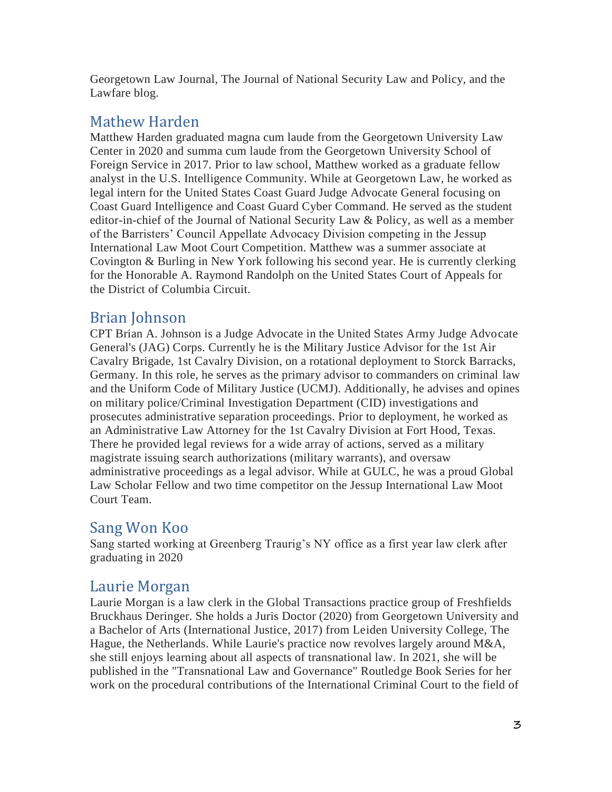Georgetown Law Journal, The Journal of National Security Law and Policy, and the Lawfare blog.

# Mathew Harden

Matthew Harden graduated magna cum laude from the Georgetown University Law Center in 2020 and summa cum laude from the Georgetown University School of Foreign Service in 2017. Prior to law school, Matthew worked as a graduate fellow analyst in the U.S. Intelligence Community. While at Georgetown Law, he worked as legal intern for the United States Coast Guard Judge Advocate General focusing on Coast Guard Intelligence and Coast Guard Cyber Command. He served as the student editor-in-chief of the Journal of National Security Law & Policy, as well as a member of the Barristers' Council Appellate Advocacy Division competing in the Jessup International Law Moot Court Competition. Matthew was a summer associate at Covington & Burling in New York following his second year. He is currently clerking for the Honorable A. Raymond Randolph on the United States Court of Appeals for the District of Columbia Circuit.

## Brian Johnson

CPT Brian A. Johnson is a Judge Advocate in the United States Army Judge Advocate General's (JAG) Corps. Currently he is the Military Justice Advisor for the 1st Air Cavalry Brigade, 1st Cavalry Division, on a rotational deployment to Storck Barracks, Germany. In this role, he serves as the primary advisor to commanders on criminal law and the Uniform Code of Military Justice (UCMJ). Additionally, he advises and opines on military police/Criminal Investigation Department (CID) investigations and prosecutes administrative separation proceedings. Prior to deployment, he worked as an Administrative Law Attorney for the 1st Cavalry Division at Fort Hood, Texas. There he provided legal reviews for a wide array of actions, served as a military magistrate issuing search authorizations (military warrants), and oversaw administrative proceedings as a legal advisor. While at GULC, he was a proud Global Law Scholar Fellow and two time competitor on the Jessup International Law Moot Court Team.

## Sang Won Koo

Sang started working at Greenberg Traurig's NY office as a first year law clerk after graduating in 2020

# Laurie Morgan

Laurie Morgan is a law clerk in the Global Transactions practice group of Freshfields Bruckhaus Deringer. She holds a Juris Doctor (2020) from Georgetown University and a Bachelor of Arts (International Justice, 2017) from Leiden University College, The Hague, the Netherlands. While Laurie's practice now revolves largely around M&A, she still enjoys learning about all aspects of transnational law. In 2021, she will be published in the "Transnational Law and Governance" Routledge Book Series for her work on the procedural contributions of the International Criminal Court to the field of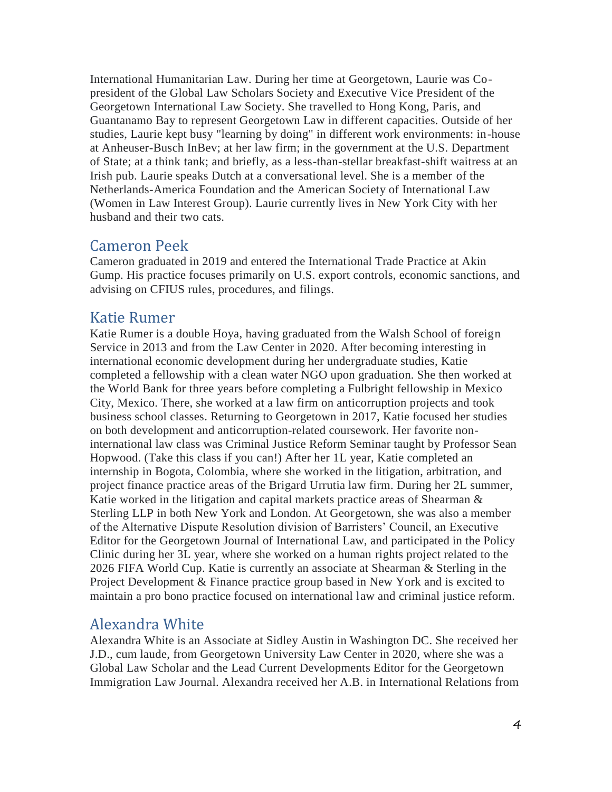International Humanitarian Law. During her time at Georgetown, Laurie was Copresident of the Global Law Scholars Society and Executive Vice President of the Georgetown International Law Society. She travelled to Hong Kong, Paris, and Guantanamo Bay to represent Georgetown Law in different capacities. Outside of her studies, Laurie kept busy "learning by doing" in different work environments: in-house at Anheuser-Busch InBev; at her law firm; in the government at the U.S. Department of State; at a think tank; and briefly, as a less-than-stellar breakfast-shift waitress at an Irish pub. Laurie speaks Dutch at a conversational level. She is a member of the Netherlands-America Foundation and the American Society of International Law (Women in Law Interest Group). Laurie currently lives in New York City with her husband and their two cats.

### Cameron Peek

Cameron graduated in 2019 and entered the International Trade Practice at Akin Gump. His practice focuses primarily on U.S. export controls, economic sanctions, and advising on CFIUS rules, procedures, and filings.

### Katie Rumer

Katie Rumer is a double Hoya, having graduated from the Walsh School of foreign Service in 2013 and from the Law Center in 2020. After becoming interesting in international economic development during her undergraduate studies, Katie completed a fellowship with a clean water NGO upon graduation. She then worked at the World Bank for three years before completing a Fulbright fellowship in Mexico City, Mexico. There, she worked at a law firm on anticorruption projects and took business school classes. Returning to Georgetown in 2017, Katie focused her studies on both development and anticorruption-related coursework. Her favorite noninternational law class was Criminal Justice Reform Seminar taught by Professor Sean Hopwood. (Take this class if you can!) After her 1L year, Katie completed an internship in Bogota, Colombia, where she worked in the litigation, arbitration, and project finance practice areas of the Brigard Urrutia law firm. During her 2L summer, Katie worked in the litigation and capital markets practice areas of Shearman & Sterling LLP in both New York and London. At Georgetown, she was also a member of the Alternative Dispute Resolution division of Barristers' Council, an Executive Editor for the Georgetown Journal of International Law, and participated in the Policy Clinic during her 3L year, where she worked on a human rights project related to the 2026 FIFA World Cup. Katie is currently an associate at Shearman & Sterling in the Project Development & Finance practice group based in New York and is excited to maintain a pro bono practice focused on international law and criminal justice reform.

### Alexandra White

Alexandra White is an Associate at Sidley Austin in Washington DC. She received her J.D., cum laude, from Georgetown University Law Center in 2020, where she was a Global Law Scholar and the Lead Current Developments Editor for the Georgetown Immigration Law Journal. Alexandra received her A.B. in International Relations from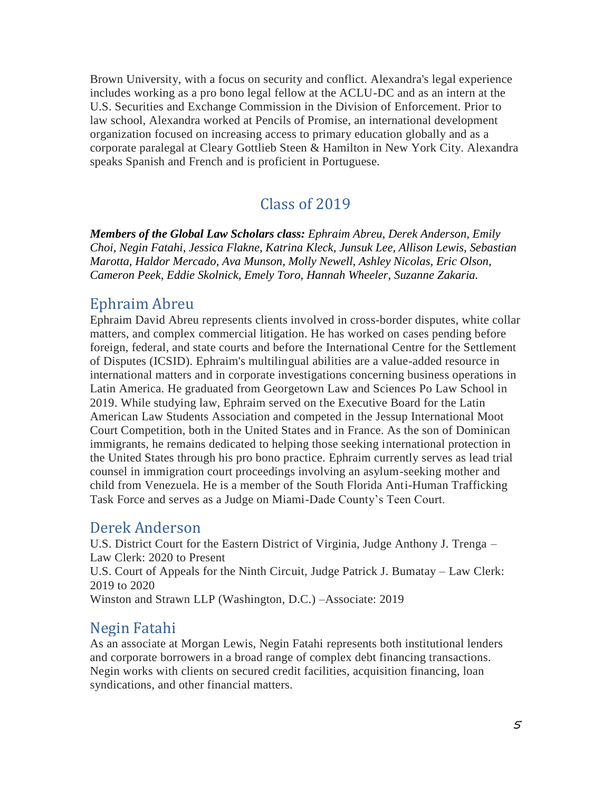Brown University, with a focus on security and conflict. Alexandra's legal experience includes working as a pro bono legal fellow at the ACLU-DC and as an intern at the U.S. Securities and Exchange Commission in the Division of Enforcement. Prior to law school, Alexandra worked at Pencils of Promise, an international development organization focused on increasing access to primary education globally and as a corporate paralegal at Cleary Gottlieb Steen & Hamilton in New York City. Alexandra speaks Spanish and French and is proficient in Portuguese.

## Class of 2019

*Members of the Global Law Scholars class: Ephraim Abreu, Derek Anderson, Emily Choi, Negin Fatahi, Jessica Flakne, Katrina Kleck, Junsuk Lee, Allison Lewis, Sebastian Marotta, Haldor Mercado, Ava Munson, Molly Newell, Ashley Nicolas, Eric Olson, Cameron Peek, Eddie Skolnick, Emely Toro, Hannah Wheeler, Suzanne Zakaria.*

#### Ephraim Abreu

Ephraim David Abreu represents clients involved in cross-border disputes, white collar matters, and complex commercial litigation. He has worked on cases pending before foreign, federal, and state courts and before the International Centre for the Settlement of Disputes (ICSID). Ephraim's multilingual abilities are a value-added resource in international matters and in corporate investigations concerning business operations in Latin America. He graduated from Georgetown Law and Sciences Po Law School in 2019. While studying law, Ephraim served on the Executive Board for the Latin American Law Students Association and competed in the Jessup International Moot Court Competition, both in the United States and in France. As the son of Dominican immigrants, he remains dedicated to helping those seeking international protection in the United States through his pro bono practice. Ephraim currently serves as lead trial counsel in immigration court proceedings involving an asylum-seeking mother and child from Venezuela. He is a member of the South Florida Anti-Human Trafficking Task Force and serves as a Judge on Miami-Dade County's Teen Court.

#### Derek Anderson

U.S. District Court for the Eastern District of Virginia, Judge Anthony J. Trenga – Law Clerk: 2020 to Present U.S. Court of Appeals for the Ninth Circuit, Judge Patrick J. Bumatay – Law Clerk: 2019 to 2020 Winston and Strawn LLP (Washington, D.C.) –Associate: 2019

### Negin Fatahi

As an associate at Morgan Lewis, Negin Fatahi represents both institutional lenders and corporate borrowers in a broad range of complex debt financing transactions. Negin works with clients on secured credit facilities, acquisition financing, loan syndications, and other financial matters.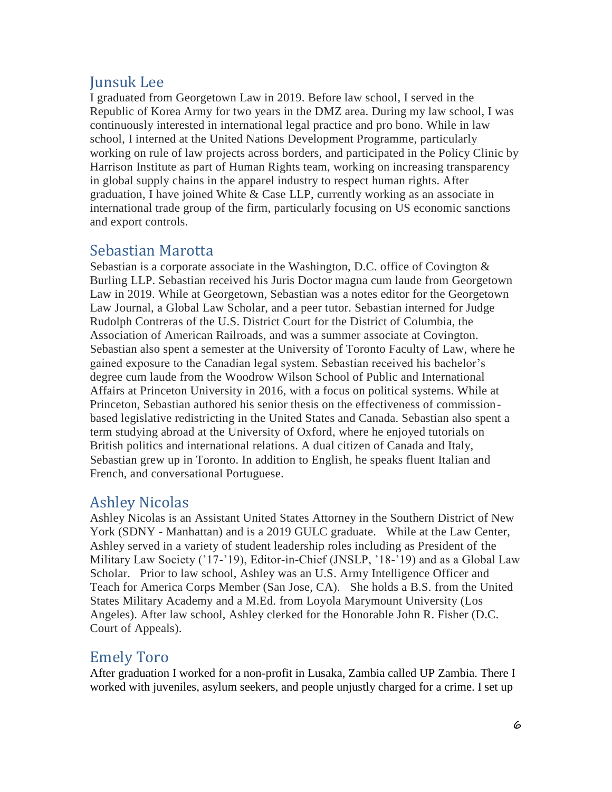# Junsuk Lee

I graduated from Georgetown Law in 2019. Before law school, I served in the Republic of Korea Army for two years in the DMZ area. During my law school, I was continuously interested in international legal practice and pro bono. While in law school, I interned at the United Nations Development Programme, particularly working on rule of law projects across borders, and participated in the Policy Clinic by Harrison Institute as part of Human Rights team, working on increasing transparency in global supply chains in the apparel industry to respect human rights. After graduation, I have joined White & Case LLP, currently working as an associate in international trade group of the firm, particularly focusing on US economic sanctions and export controls.

## Sebastian Marotta

Sebastian is a corporate associate in the Washington, D.C. office of Covington & Burling LLP. Sebastian received his Juris Doctor magna cum laude from Georgetown Law in 2019. While at Georgetown, Sebastian was a notes editor for the Georgetown Law Journal, a Global Law Scholar, and a peer tutor. Sebastian interned for Judge Rudolph Contreras of the U.S. District Court for the District of Columbia, the Association of American Railroads, and was a summer associate at Covington. Sebastian also spent a semester at the University of Toronto Faculty of Law, where he gained exposure to the Canadian legal system. Sebastian received his bachelor's degree cum laude from the Woodrow Wilson School of Public and International Affairs at Princeton University in 2016, with a focus on political systems. While at Princeton, Sebastian authored his senior thesis on the effectiveness of commissionbased legislative redistricting in the United States and Canada. Sebastian also spent a term studying abroad at the University of Oxford, where he enjoyed tutorials on British politics and international relations. A dual citizen of Canada and Italy, Sebastian grew up in Toronto. In addition to English, he speaks fluent Italian and French, and conversational Portuguese.

## Ashley Nicolas

Ashley Nicolas is an Assistant United States Attorney in the Southern District of New York (SDNY - Manhattan) and is a 2019 GULC graduate. While at the Law Center, Ashley served in a variety of student leadership roles including as President of the Military Law Society ('17-'19), Editor-in-Chief (JNSLP, '18-'19) and as a Global Law Scholar. Prior to law school, Ashley was an U.S. Army Intelligence Officer and Teach for America Corps Member (San Jose, CA). She holds a B.S. from the United States Military Academy and a M.Ed. from Loyola Marymount University (Los Angeles). After law school, Ashley clerked for the Honorable John R. Fisher (D.C. Court of Appeals).

## Emely Toro

After graduation I worked for a non-profit in Lusaka, Zambia called UP Zambia. There I worked with juveniles, asylum seekers, and people unjustly charged for a crime. I set up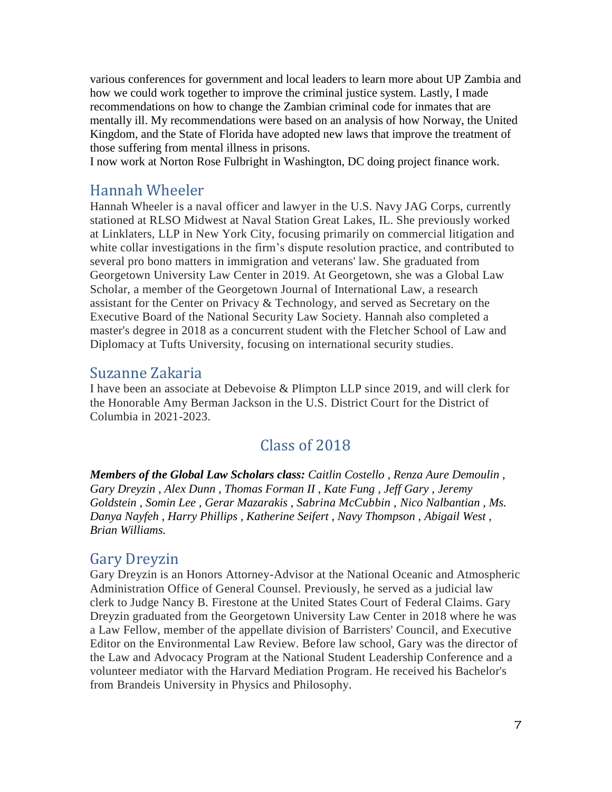various conferences for government and local leaders to learn more about UP Zambia and how we could work together to improve the criminal justice system. Lastly, I made recommendations on how to change the Zambian criminal code for inmates that are mentally ill. My recommendations were based on an analysis of how Norway, the United Kingdom, and the State of Florida have adopted new laws that improve the treatment of those suffering from mental illness in prisons.

I now work at Norton Rose Fulbright in Washington, DC doing project finance work.

### Hannah Wheeler

Hannah Wheeler is a naval officer and lawyer in the U.S. Navy JAG Corps, currently stationed at RLSO Midwest at Naval Station Great Lakes, IL. She previously worked at Linklaters, LLP in New York City, focusing primarily on commercial litigation and white collar investigations in the firm's dispute resolution practice, and contributed to several pro bono matters in immigration and veterans' law. She graduated from Georgetown University Law Center in 2019. At Georgetown, she was a Global Law Scholar, a member of the Georgetown Journal of International Law, a research assistant for the Center on Privacy & Technology, and served as Secretary on the Executive Board of the National Security Law Society. Hannah also completed a master's degree in 2018 as a concurrent student with the Fletcher School of Law and Diplomacy at Tufts University, focusing on international security studies.

### Suzanne Zakaria

I have been an associate at Debevoise & Plimpton LLP since 2019, and will clerk for the Honorable Amy Berman Jackson in the U.S. District Court for the District of Columbia in 2021-2023.

## Class of 2018

*Members of the Global Law Scholars class: Caitlin Costello , Renza Aure Demoulin , Gary Dreyzin , Alex Dunn , Thomas Forman II , Kate Fung , Jeff Gary , Jeremy Goldstein , Somin Lee , Gerar Mazarakis , Sabrina McCubbin , Nico Nalbantian , Ms. Danya Nayfeh , Harry Phillips , Katherine Seifert , Navy Thompson , Abigail West , Brian Williams.*

### Gary Dreyzin

Gary Dreyzin is an Honors Attorney-Advisor at the National Oceanic and Atmospheric Administration Office of General Counsel. Previously, he served as a judicial law clerk to Judge Nancy B. Firestone at the United States Court of Federal Claims. Gary Dreyzin graduated from the Georgetown University Law Center in 2018 where he was a Law Fellow, member of the appellate division of Barristers' Council, and Executive Editor on the Environmental Law Review. Before law school, Gary was the director of the Law and Advocacy Program at the National Student Leadership Conference and a volunteer mediator with the Harvard Mediation Program. He received his Bachelor's from Brandeis University in Physics and Philosophy.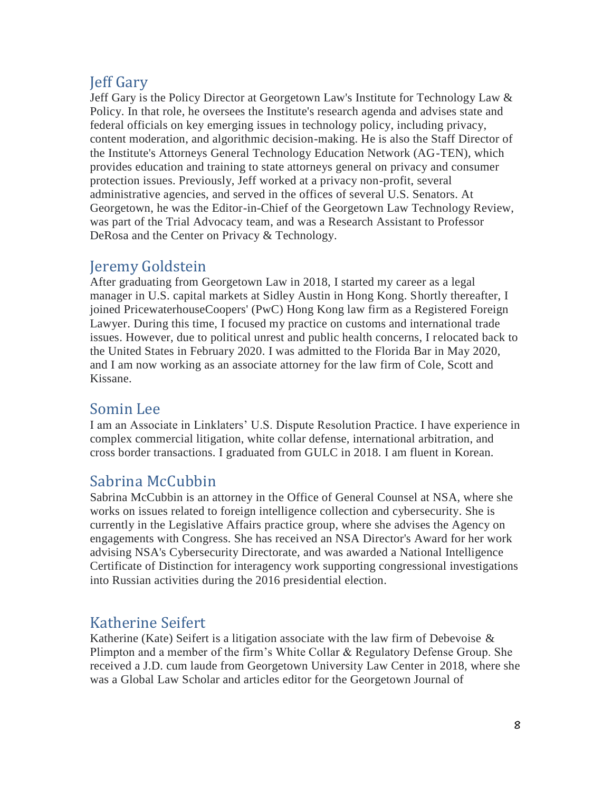# Jeff Gary

Jeff Gary is the Policy Director at Georgetown Law's Institute for Technology Law & Policy. In that role, he oversees the Institute's research agenda and advises state and federal officials on key emerging issues in technology policy, including privacy, content moderation, and algorithmic decision-making. He is also the Staff Director of the Institute's Attorneys General Technology Education Network (AG-TEN), which provides education and training to state attorneys general on privacy and consumer protection issues. Previously, Jeff worked at a privacy non-profit, several administrative agencies, and served in the offices of several U.S. Senators. At Georgetown, he was the Editor-in-Chief of the Georgetown Law Technology Review, was part of the Trial Advocacy team, and was a Research Assistant to Professor DeRosa and the Center on Privacy & Technology.

# Jeremy Goldstein

After graduating from Georgetown Law in 2018, I started my career as a legal manager in U.S. capital markets at Sidley Austin in Hong Kong. Shortly thereafter, I joined PricewaterhouseCoopers' (PwC) Hong Kong law firm as a Registered Foreign Lawyer. During this time, I focused my practice on customs and international trade issues. However, due to political unrest and public health concerns, I relocated back to the United States in February 2020. I was admitted to the Florida Bar in May 2020, and I am now working as an associate attorney for the law firm of Cole, Scott and Kissane.

## Somin Lee

I am an Associate in Linklaters' U.S. Dispute Resolution Practice. I have experience in complex commercial litigation, white collar defense, international arbitration, and cross border transactions. I graduated from GULC in 2018. I am fluent in Korean.

# Sabrina McCubbin

Sabrina McCubbin is an attorney in the Office of General Counsel at NSA, where she works on issues related to foreign intelligence collection and cybersecurity. She is currently in the Legislative Affairs practice group, where she advises the Agency on engagements with Congress. She has received an NSA Director's Award for her work advising NSA's Cybersecurity Directorate, and was awarded a National Intelligence Certificate of Distinction for interagency work supporting congressional investigations into Russian activities during the 2016 presidential election.

## Katherine Seifert

Katherine (Kate) Seifert is a litigation associate with the law firm of Debevoise  $\&$ Plimpton and a member of the firm's White Collar & Regulatory Defense Group. She received a J.D. cum laude from Georgetown University Law Center in 2018, where she was a Global Law Scholar and articles editor for the Georgetown Journal of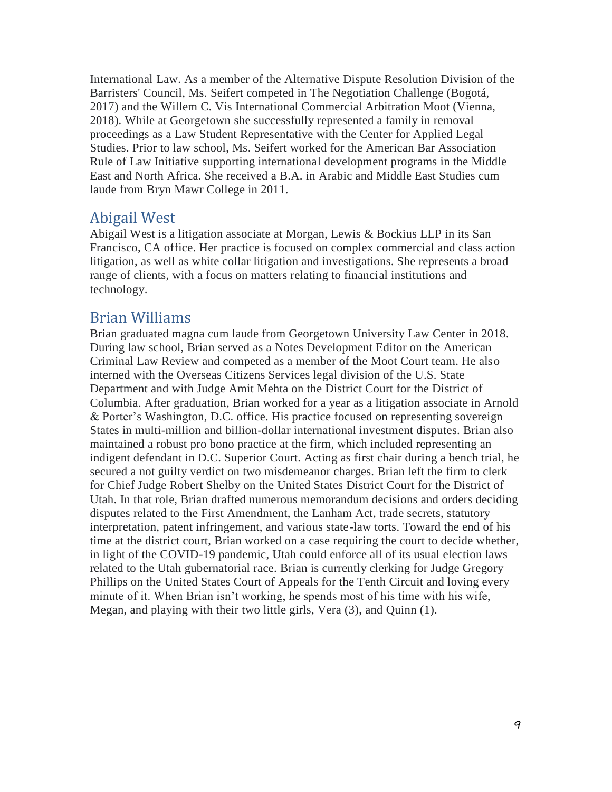International Law. As a member of the Alternative Dispute Resolution Division of the Barristers' Council, Ms. Seifert competed in The Negotiation Challenge (Bogotá, 2017) and the Willem C. Vis International Commercial Arbitration Moot (Vienna, 2018). While at Georgetown she successfully represented a family in removal proceedings as a Law Student Representative with the Center for Applied Legal Studies. Prior to law school, Ms. Seifert worked for the American Bar Association Rule of Law Initiative supporting international development programs in the Middle East and North Africa. She received a B.A. in Arabic and Middle East Studies cum laude from Bryn Mawr College in 2011.

#### Abigail West

Abigail West is a litigation associate at Morgan, Lewis & Bockius LLP in its San Francisco, CA office. Her practice is focused on complex commercial and class action litigation, as well as white collar litigation and investigations. She represents a broad range of clients, with a focus on matters relating to financial institutions and technology.

### Brian Williams

Brian graduated magna cum laude from Georgetown University Law Center in 2018. During law school, Brian served as a Notes Development Editor on the American Criminal Law Review and competed as a member of the Moot Court team. He also interned with the Overseas Citizens Services legal division of the U.S. State Department and with Judge Amit Mehta on the District Court for the District of Columbia. After graduation, Brian worked for a year as a litigation associate in Arnold & Porter's Washington, D.C. office. His practice focused on representing sovereign States in multi-million and billion-dollar international investment disputes. Brian also maintained a robust pro bono practice at the firm, which included representing an indigent defendant in D.C. Superior Court. Acting as first chair during a bench trial, he secured a not guilty verdict on two misdemeanor charges. Brian left the firm to clerk for Chief Judge Robert Shelby on the United States District Court for the District of Utah. In that role, Brian drafted numerous memorandum decisions and orders deciding disputes related to the First Amendment, the Lanham Act, trade secrets, statutory interpretation, patent infringement, and various state-law torts. Toward the end of his time at the district court, Brian worked on a case requiring the court to decide whether, in light of the COVID-19 pandemic, Utah could enforce all of its usual election laws related to the Utah gubernatorial race. Brian is currently clerking for Judge Gregory Phillips on the United States Court of Appeals for the Tenth Circuit and loving every minute of it. When Brian isn't working, he spends most of his time with his wife, Megan, and playing with their two little girls, Vera (3), and Quinn (1).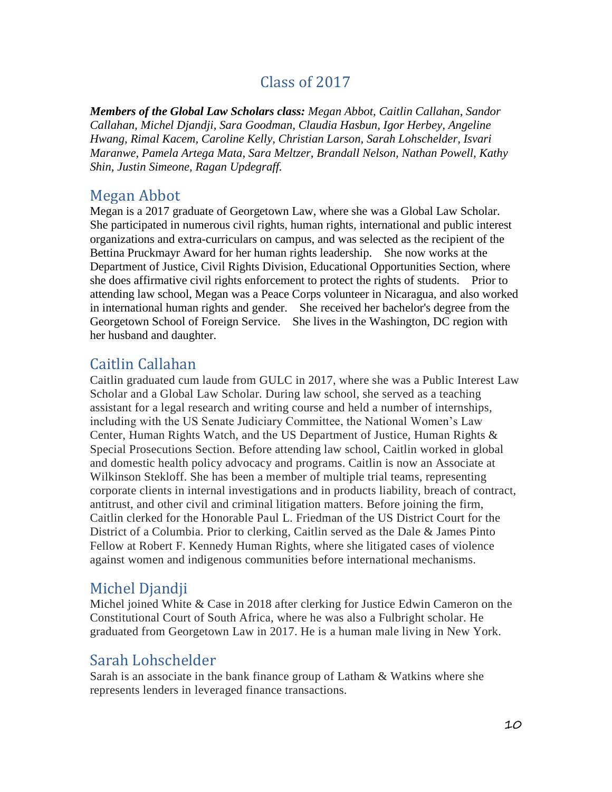## Class of 2017

*Members of the Global Law Scholars class: Megan Abbot, Caitlin Callahan, Sandor Callahan, Michel Djandji, Sara Goodman, Claudia Hasbun, Igor Herbey, Angeline Hwang, Rimal Kacem, Caroline Kelly, Christian Larson, Sarah Lohschelder, Isvari Maranwe, Pamela Artega Mata, Sara Meltzer, Brandall Nelson, Nathan Powell, Kathy Shin, Justin Simeone, Ragan Updegraff.*

### Megan Abbot

Megan is a 2017 graduate of Georgetown Law, where she was a Global Law Scholar. She participated in numerous civil rights, human rights, international and public interest organizations and extra-curriculars on campus, and was selected as the recipient of the Bettina Pruckmayr Award for her human rights leadership. She now works at the Department of Justice, Civil Rights Division, Educational Opportunities Section, where she does affirmative civil rights enforcement to protect the rights of students. Prior to attending law school, Megan was a Peace Corps volunteer in Nicaragua, and also worked in international human rights and gender. She received her bachelor's degree from the Georgetown School of Foreign Service. She lives in the Washington, DC region with her husband and daughter.

### Caitlin Callahan

Caitlin graduated cum laude from GULC in 2017, where she was a Public Interest Law Scholar and a Global Law Scholar. During law school, she served as a teaching assistant for a legal research and writing course and held a number of internships, including with the US Senate Judiciary Committee, the National Women's Law Center, Human Rights Watch, and the US Department of Justice, Human Rights & Special Prosecutions Section. Before attending law school, Caitlin worked in global and domestic health policy advocacy and programs. Caitlin is now an Associate at Wilkinson Stekloff. She has been a member of multiple trial teams, representing corporate clients in internal investigations and in products liability, breach of contract, antitrust, and other civil and criminal litigation matters. Before joining the firm, Caitlin clerked for the Honorable Paul L. Friedman of the US District Court for the District of a Columbia. Prior to clerking, Caitlin served as the Dale & James Pinto Fellow at Robert F. Kennedy Human Rights, where she litigated cases of violence against women and indigenous communities before international mechanisms.

## Michel Djandji

Michel joined White & Case in 2018 after clerking for Justice Edwin Cameron on the Constitutional Court of South Africa, where he was also a Fulbright scholar. He graduated from Georgetown Law in 2017. He is a human male living in New York.

## Sarah Lohschelder

Sarah is an associate in the bank finance group of Latham & Watkins where she represents lenders in leveraged finance transactions.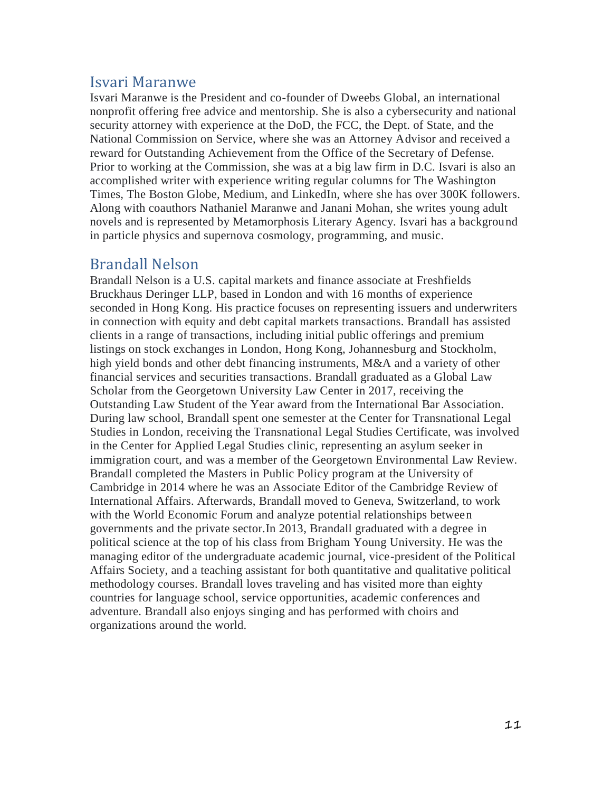### Isvari Maranwe

Isvari Maranwe is the President and co-founder of Dweebs Global, an international nonprofit offering free advice and mentorship. She is also a cybersecurity and national security attorney with experience at the DoD, the FCC, the Dept. of State, and the National Commission on Service, where she was an Attorney Advisor and received a reward for Outstanding Achievement from the Office of the Secretary of Defense. Prior to working at the Commission, she was at a big law firm in D.C. Isvari is also an accomplished writer with experience writing regular columns for The Washington Times, The Boston Globe, Medium, and LinkedIn, where she has over 300K followers. Along with coauthors Nathaniel Maranwe and Janani Mohan, she writes young adult novels and is represented by Metamorphosis Literary Agency. Isvari has a background in particle physics and supernova cosmology, programming, and music.

### Brandall Nelson

Brandall Nelson is a U.S. capital markets and finance associate at Freshfields Bruckhaus Deringer LLP, based in London and with 16 months of experience seconded in Hong Kong. His practice focuses on representing issuers and underwriters in connection with equity and debt capital markets transactions. Brandall has assisted clients in a range of transactions, including initial public offerings and premium listings on stock exchanges in London, Hong Kong, Johannesburg and Stockholm, high yield bonds and other debt financing instruments, M&A and a variety of other financial services and securities transactions. Brandall graduated as a Global Law Scholar from the Georgetown University Law Center in 2017, receiving the Outstanding Law Student of the Year award from the International Bar Association. During law school, Brandall spent one semester at the Center for Transnational Legal Studies in London, receiving the Transnational Legal Studies Certificate, was involved in the Center for Applied Legal Studies clinic, representing an asylum seeker in immigration court, and was a member of the Georgetown Environmental Law Review. Brandall completed the Masters in Public Policy program at the University of Cambridge in 2014 where he was an Associate Editor of the Cambridge Review of International Affairs. Afterwards, Brandall moved to Geneva, Switzerland, to work with the World Economic Forum and analyze potential relationships between governments and the private sector.In 2013, Brandall graduated with a degree in political science at the top of his class from Brigham Young University. He was the managing editor of the undergraduate academic journal, vice-president of the Political Affairs Society, and a teaching assistant for both quantitative and qualitative political methodology courses. Brandall loves traveling and has visited more than eighty countries for language school, service opportunities, academic conferences and adventure. Brandall also enjoys singing and has performed with choirs and organizations around the world.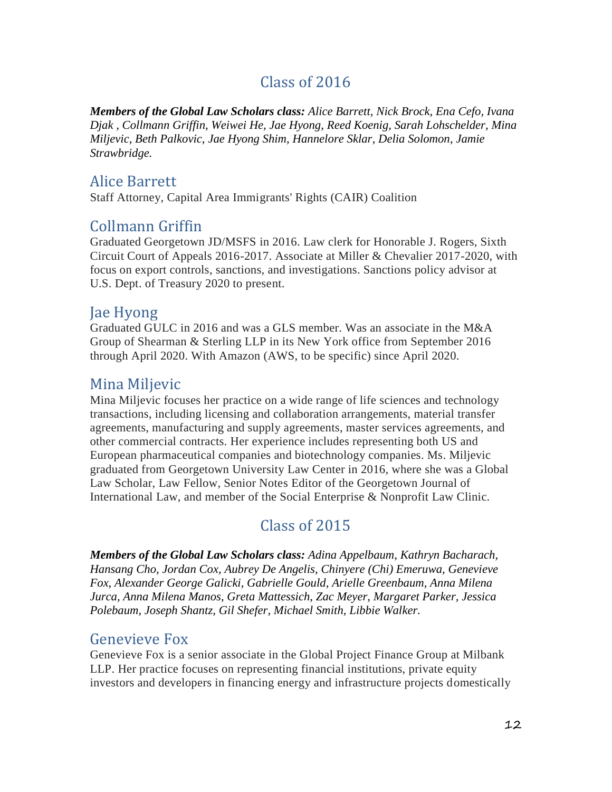# Class of 2016

*Members of the Global Law Scholars class: Alice Barrett, Nick Brock, Ena Cefo, Ivana Djak , Collmann Griffin, Weiwei He, Jae Hyong, Reed Koenig, Sarah Lohschelder, Mina Miljevic, Beth Palkovic, Jae Hyong Shim, Hannelore Sklar, Delia Solomon, Jamie Strawbridge.*

### Alice Barrett

Staff Attorney, Capital Area Immigrants' Rights (CAIR) Coalition

## Collmann Griffin

Graduated Georgetown JD/MSFS in 2016. Law clerk for Honorable J. Rogers, Sixth Circuit Court of Appeals 2016-2017. Associate at Miller & Chevalier 2017-2020, with focus on export controls, sanctions, and investigations. Sanctions policy advisor at U.S. Dept. of Treasury 2020 to present.

## Jae Hyong

Graduated GULC in 2016 and was a GLS member. Was an associate in the M&A Group of Shearman & Sterling LLP in its New York office from September 2016 through April 2020. With Amazon (AWS, to be specific) since April 2020.

## Mina Miljevic

Mina Miljevic focuses her practice on a wide range of life sciences and technology transactions, including licensing and collaboration arrangements, material transfer agreements, manufacturing and supply agreements, master services agreements, and other commercial contracts. Her experience includes representing both US and European pharmaceutical companies and biotechnology companies. Ms. Miljevic graduated from Georgetown University Law Center in 2016, where she was a Global Law Scholar, Law Fellow, Senior Notes Editor of the Georgetown Journal of International Law, and member of the Social Enterprise & Nonprofit Law Clinic.

# Class of 2015

*Members of the Global Law Scholars class: Adina Appelbaum, Kathryn Bacharach, Hansang Cho, Jordan Cox, Aubrey De Angelis, Chinyere (Chi) Emeruwa, Genevieve Fox, Alexander George Galicki, Gabrielle Gould, Arielle Greenbaum, Anna Milena Jurca, Anna Milena Manos, Greta Mattessich, Zac Meyer, Margaret Parker, Jessica Polebaum, Joseph Shantz, Gil Shefer, Michael Smith, Libbie Walker.*

### Genevieve Fox

Genevieve Fox is a senior associate in the Global Project Finance Group at Milbank LLP. Her practice focuses on representing financial institutions, private equity investors and developers in financing energy and infrastructure projects domestically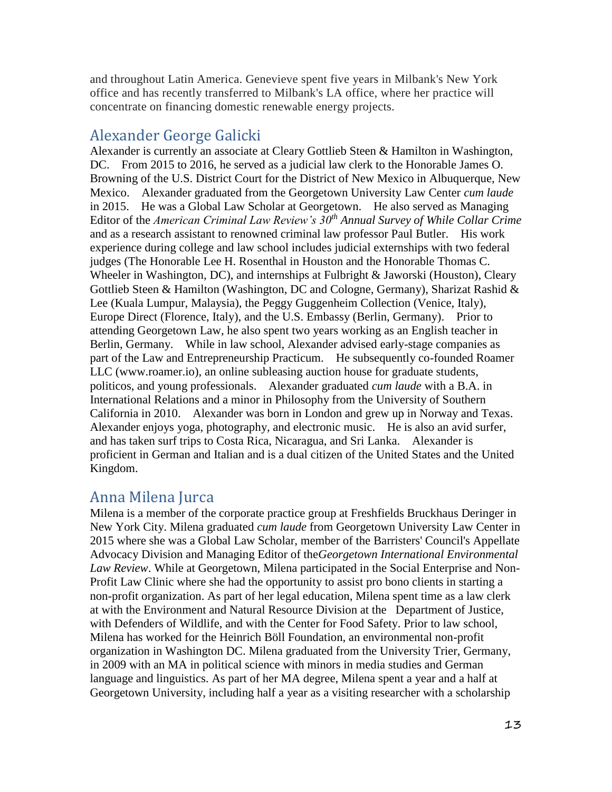and throughout Latin America. Genevieve spent five years in Milbank's New York office and has recently transferred to Milbank's LA office, where her practice will concentrate on financing domestic renewable energy projects.

### Alexander George Galicki

Alexander is currently an associate at Cleary Gottlieb Steen & Hamilton in Washington, DC. From 2015 to 2016, he served as a judicial law clerk to the Honorable James O. Browning of the U.S. District Court for the District of New Mexico in Albuquerque, New Mexico. Alexander graduated from the Georgetown University Law Center *cum laude* in 2015. He was a Global Law Scholar at Georgetown. He also served as Managing Editor of the *American Criminal Law Review's 30th Annual Survey of While Collar Crime* and as a research assistant to renowned criminal law professor Paul Butler. His work experience during college and law school includes judicial externships with two federal judges (The Honorable Lee H. Rosenthal in Houston and the Honorable Thomas C. Wheeler in Washington, DC), and internships at Fulbright & Jaworski (Houston), Cleary Gottlieb Steen & Hamilton (Washington, DC and Cologne, Germany), Sharizat Rashid & Lee (Kuala Lumpur, Malaysia), the Peggy Guggenheim Collection (Venice, Italy), Europe Direct (Florence, Italy), and the U.S. Embassy (Berlin, Germany). Prior to attending Georgetown Law, he also spent two years working as an English teacher in Berlin, Germany. While in law school, Alexander advised early-stage companies as part of the Law and Entrepreneurship Practicum. He subsequently co-founded Roamer LLC (www.roamer.io), an online subleasing auction house for graduate students, politicos, and young professionals. Alexander graduated *cum laude* with a B.A. in International Relations and a minor in Philosophy from the University of Southern California in 2010. Alexander was born in London and grew up in Norway and Texas. Alexander enjoys yoga, photography, and electronic music. He is also an avid surfer, and has taken surf trips to Costa Rica, Nicaragua, and Sri Lanka. Alexander is proficient in German and Italian and is a dual citizen of the United States and the United Kingdom.

### Anna Milena Jurca

Milena is a member of the corporate practice group at Freshfields Bruckhaus Deringer in New York City. Milena graduated *cum laude* from Georgetown University Law Center in 2015 where she was a Global Law Scholar, member of the Barristers' Council's Appellate Advocacy Division and Managing Editor of the*Georgetown International Environmental Law Review*. While at Georgetown, Milena participated in the Social Enterprise and Non-Profit Law Clinic where she had the opportunity to assist pro bono clients in starting a non-profit organization. As part of her legal education, Milena spent time as a law clerk at with the Environment and Natural Resource Division at the Department of Justice, with Defenders of Wildlife, and with the Center for Food Safety. Prior to law school, Milena has worked for the Heinrich Böll Foundation, an environmental non-profit organization in Washington DC. Milena graduated from the University Trier, Germany, in 2009 with an MA in political science with minors in media studies and German language and linguistics. As part of her MA degree, Milena spent a year and a half at Georgetown University, including half a year as a visiting researcher with a scholarship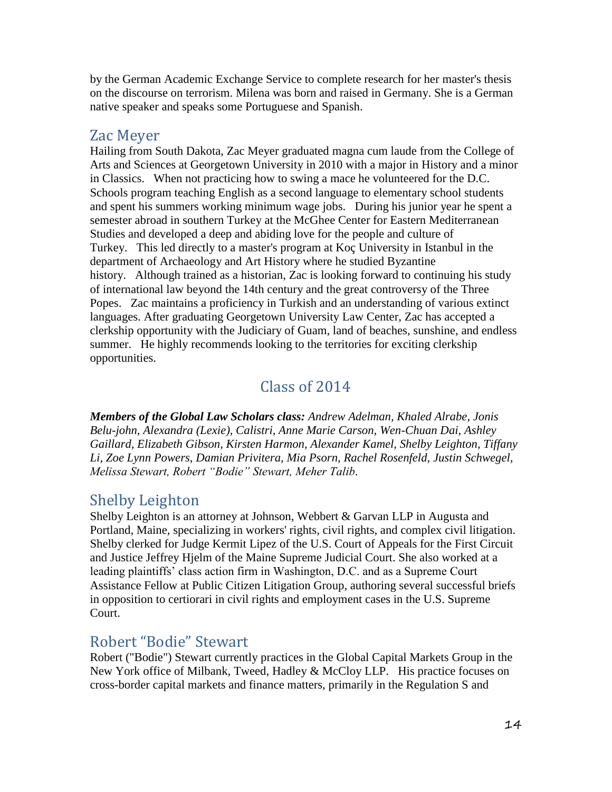by the German Academic Exchange Service to complete research for her master's thesis on the discourse on terrorism. Milena was born and raised in Germany. She is a German native speaker and speaks some Portuguese and Spanish.

#### Zac Meyer

Hailing from South Dakota, Zac Meyer graduated magna cum laude from the College of Arts and Sciences at Georgetown University in 2010 with a major in History and a minor in Classics. When not practicing how to swing a mace he volunteered for the D.C. Schools program teaching English as a second language to elementary school students and spent his summers working minimum wage jobs. During his junior year he spent a semester abroad in southern Turkey at the McGhee Center for Eastern Mediterranean Studies and developed a deep and abiding love for the people and culture of Turkey. This led directly to a master's program at Koç University in Istanbul in the department of Archaeology and Art History where he studied Byzantine history. Although trained as a historian, Zac is looking forward to continuing his study of international law beyond the 14th century and the great controversy of the Three Popes. Zac maintains a proficiency in Turkish and an understanding of various extinct languages. After graduating Georgetown University Law Center, Zac has accepted a clerkship opportunity with the Judiciary of Guam, land of beaches, sunshine, and endless summer. He highly recommends looking to the territories for exciting clerkship opportunities.

## Class of 2014

*Members of the Global Law Scholars class: Andrew Adelman, Khaled Alrabe, Jonis Belu-john, Alexandra (Lexie), Calistri, Anne Marie Carson, Wen-Chuan Dai, Ashley Gaillard, Elizabeth Gibson, Kirsten Harmon, Alexander Kamel, Shelby Leighton, Tiffany Li, Zoe Lynn Powers, Damian Privitera, Mia Psorn, Rachel Rosenfeld, Justin Schwegel, Melissa Stewart, Robert "Bodie" Stewart, Meher Talib.*

## Shelby Leighton

Shelby Leighton is an attorney at Johnson, Webbert & Garvan LLP in Augusta and Portland, Maine, specializing in workers' rights, civil rights, and complex civil litigation. Shelby clerked for Judge Kermit Lipez of the U.S. Court of Appeals for the First Circuit and Justice Jeffrey Hjelm of the Maine Supreme Judicial Court. She also worked at a leading plaintiffs' class action firm in Washington, D.C. and as a Supreme Court Assistance Fellow at Public Citizen Litigation Group, authoring several successful briefs in opposition to certiorari in civil rights and employment cases in the U.S. Supreme Court.

## Robert "Bodie" Stewart

Robert ("Bodie") Stewart currently practices in the Global Capital Markets Group in the New York office of Milbank, Tweed, Hadley & McCloy LLP. His practice focuses on cross-border capital markets and finance matters, primarily in the Regulation S and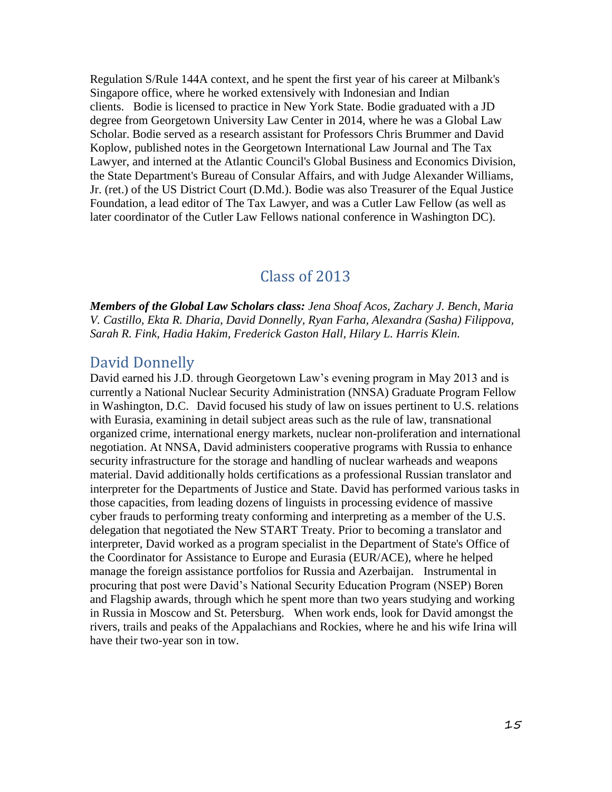Regulation S/Rule 144A context, and he spent the first year of his career at Milbank's Singapore office, where he worked extensively with Indonesian and Indian clients. Bodie is licensed to practice in New York State. Bodie graduated with a JD degree from Georgetown University Law Center in 2014, where he was a Global Law Scholar. Bodie served as a research assistant for Professors Chris Brummer and David Koplow, published notes in the Georgetown International Law Journal and The Tax Lawyer, and interned at the Atlantic Council's Global Business and Economics Division, the State Department's Bureau of Consular Affairs, and with Judge Alexander Williams, Jr. (ret.) of the US District Court (D.Md.). Bodie was also Treasurer of the Equal Justice Foundation, a lead editor of The Tax Lawyer, and was a Cutler Law Fellow (as well as later coordinator of the Cutler Law Fellows national conference in Washington DC).

### Class of 2013

*Members of the Global Law Scholars class: Jena Shoaf Acos, Zachary J. Bench, Maria V. Castillo, Ekta R. Dharia, David Donnelly, Ryan Farha, Alexandra (Sasha) Filippova, Sarah R. Fink, Hadia Hakim, Frederick Gaston Hall, Hilary L. Harris Klein.*

### David Donnelly

David earned his J.D. through Georgetown Law's evening program in May 2013 and is currently a National Nuclear Security Administration (NNSA) Graduate Program Fellow in Washington, D.C. David focused his study of law on issues pertinent to U.S. relations with Eurasia, examining in detail subject areas such as the rule of law, transnational organized crime, international energy markets, nuclear non-proliferation and international negotiation. At NNSA, David administers cooperative programs with Russia to enhance security infrastructure for the storage and handling of nuclear warheads and weapons material. David additionally holds certifications as a professional Russian translator and interpreter for the Departments of Justice and State. David has performed various tasks in those capacities, from leading dozens of linguists in processing evidence of massive cyber frauds to performing treaty conforming and interpreting as a member of the U.S. delegation that negotiated the New START Treaty. Prior to becoming a translator and interpreter, David worked as a program specialist in the Department of State's Office of the Coordinator for Assistance to Europe and Eurasia (EUR/ACE), where he helped manage the foreign assistance portfolios for Russia and Azerbaijan. Instrumental in procuring that post were David's National Security Education Program (NSEP) Boren and Flagship awards, through which he spent more than two years studying and working in Russia in Moscow and St. Petersburg. When work ends, look for David amongst the rivers, trails and peaks of the Appalachians and Rockies, where he and his wife Irina will have their two-year son in tow.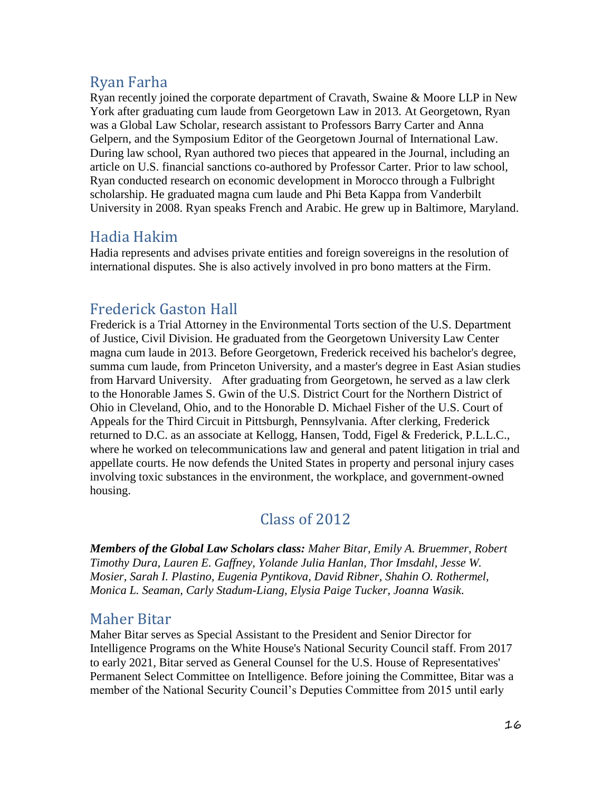## Ryan Farha

Ryan recently joined the corporate department of Cravath, Swaine & Moore LLP in New York after graduating cum laude from Georgetown Law in 2013. At Georgetown, Ryan was a Global Law Scholar, research assistant to Professors Barry Carter and Anna Gelpern, and the Symposium Editor of the Georgetown Journal of International Law. During law school, Ryan authored two pieces that appeared in the Journal, including an article on U.S. financial sanctions co-authored by Professor Carter. Prior to law school, Ryan conducted research on economic development in Morocco through a Fulbright scholarship. He graduated magna cum laude and Phi Beta Kappa from Vanderbilt University in 2008. Ryan speaks French and Arabic. He grew up in Baltimore, Maryland.

## Hadia Hakim

Hadia represents and advises private entities and foreign sovereigns in the resolution of international disputes. She is also actively involved in pro bono matters at the Firm.

# Frederick Gaston Hall

Frederick is a Trial Attorney in the Environmental Torts section of the U.S. Department of Justice, Civil Division. He graduated from the Georgetown University Law Center magna cum laude in 2013. Before Georgetown, Frederick received his bachelor's degree, summa cum laude, from Princeton University, and a master's degree in East Asian studies from Harvard University. After graduating from Georgetown, he served as a law clerk to the Honorable James S. Gwin of the U.S. District Court for the Northern District of Ohio in Cleveland, Ohio, and to the Honorable D. Michael Fisher of the U.S. Court of Appeals for the Third Circuit in Pittsburgh, Pennsylvania. After clerking, Frederick returned to D.C. as an associate at Kellogg, Hansen, Todd, Figel & Frederick, P.L.L.C., where he worked on telecommunications law and general and patent litigation in trial and appellate courts. He now defends the United States in property and personal injury cases involving toxic substances in the environment, the workplace, and government-owned housing.

# Class of 2012

*Members of the Global Law Scholars class: Maher Bitar, Emily A. Bruemmer, Robert Timothy Dura, Lauren E. Gaffney, Yolande Julia Hanlan, Thor Imsdahl, Jesse W. Mosier, Sarah I. Plastino, Eugenia Pyntikova, David Ribner, Shahin O. Rothermel, Monica L. Seaman, Carly Stadum-Liang, Elysia Paige Tucker, Joanna Wasik.*

## Maher Bitar

Maher Bitar serves as Special Assistant to the President and Senior Director for Intelligence Programs on the White House's National Security Council staff. From 2017 to early 2021, Bitar served as General Counsel for the U.S. House of Representatives' Permanent Select Committee on Intelligence. Before joining the Committee, Bitar was a member of the National Security Council's Deputies Committee from 2015 until early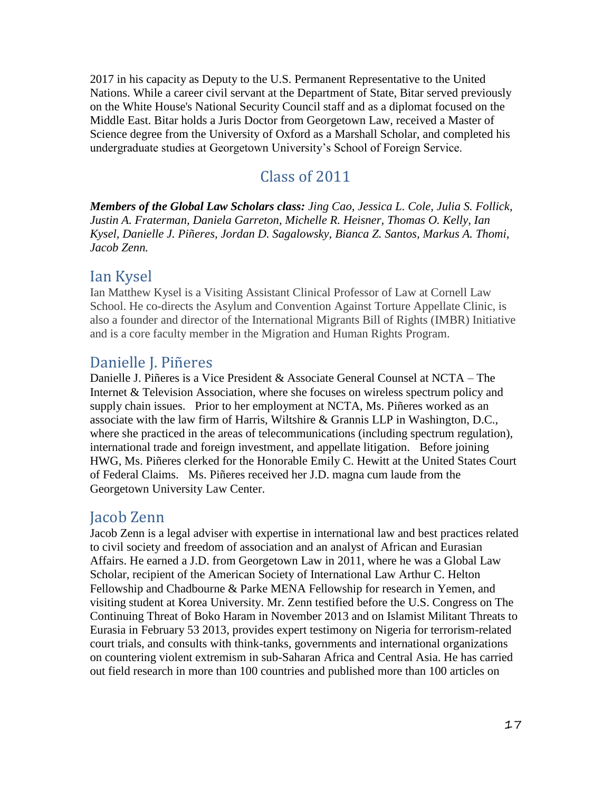2017 in his capacity as Deputy to the U.S. Permanent Representative to the United Nations. While a career civil servant at the Department of State, Bitar served previously on the White House's National Security Council staff and as a diplomat focused on the Middle East. Bitar holds a Juris Doctor from Georgetown Law, received a Master of Science degree from the University of Oxford as a Marshall Scholar, and completed his undergraduate studies at Georgetown University's School of Foreign Service.

## Class of 2011

*Members of the Global Law Scholars class: Jing Cao, Jessica L. Cole, Julia S. Follick, Justin A. Fraterman, Daniela Garreton, Michelle R. Heisner, Thomas O. Kelly, Ian Kysel, Danielle J. Piñeres, Jordan D. Sagalowsky, Bianca Z. Santos, Markus A. Thomi, Jacob Zenn.*

## Ian Kysel

Ian Matthew Kysel is a Visiting Assistant Clinical Professor of Law at Cornell Law School. He co-directs the Asylum and Convention Against Torture Appellate Clinic, is also a founder and director of the International Migrants Bill of Rights (IMBR) Initiative and is a core faculty member in the Migration and Human Rights Program.

## Danielle J. Piñeres

Danielle J. Piñeres is a Vice President & Associate General Counsel at NCTA – The Internet & Television Association, where she focuses on wireless spectrum policy and supply chain issues. Prior to her employment at NCTA, Ms. Piñeres worked as an associate with the law firm of Harris, Wiltshire & Grannis LLP in Washington, D.C., where she practiced in the areas of telecommunications (including spectrum regulation), international trade and foreign investment, and appellate litigation. Before joining HWG, Ms. Piñeres clerked for the Honorable Emily C. Hewitt at the United States Court of Federal Claims. Ms. Piñeres received her J.D. magna cum laude from the Georgetown University Law Center.

### Jacob Zenn

Jacob Zenn is a legal adviser with expertise in international law and best practices related to civil society and freedom of association and an analyst of African and Eurasian Affairs. He earned a J.D. from Georgetown Law in 2011, where he was a Global Law Scholar, recipient of the American Society of International Law Arthur C. Helton Fellowship and Chadbourne & Parke MENA Fellowship for research in Yemen, and visiting student at Korea University. Mr. Zenn testified before the U.S. Congress on The Continuing Threat of Boko Haram in November 2013 and on Islamist Militant Threats to Eurasia in February 53 2013, provides expert testimony on Nigeria for terrorism-related court trials, and consults with think-tanks, governments and international organizations on countering violent extremism in sub-Saharan Africa and Central Asia. He has carried out field research in more than 100 countries and published more than 100 articles on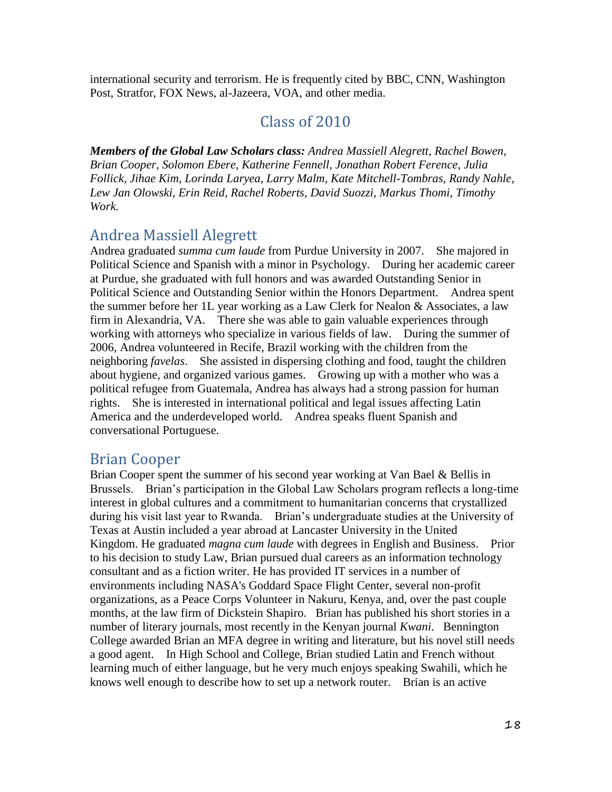international security and terrorism. He is frequently cited by BBC, CNN, Washington Post, Stratfor, FOX News, al-Jazeera, VOA, and other media.

### Class of 2010

*Members of the Global Law Scholars class: Andrea Massiell Alegrett, Rachel Bowen, Brian Cooper, Solomon Ebere, Katherine Fennell, Jonathan Robert Ference, Julia Follick, Jihae Kim, Lorinda Laryea, Larry Malm, Kate Mitchell-Tombras, Randy Nahle, Lew Jan Olowski, Erin Reid, Rachel Roberts, David Suozzi, Markus Thomi, Timothy Work.*

## Andrea Massiell Alegrett

Andrea graduated *summa cum laude* from Purdue University in 2007. She majored in Political Science and Spanish with a minor in Psychology. During her academic career at Purdue, she graduated with full honors and was awarded Outstanding Senior in Political Science and Outstanding Senior within the Honors Department. Andrea spent the summer before her 1L year working as a Law Clerk for Nealon & Associates, a law firm in Alexandria, VA. There she was able to gain valuable experiences through working with attorneys who specialize in various fields of law. During the summer of 2006, Andrea volunteered in Recife, Brazil working with the children from the neighboring *favelas*. She assisted in dispersing clothing and food, taught the children about hygiene, and organized various games. Growing up with a mother who was a political refugee from Guatemala, Andrea has always had a strong passion for human rights. She is interested in international political and legal issues affecting Latin America and the underdeveloped world. Andrea speaks fluent Spanish and conversational Portuguese.

### Brian Cooper

Brian Cooper spent the summer of his second year working at Van Bael & Bellis in Brussels. Brian's participation in the Global Law Scholars program reflects a long-time interest in global cultures and a commitment to humanitarian concerns that crystallized during his visit last year to Rwanda. Brian's undergraduate studies at the University of Texas at Austin included a year abroad at Lancaster University in the United Kingdom. He graduated *magna cum laude* with degrees in English and Business. Prior to his decision to study Law, Brian pursued dual careers as an information technology consultant and as a fiction writer. He has provided IT services in a number of environments including NASA's Goddard Space Flight Center, several non-profit organizations, as a Peace Corps Volunteer in Nakuru, Kenya, and, over the past couple months, at the law firm of Dickstein Shapiro. Brian has published his short stories in a number of literary journals, most recently in the Kenyan journal *Kwani*. Bennington College awarded Brian an MFA degree in writing and literature, but his novel still needs a good agent. In High School and College, Brian studied Latin and French without learning much of either language, but he very much enjoys speaking Swahili, which he knows well enough to describe how to set up a network router. Brian is an active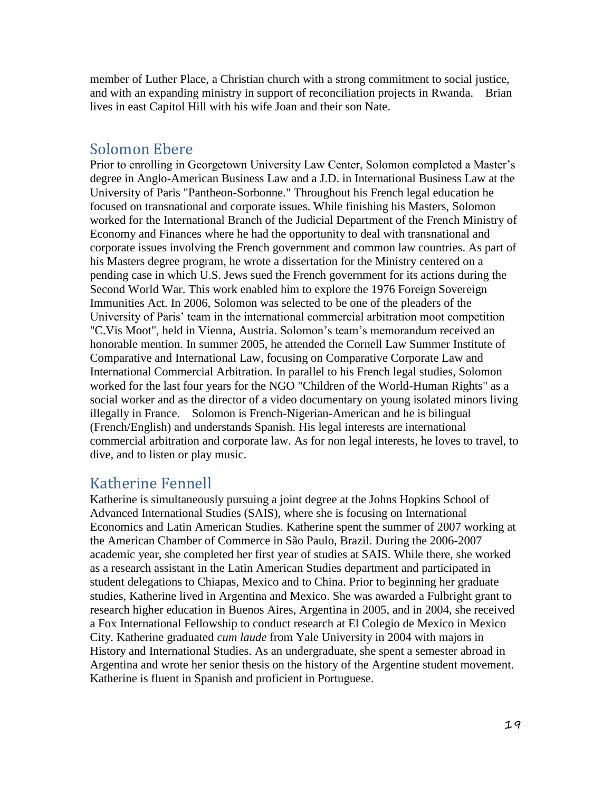member of Luther Place, a Christian church with a strong commitment to social justice, and with an expanding ministry in support of reconciliation projects in Rwanda. Brian lives in east Capitol Hill with his wife Joan and their son Nate.

### Solomon Ebere

Prior to enrolling in Georgetown University Law Center, Solomon completed a Master's degree in Anglo-American Business Law and a J.D. in International Business Law at the University of Paris "Pantheon-Sorbonne." Throughout his French legal education he focused on transnational and corporate issues. While finishing his Masters, Solomon worked for the International Branch of the Judicial Department of the French Ministry of Economy and Finances where he had the opportunity to deal with transnational and corporate issues involving the French government and common law countries. As part of his Masters degree program, he wrote a dissertation for the Ministry centered on a pending case in which U.S. Jews sued the French government for its actions during the Second World War. This work enabled him to explore the 1976 Foreign Sovereign Immunities Act. In 2006, Solomon was selected to be one of the pleaders of the University of Paris' team in the international commercial arbitration moot competition "C.Vis Moot", held in Vienna, Austria. Solomon's team's memorandum received an honorable mention. In summer 2005, he attended the Cornell Law Summer Institute of Comparative and International Law, focusing on Comparative Corporate Law and International Commercial Arbitration. In parallel to his French legal studies, Solomon worked for the last four years for the NGO "Children of the World-Human Rights" as a social worker and as the director of a video documentary on young isolated minors living illegally in France. Solomon is French-Nigerian-American and he is bilingual (French/English) and understands Spanish. His legal interests are international commercial arbitration and corporate law. As for non legal interests, he loves to travel, to dive, and to listen or play music.

### Katherine Fennell

Katherine is simultaneously pursuing a joint degree at the Johns Hopkins School of Advanced International Studies (SAIS), where she is focusing on International Economics and Latin American Studies. Katherine spent the summer of 2007 working at the American Chamber of Commerce in São Paulo, Brazil. During the 2006-2007 academic year, she completed her first year of studies at SAIS. While there, she worked as a research assistant in the Latin American Studies department and participated in student delegations to Chiapas, Mexico and to China. Prior to beginning her graduate studies, Katherine lived in Argentina and Mexico. She was awarded a Fulbright grant to research higher education in Buenos Aires, Argentina in 2005, and in 2004, she received a Fox International Fellowship to conduct research at El Colegio de Mexico in Mexico City. Katherine graduated *cum laude* from Yale University in 2004 with majors in History and International Studies. As an undergraduate, she spent a semester abroad in Argentina and wrote her senior thesis on the history of the Argentine student movement. Katherine is fluent in Spanish and proficient in Portuguese.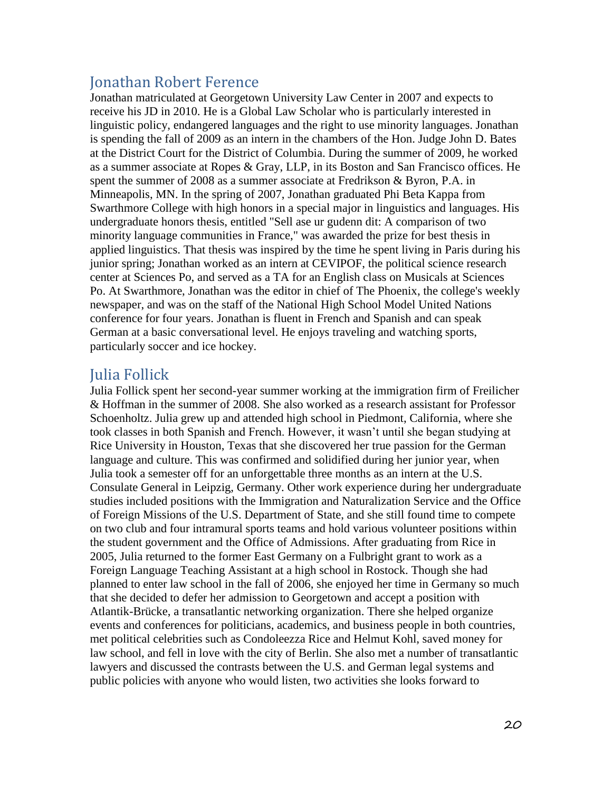## Jonathan Robert Ference

Jonathan matriculated at Georgetown University Law Center in 2007 and expects to receive his JD in 2010. He is a Global Law Scholar who is particularly interested in linguistic policy, endangered languages and the right to use minority languages. Jonathan is spending the fall of 2009 as an intern in the chambers of the Hon. Judge John D. Bates at the District Court for the District of Columbia. During the summer of 2009, he worked as a summer associate at Ropes & Gray, LLP, in its Boston and San Francisco offices. He spent the summer of 2008 as a summer associate at Fredrikson & Byron, P.A. in Minneapolis, MN. In the spring of 2007, Jonathan graduated Phi Beta Kappa from Swarthmore College with high honors in a special major in linguistics and languages. His undergraduate honors thesis, entitled "Sell ase ur gudenn dit: A comparison of two minority language communities in France," was awarded the prize for best thesis in applied linguistics. That thesis was inspired by the time he spent living in Paris during his junior spring; Jonathan worked as an intern at CEVIPOF, the political science research center at Sciences Po, and served as a TA for an English class on Musicals at Sciences Po. At Swarthmore, Jonathan was the editor in chief of The Phoenix, the college's weekly newspaper, and was on the staff of the National High School Model United Nations conference for four years. Jonathan is fluent in French and Spanish and can speak German at a basic conversational level. He enjoys traveling and watching sports, particularly soccer and ice hockey.

### Julia Follick

Julia Follick spent her second-year summer working at the immigration firm of Freilicher & Hoffman in the summer of 2008. She also worked as a research assistant for Professor Schoenholtz. Julia grew up and attended high school in Piedmont, California, where she took classes in both Spanish and French. However, it wasn't until she began studying at Rice University in Houston, Texas that she discovered her true passion for the German language and culture. This was confirmed and solidified during her junior year, when Julia took a semester off for an unforgettable three months as an intern at the U.S. Consulate General in Leipzig, Germany. Other work experience during her undergraduate studies included positions with the Immigration and Naturalization Service and the Office of Foreign Missions of the U.S. Department of State, and she still found time to compete on two club and four intramural sports teams and hold various volunteer positions within the student government and the Office of Admissions. After graduating from Rice in 2005, Julia returned to the former East Germany on a Fulbright grant to work as a Foreign Language Teaching Assistant at a high school in Rostock. Though she had planned to enter law school in the fall of 2006, she enjoyed her time in Germany so much that she decided to defer her admission to Georgetown and accept a position with Atlantik-Brücke, a transatlantic networking organization. There she helped organize events and conferences for politicians, academics, and business people in both countries, met political celebrities such as Condoleezza Rice and Helmut Kohl, saved money for law school, and fell in love with the city of Berlin. She also met a number of transatlantic lawyers and discussed the contrasts between the U.S. and German legal systems and public policies with anyone who would listen, two activities she looks forward to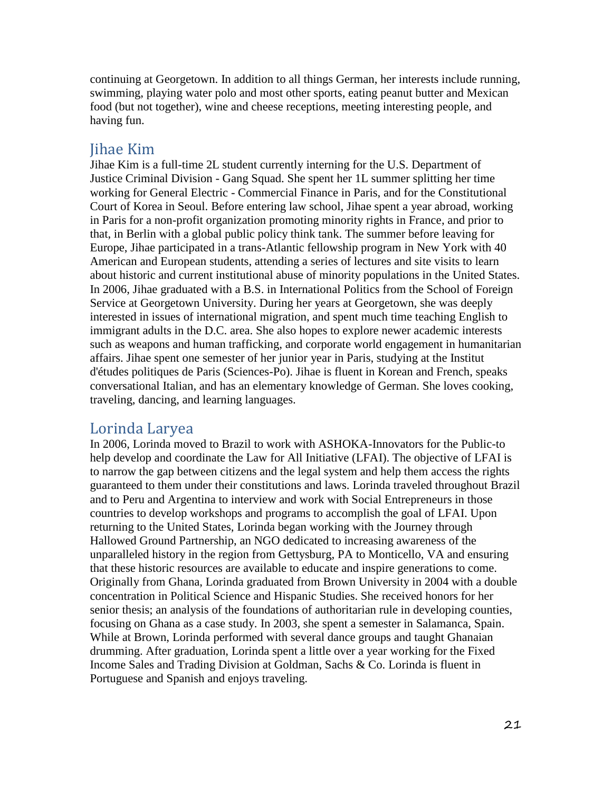continuing at Georgetown. In addition to all things German, her interests include running, swimming, playing water polo and most other sports, eating peanut butter and Mexican food (but not together), wine and cheese receptions, meeting interesting people, and having fun.

#### Jihae Kim

Jihae Kim is a full-time 2L student currently interning for the U.S. Department of Justice Criminal Division - Gang Squad. She spent her 1L summer splitting her time working for General Electric - Commercial Finance in Paris, and for the Constitutional Court of Korea in Seoul. Before entering law school, Jihae spent a year abroad, working in Paris for a non-profit organization promoting minority rights in France, and prior to that, in Berlin with a global public policy think tank. The summer before leaving for Europe, Jihae participated in a trans-Atlantic fellowship program in New York with 40 American and European students, attending a series of lectures and site visits to learn about historic and current institutional abuse of minority populations in the United States. In 2006, Jihae graduated with a B.S. in International Politics from the School of Foreign Service at Georgetown University. During her years at Georgetown, she was deeply interested in issues of international migration, and spent much time teaching English to immigrant adults in the D.C. area. She also hopes to explore newer academic interests such as weapons and human trafficking, and corporate world engagement in humanitarian affairs. Jihae spent one semester of her junior year in Paris, studying at the Institut d'études politiques de Paris (Sciences-Po). Jihae is fluent in Korean and French, speaks conversational Italian, and has an elementary knowledge of German. She loves cooking, traveling, dancing, and learning languages.

### Lorinda Laryea

In 2006, Lorinda moved to Brazil to work with ASHOKA-Innovators for the Public-to help develop and coordinate the Law for All Initiative (LFAI). The objective of LFAI is to narrow the gap between citizens and the legal system and help them access the rights guaranteed to them under their constitutions and laws. Lorinda traveled throughout Brazil and to Peru and Argentina to interview and work with Social Entrepreneurs in those countries to develop workshops and programs to accomplish the goal of LFAI. Upon returning to the United States, Lorinda began working with the Journey through Hallowed Ground Partnership, an NGO dedicated to increasing awareness of the unparalleled history in the region from Gettysburg, PA to Monticello, VA and ensuring that these historic resources are available to educate and inspire generations to come. Originally from Ghana, Lorinda graduated from Brown University in 2004 with a double concentration in Political Science and Hispanic Studies. She received honors for her senior thesis; an analysis of the foundations of authoritarian rule in developing counties, focusing on Ghana as a case study. In 2003, she spent a semester in Salamanca, Spain. While at Brown, Lorinda performed with several dance groups and taught Ghanaian drumming. After graduation, Lorinda spent a little over a year working for the Fixed Income Sales and Trading Division at Goldman, Sachs & Co. Lorinda is fluent in Portuguese and Spanish and enjoys traveling.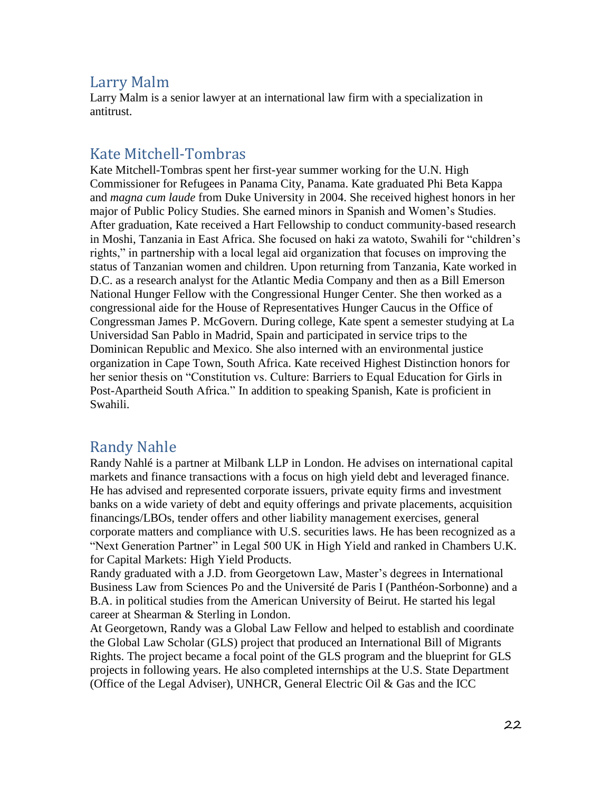## Larry Malm

Larry Malm is a senior lawyer at an international law firm with a specialization in antitrust.

# Kate Mitchell-Tombras

Kate Mitchell-Tombras spent her first-year summer working for the U.N. High Commissioner for Refugees in Panama City, Panama. Kate graduated Phi Beta Kappa and *magna cum laude* from Duke University in 2004. She received highest honors in her major of Public Policy Studies. She earned minors in Spanish and Women's Studies. After graduation, Kate received a Hart Fellowship to conduct community-based research in Moshi, Tanzania in East Africa. She focused on haki za watoto, Swahili for "children's rights," in partnership with a local legal aid organization that focuses on improving the status of Tanzanian women and children. Upon returning from Tanzania, Kate worked in D.C. as a research analyst for the Atlantic Media Company and then as a Bill Emerson National Hunger Fellow with the Congressional Hunger Center. She then worked as a congressional aide for the House of Representatives Hunger Caucus in the Office of Congressman James P. McGovern. During college, Kate spent a semester studying at La Universidad San Pablo in Madrid, Spain and participated in service trips to the Dominican Republic and Mexico. She also interned with an environmental justice organization in Cape Town, South Africa. Kate received Highest Distinction honors for her senior thesis on "Constitution vs. Culture: Barriers to Equal Education for Girls in Post-Apartheid South Africa." In addition to speaking Spanish, Kate is proficient in Swahili.

## Randy Nahle

Randy Nahlé is a partner at Milbank LLP in London. He advises on international capital markets and finance transactions with a focus on high yield debt and leveraged finance. He has advised and represented corporate issuers, private equity firms and investment banks on a wide variety of debt and equity offerings and private placements, acquisition financings/LBOs, tender offers and other liability management exercises, general corporate matters and compliance with U.S. securities laws. He has been recognized as a "Next Generation Partner" in Legal 500 UK in High Yield and ranked in Chambers U.K. for Capital Markets: High Yield Products.

Randy graduated with a J.D. from Georgetown Law, Master's degrees in International Business Law from Sciences Po and the Université de Paris I (Panthéon-Sorbonne) and a B.A. in political studies from the American University of Beirut. He started his legal career at Shearman & Sterling in London.

At Georgetown, Randy was a Global Law Fellow and helped to establish and coordinate the Global Law Scholar (GLS) project that produced an International Bill of Migrants Rights. The project became a focal point of the GLS program and the blueprint for GLS projects in following years. He also completed internships at the U.S. State Department (Office of the Legal Adviser), UNHCR, General Electric Oil & Gas and the ICC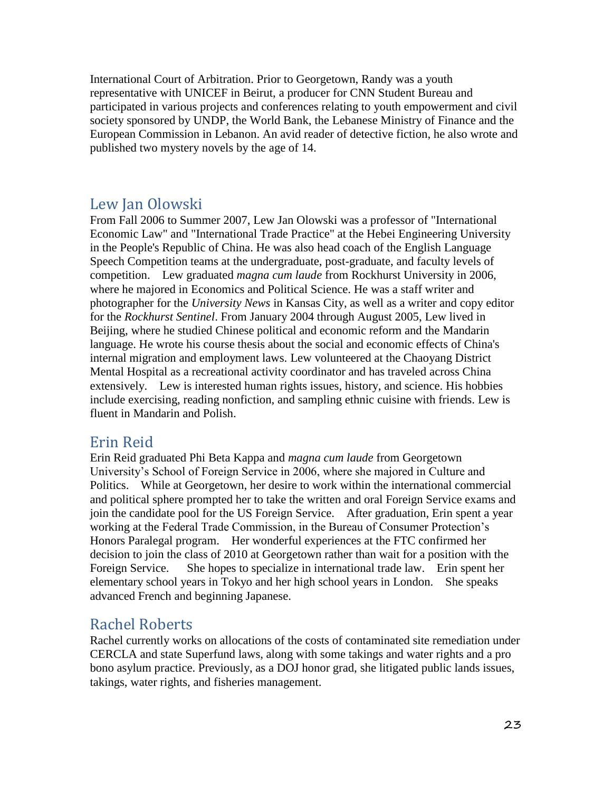International Court of Arbitration. Prior to Georgetown, Randy was a youth representative with UNICEF in Beirut, a producer for CNN Student Bureau and participated in various projects and conferences relating to youth empowerment and civil society sponsored by UNDP, the World Bank, the Lebanese Ministry of Finance and the European Commission in Lebanon. An avid reader of detective fiction, he also wrote and published two mystery novels by the age of 14.

### Lew Jan Olowski

From Fall 2006 to Summer 2007, Lew Jan Olowski was a professor of "International Economic Law" and "International Trade Practice" at the Hebei Engineering University in the People's Republic of China. He was also head coach of the English Language Speech Competition teams at the undergraduate, post-graduate, and faculty levels of competition. Lew graduated *magna cum laude* from Rockhurst University in 2006, where he majored in Economics and Political Science. He was a staff writer and photographer for the *University News* in Kansas City, as well as a writer and copy editor for the *Rockhurst Sentinel*. From January 2004 through August 2005, Lew lived in Beijing, where he studied Chinese political and economic reform and the Mandarin language. He wrote his course thesis about the social and economic effects of China's internal migration and employment laws. Lew volunteered at the Chaoyang District Mental Hospital as a recreational activity coordinator and has traveled across China extensively. Lew is interested human rights issues, history, and science. His hobbies include exercising, reading nonfiction, and sampling ethnic cuisine with friends. Lew is fluent in Mandarin and Polish.

### Erin Reid

Erin Reid graduated Phi Beta Kappa and *magna cum laude* from Georgetown University's School of Foreign Service in 2006, where she majored in Culture and Politics. While at Georgetown, her desire to work within the international commercial and political sphere prompted her to take the written and oral Foreign Service exams and join the candidate pool for the US Foreign Service. After graduation, Erin spent a year working at the Federal Trade Commission, in the Bureau of Consumer Protection's Honors Paralegal program. Her wonderful experiences at the FTC confirmed her decision to join the class of 2010 at Georgetown rather than wait for a position with the Foreign Service. She hopes to specialize in international trade law. Erin spent her elementary school years in Tokyo and her high school years in London. She speaks advanced French and beginning Japanese.

### Rachel Roberts

Rachel currently works on allocations of the costs of contaminated site remediation under CERCLA and state Superfund laws, along with some takings and water rights and a pro bono asylum practice. Previously, as a DOJ honor grad, she litigated public lands issues, takings, water rights, and fisheries management.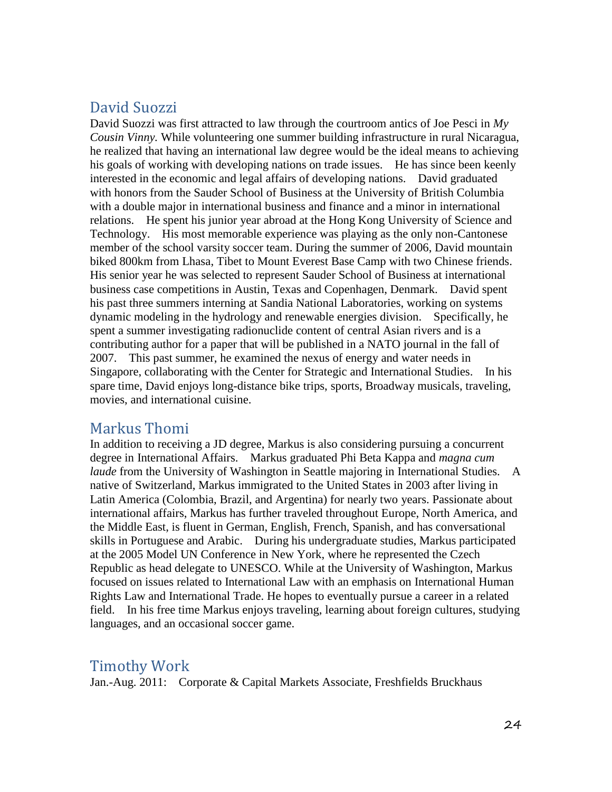## David Suozzi

David Suozzi was first attracted to law through the courtroom antics of Joe Pesci in *My Cousin Vinny.* While volunteering one summer building infrastructure in rural Nicaragua, he realized that having an international law degree would be the ideal means to achieving his goals of working with developing nations on trade issues. He has since been keenly interested in the economic and legal affairs of developing nations. David graduated with honors from the Sauder School of Business at the University of British Columbia with a double major in international business and finance and a minor in international relations. He spent his junior year abroad at the Hong Kong University of Science and Technology. His most memorable experience was playing as the only non-Cantonese member of the school varsity soccer team. During the summer of 2006, David mountain biked 800km from Lhasa, Tibet to Mount Everest Base Camp with two Chinese friends. His senior year he was selected to represent Sauder School of Business at international business case competitions in Austin, Texas and Copenhagen, Denmark. David spent his past three summers interning at Sandia National Laboratories, working on systems dynamic modeling in the hydrology and renewable energies division. Specifically, he spent a summer investigating radionuclide content of central Asian rivers and is a contributing author for a paper that will be published in a NATO journal in the fall of 2007. This past summer, he examined the nexus of energy and water needs in Singapore, collaborating with the Center for Strategic and International Studies. In his spare time, David enjoys long-distance bike trips, sports, Broadway musicals, traveling, movies, and international cuisine.

### Markus Thomi

In addition to receiving a JD degree, Markus is also considering pursuing a concurrent degree in International Affairs. Markus graduated Phi Beta Kappa and *magna cum laude* from the University of Washington in Seattle majoring in International Studies. A native of Switzerland, Markus immigrated to the United States in 2003 after living in Latin America (Colombia, Brazil, and Argentina) for nearly two years. Passionate about international affairs, Markus has further traveled throughout Europe, North America, and the Middle East, is fluent in German, English, French, Spanish, and has conversational skills in Portuguese and Arabic. During his undergraduate studies, Markus participated at the 2005 Model UN Conference in New York, where he represented the Czech Republic as head delegate to UNESCO. While at the University of Washington, Markus focused on issues related to International Law with an emphasis on International Human Rights Law and International Trade. He hopes to eventually pursue a career in a related field. In his free time Markus enjoys traveling, learning about foreign cultures, studying languages, and an occasional soccer game.

### Timothy Work

Jan.-Aug. 2011: Corporate & Capital Markets Associate, Freshfields Bruckhaus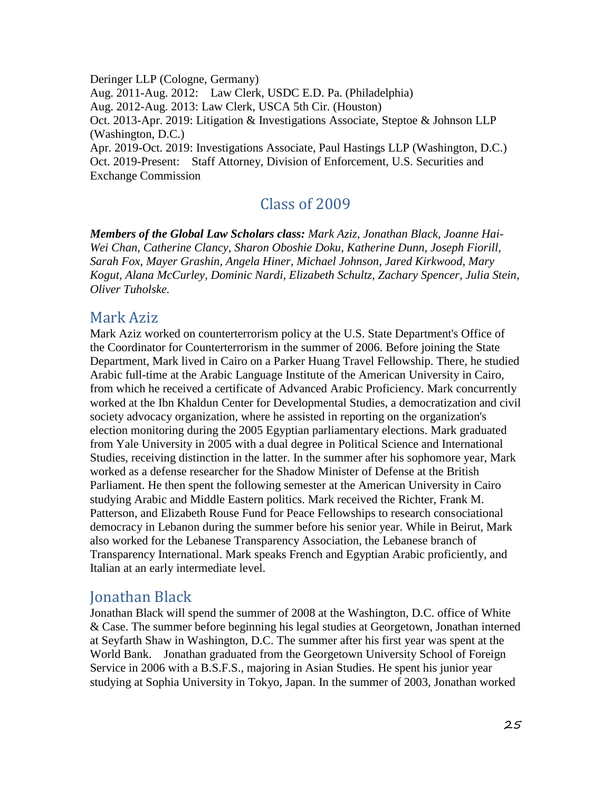Deringer LLP (Cologne, Germany) Aug. 2011-Aug. 2012: Law Clerk, USDC E.D. Pa. (Philadelphia) Aug. 2012-Aug. 2013: Law Clerk, USCA 5th Cir. (Houston) Oct. 2013-Apr. 2019: Litigation & Investigations Associate, Steptoe & Johnson LLP (Washington, D.C.) Apr. 2019-Oct. 2019: Investigations Associate, Paul Hastings LLP (Washington, D.C.) Oct. 2019-Present: Staff Attorney, Division of Enforcement, U.S. Securities and Exchange Commission

## Class of 2009

*Members of the Global Law Scholars class: Mark Aziz, Jonathan Black, Joanne Hai-Wei Chan, Catherine Clancy, Sharon Oboshie Doku, Katherine Dunn, Joseph Fiorill, Sarah Fox, Mayer Grashin, Angela Hiner, Michael Johnson, Jared Kirkwood, Mary Kogut, Alana McCurley, Dominic Nardi, Elizabeth Schultz, Zachary Spencer, Julia Stein, Oliver Tuholske.*

#### Mark Aziz

Mark Aziz worked on counterterrorism policy at the U.S. State Department's Office of the Coordinator for Counterterrorism in the summer of 2006. Before joining the State Department, Mark lived in Cairo on a Parker Huang Travel Fellowship. There, he studied Arabic full-time at the Arabic Language Institute of the American University in Cairo, from which he received a certificate of Advanced Arabic Proficiency. Mark concurrently worked at the Ibn Khaldun Center for Developmental Studies, a democratization and civil society advocacy organization, where he assisted in reporting on the organization's election monitoring during the 2005 Egyptian parliamentary elections. Mark graduated from Yale University in 2005 with a dual degree in Political Science and International Studies, receiving distinction in the latter. In the summer after his sophomore year, Mark worked as a defense researcher for the Shadow Minister of Defense at the British Parliament. He then spent the following semester at the American University in Cairo studying Arabic and Middle Eastern politics. Mark received the Richter, Frank M. Patterson, and Elizabeth Rouse Fund for Peace Fellowships to research consociational democracy in Lebanon during the summer before his senior year. While in Beirut, Mark also worked for the Lebanese Transparency Association, the Lebanese branch of Transparency International. Mark speaks French and Egyptian Arabic proficiently, and Italian at an early intermediate level.

### Jonathan Black

Jonathan Black will spend the summer of 2008 at the Washington, D.C. office of White & Case. The summer before beginning his legal studies at Georgetown, Jonathan interned at Seyfarth Shaw in Washington, D.C. The summer after his first year was spent at the World Bank. Jonathan graduated from the Georgetown University School of Foreign Service in 2006 with a B.S.F.S., majoring in Asian Studies. He spent his junior year studying at Sophia University in Tokyo, Japan. In the summer of 2003, Jonathan worked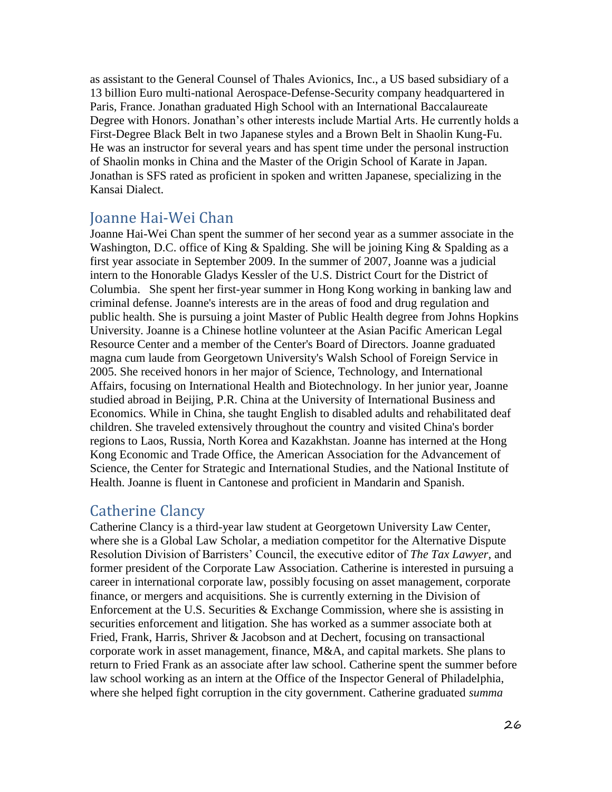as assistant to the General Counsel of Thales Avionics, Inc., a US based subsidiary of a 13 billion Euro multi-national Aerospace-Defense-Security company headquartered in Paris, France. Jonathan graduated High School with an International Baccalaureate Degree with Honors. Jonathan's other interests include Martial Arts. He currently holds a First-Degree Black Belt in two Japanese styles and a Brown Belt in Shaolin Kung-Fu. He was an instructor for several years and has spent time under the personal instruction of Shaolin monks in China and the Master of the Origin School of Karate in Japan. Jonathan is SFS rated as proficient in spoken and written Japanese, specializing in the Kansai Dialect.

#### Joanne Hai-Wei Chan

Joanne Hai-Wei Chan spent the summer of her second year as a summer associate in the Washington, D.C. office of King & Spalding. She will be joining King & Spalding as a first year associate in September 2009. In the summer of 2007, Joanne was a judicial intern to the Honorable Gladys Kessler of the U.S. District Court for the District of Columbia. She spent her first-year summer in Hong Kong working in banking law and criminal defense. Joanne's interests are in the areas of food and drug regulation and public health. She is pursuing a joint Master of Public Health degree from Johns Hopkins University. Joanne is a Chinese hotline volunteer at the Asian Pacific American Legal Resource Center and a member of the Center's Board of Directors. Joanne graduated magna cum laude from Georgetown University's Walsh School of Foreign Service in 2005. She received honors in her major of Science, Technology, and International Affairs, focusing on International Health and Biotechnology. In her junior year, Joanne studied abroad in Beijing, P.R. China at the University of International Business and Economics. While in China, she taught English to disabled adults and rehabilitated deaf children. She traveled extensively throughout the country and visited China's border regions to Laos, Russia, North Korea and Kazakhstan. Joanne has interned at the Hong Kong Economic and Trade Office, the American Association for the Advancement of Science, the Center for Strategic and International Studies, and the National Institute of Health. Joanne is fluent in Cantonese and proficient in Mandarin and Spanish.

### Catherine Clancy

Catherine Clancy is a third-year law student at Georgetown University Law Center, where she is a Global Law Scholar, a mediation competitor for the Alternative Dispute Resolution Division of Barristers' Council, the executive editor of *The Tax Lawyer*, and former president of the Corporate Law Association. Catherine is interested in pursuing a career in international corporate law, possibly focusing on asset management, corporate finance, or mergers and acquisitions. She is currently externing in the Division of Enforcement at the U.S. Securities & Exchange Commission, where she is assisting in securities enforcement and litigation. She has worked as a summer associate both at Fried, Frank, Harris, Shriver & Jacobson and at Dechert, focusing on transactional corporate work in asset management, finance,  $M&A$ , and capital markets. She plans to return to Fried Frank as an associate after law school. Catherine spent the summer before law school working as an intern at the Office of the Inspector General of Philadelphia, where she helped fight corruption in the city government. Catherine graduated *summa*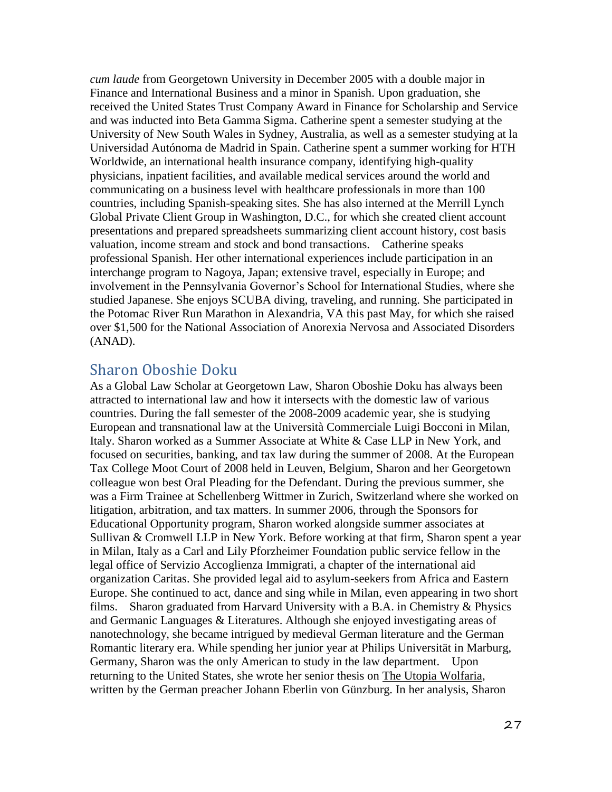*cum laude* from Georgetown University in December 2005 with a double major in Finance and International Business and a minor in Spanish. Upon graduation, she received the United States Trust Company Award in Finance for Scholarship and Service and was inducted into Beta Gamma Sigma. Catherine spent a semester studying at the University of New South Wales in Sydney, Australia, as well as a semester studying at la Universidad Autónoma de Madrid in Spain. Catherine spent a summer working for HTH Worldwide, an international health insurance company, identifying high-quality physicians, inpatient facilities, and available medical services around the world and communicating on a business level with healthcare professionals in more than 100 countries, including Spanish-speaking sites. She has also interned at the Merrill Lynch Global Private Client Group in Washington, D.C., for which she created client account presentations and prepared spreadsheets summarizing client account history, cost basis valuation, income stream and stock and bond transactions. Catherine speaks professional Spanish. Her other international experiences include participation in an interchange program to Nagoya, Japan; extensive travel, especially in Europe; and involvement in the Pennsylvania Governor's School for International Studies, where she studied Japanese. She enjoys SCUBA diving, traveling, and running. She participated in the Potomac River Run Marathon in Alexandria, VA this past May, for which she raised over \$1,500 for the National Association of Anorexia Nervosa and Associated Disorders (ANAD).

## Sharon Oboshie Doku

As a Global Law Scholar at Georgetown Law, Sharon Oboshie Doku has always been attracted to international law and how it intersects with the domestic law of various countries. During the fall semester of the 2008-2009 academic year, she is studying European and transnational law at the Università Commerciale Luigi Bocconi in Milan, Italy. Sharon worked as a Summer Associate at White & Case LLP in New York, and focused on securities, banking, and tax law during the summer of 2008. At the European Tax College Moot Court of 2008 held in Leuven, Belgium, Sharon and her Georgetown colleague won best Oral Pleading for the Defendant. During the previous summer, she was a Firm Trainee at Schellenberg Wittmer in Zurich, Switzerland where she worked on litigation, arbitration, and tax matters. In summer 2006, through the Sponsors for Educational Opportunity program, Sharon worked alongside summer associates at Sullivan & Cromwell LLP in New York. Before working at that firm, Sharon spent a year in Milan, Italy as a Carl and Lily Pforzheimer Foundation public service fellow in the legal office of Servizio Accoglienza Immigrati, a chapter of the international aid organization Caritas. She provided legal aid to asylum-seekers from Africa and Eastern Europe. She continued to act, dance and sing while in Milan, even appearing in two short films. Sharon graduated from Harvard University with a B.A. in Chemistry & Physics and Germanic Languages & Literatures. Although she enjoyed investigating areas of nanotechnology, she became intrigued by medieval German literature and the German Romantic literary era. While spending her junior year at Philips Universität in Marburg, Germany, Sharon was the only American to study in the law department. Upon returning to the United States, she wrote her senior thesis on The Utopia Wolfaria, written by the German preacher Johann Eberlin von Günzburg. In her analysis, Sharon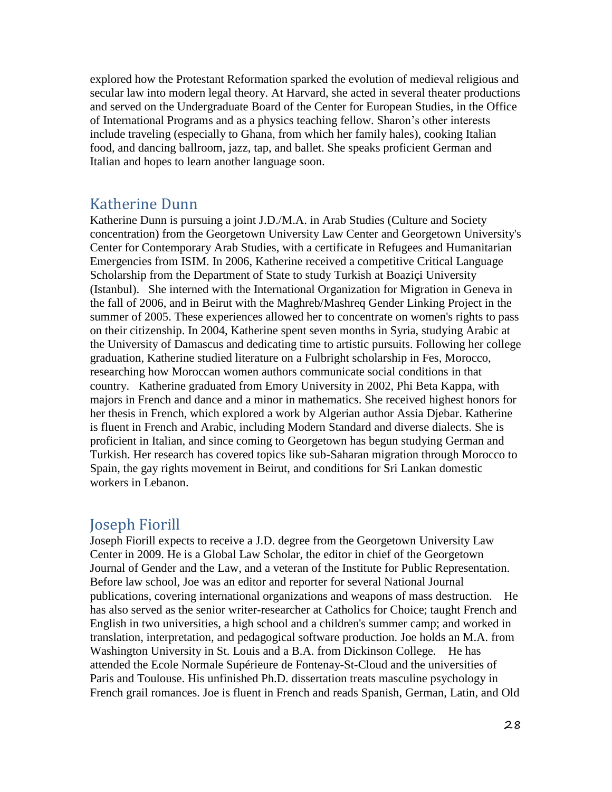explored how the Protestant Reformation sparked the evolution of medieval religious and secular law into modern legal theory. At Harvard, she acted in several theater productions and served on the Undergraduate Board of the Center for European Studies, in the Office of International Programs and as a physics teaching fellow. Sharon's other interests include traveling (especially to Ghana, from which her family hales), cooking Italian food, and dancing ballroom, jazz, tap, and ballet. She speaks proficient German and Italian and hopes to learn another language soon.

#### Katherine Dunn

Katherine Dunn is pursuing a joint J.D./M.A. in Arab Studies (Culture and Society concentration) from the Georgetown University Law Center and Georgetown University's Center for Contemporary Arab Studies, with a certificate in Refugees and Humanitarian Emergencies from ISIM. In 2006, Katherine received a competitive Critical Language Scholarship from the Department of State to study Turkish at Boaziçi University (Istanbul). She interned with the International Organization for Migration in Geneva in the fall of 2006, and in Beirut with the Maghreb/Mashreq Gender Linking Project in the summer of 2005. These experiences allowed her to concentrate on women's rights to pass on their citizenship. In 2004, Katherine spent seven months in Syria, studying Arabic at the University of Damascus and dedicating time to artistic pursuits. Following her college graduation, Katherine studied literature on a Fulbright scholarship in Fes, Morocco, researching how Moroccan women authors communicate social conditions in that country. Katherine graduated from Emory University in 2002, Phi Beta Kappa, with majors in French and dance and a minor in mathematics. She received highest honors for her thesis in French, which explored a work by Algerian author Assia Djebar. Katherine is fluent in French and Arabic, including Modern Standard and diverse dialects. She is proficient in Italian, and since coming to Georgetown has begun studying German and Turkish. Her research has covered topics like sub-Saharan migration through Morocco to Spain, the gay rights movement in Beirut, and conditions for Sri Lankan domestic workers in Lebanon.

### Joseph Fiorill

Joseph Fiorill expects to receive a J.D. degree from the Georgetown University Law Center in 2009. He is a Global Law Scholar, the editor in chief of the Georgetown Journal of Gender and the Law, and a veteran of the Institute for Public Representation. Before law school, Joe was an editor and reporter for several National Journal publications, covering international organizations and weapons of mass destruction. He has also served as the senior writer-researcher at Catholics for Choice; taught French and English in two universities, a high school and a children's summer camp; and worked in translation, interpretation, and pedagogical software production. Joe holds an M.A. from Washington University in St. Louis and a B.A. from Dickinson College. He has attended the Ecole Normale Supérieure de Fontenay-St-Cloud and the universities of Paris and Toulouse. His unfinished Ph.D. dissertation treats masculine psychology in French grail romances. Joe is fluent in French and reads Spanish, German, Latin, and Old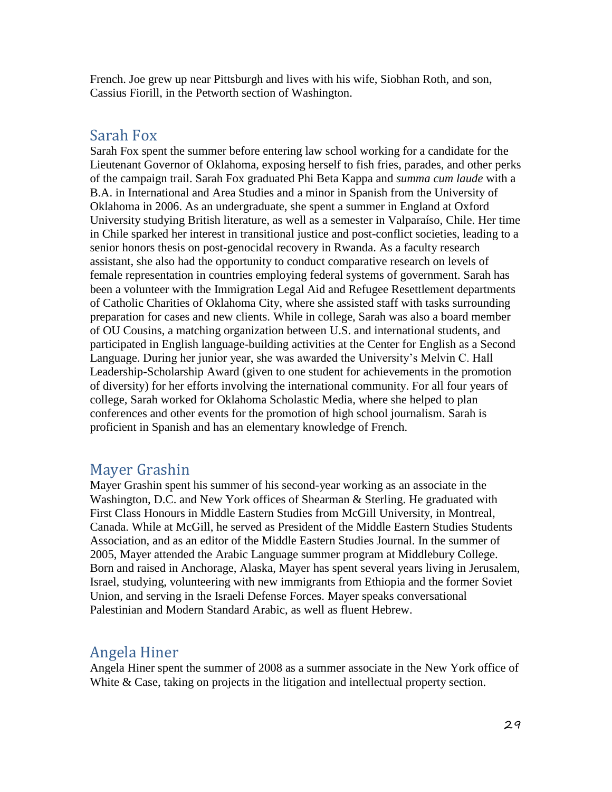French. Joe grew up near Pittsburgh and lives with his wife, Siobhan Roth, and son, Cassius Fiorill, in the Petworth section of Washington.

#### Sarah Fox

Sarah Fox spent the summer before entering law school working for a candidate for the Lieutenant Governor of Oklahoma, exposing herself to fish fries, parades, and other perks of the campaign trail. Sarah Fox graduated Phi Beta Kappa and *summa cum laude* with a B.A. in International and Area Studies and a minor in Spanish from the University of Oklahoma in 2006. As an undergraduate, she spent a summer in England at Oxford University studying British literature, as well as a semester in Valparaíso, Chile. Her time in Chile sparked her interest in transitional justice and post-conflict societies, leading to a senior honors thesis on post-genocidal recovery in Rwanda. As a faculty research assistant, she also had the opportunity to conduct comparative research on levels of female representation in countries employing federal systems of government. Sarah has been a volunteer with the Immigration Legal Aid and Refugee Resettlement departments of Catholic Charities of Oklahoma City, where she assisted staff with tasks surrounding preparation for cases and new clients. While in college, Sarah was also a board member of OU Cousins, a matching organization between U.S. and international students, and participated in English language-building activities at the Center for English as a Second Language. During her junior year, she was awarded the University's Melvin C. Hall Leadership-Scholarship Award (given to one student for achievements in the promotion of diversity) for her efforts involving the international community. For all four years of college, Sarah worked for Oklahoma Scholastic Media, where she helped to plan conferences and other events for the promotion of high school journalism. Sarah is proficient in Spanish and has an elementary knowledge of French.

### Mayer Grashin

Mayer Grashin spent his summer of his second-year working as an associate in the Washington, D.C. and New York offices of Shearman & Sterling. He graduated with First Class Honours in Middle Eastern Studies from McGill University, in Montreal, Canada. While at McGill, he served as President of the Middle Eastern Studies Students Association, and as an editor of the Middle Eastern Studies Journal. In the summer of 2005, Mayer attended the Arabic Language summer program at Middlebury College. Born and raised in Anchorage, Alaska, Mayer has spent several years living in Jerusalem, Israel, studying, volunteering with new immigrants from Ethiopia and the former Soviet Union, and serving in the Israeli Defense Forces. Mayer speaks conversational Palestinian and Modern Standard Arabic, as well as fluent Hebrew.

### Angela Hiner

Angela Hiner spent the summer of 2008 as a summer associate in the New York office of White & Case, taking on projects in the litigation and intellectual property section.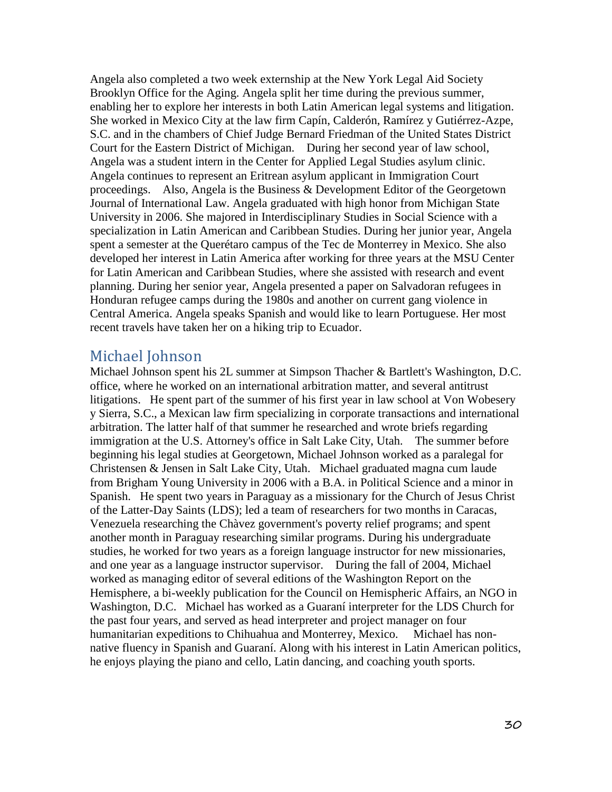Angela also completed a two week externship at the New York Legal Aid Society Brooklyn Office for the Aging. Angela split her time during the previous summer, enabling her to explore her interests in both Latin American legal systems and litigation. She worked in Mexico City at the law firm Capín, Calderón, Ramírez y Gutiérrez-Azpe, S.C. and in the chambers of Chief Judge Bernard Friedman of the United States District Court for the Eastern District of Michigan. During her second year of law school, Angela was a student intern in the Center for Applied Legal Studies asylum clinic. Angela continues to represent an Eritrean asylum applicant in Immigration Court proceedings. Also, Angela is the Business & Development Editor of the Georgetown Journal of International Law. Angela graduated with high honor from Michigan State University in 2006. She majored in Interdisciplinary Studies in Social Science with a specialization in Latin American and Caribbean Studies. During her junior year, Angela spent a semester at the Querétaro campus of the Tec de Monterrey in Mexico. She also developed her interest in Latin America after working for three years at the MSU Center for Latin American and Caribbean Studies, where she assisted with research and event planning. During her senior year, Angela presented a paper on Salvadoran refugees in Honduran refugee camps during the 1980s and another on current gang violence in Central America. Angela speaks Spanish and would like to learn Portuguese. Her most recent travels have taken her on a hiking trip to Ecuador.

### Michael Johnson

Michael Johnson spent his 2L summer at Simpson Thacher & Bartlett's Washington, D.C. office, where he worked on an international arbitration matter, and several antitrust litigations. He spent part of the summer of his first year in law school at Von Wobesery y Sierra, S.C., a Mexican law firm specializing in corporate transactions and international arbitration. The latter half of that summer he researched and wrote briefs regarding immigration at the U.S. Attorney's office in Salt Lake City, Utah. The summer before beginning his legal studies at Georgetown, Michael Johnson worked as a paralegal for Christensen & Jensen in Salt Lake City, Utah. Michael graduated magna cum laude from Brigham Young University in 2006 with a B.A. in Political Science and a minor in Spanish. He spent two years in Paraguay as a missionary for the Church of Jesus Christ of the Latter-Day Saints (LDS); led a team of researchers for two months in Caracas, Venezuela researching the Chàvez government's poverty relief programs; and spent another month in Paraguay researching similar programs. During his undergraduate studies, he worked for two years as a foreign language instructor for new missionaries, and one year as a language instructor supervisor. During the fall of 2004, Michael worked as managing editor of several editions of the Washington Report on the Hemisphere, a bi-weekly publication for the Council on Hemispheric Affairs, an NGO in Washington, D.C. Michael has worked as a Guaraní interpreter for the LDS Church for the past four years, and served as head interpreter and project manager on four humanitarian expeditions to Chihuahua and Monterrey, Mexico. Michael has nonnative fluency in Spanish and Guaraní. Along with his interest in Latin American politics, he enjoys playing the piano and cello, Latin dancing, and coaching youth sports.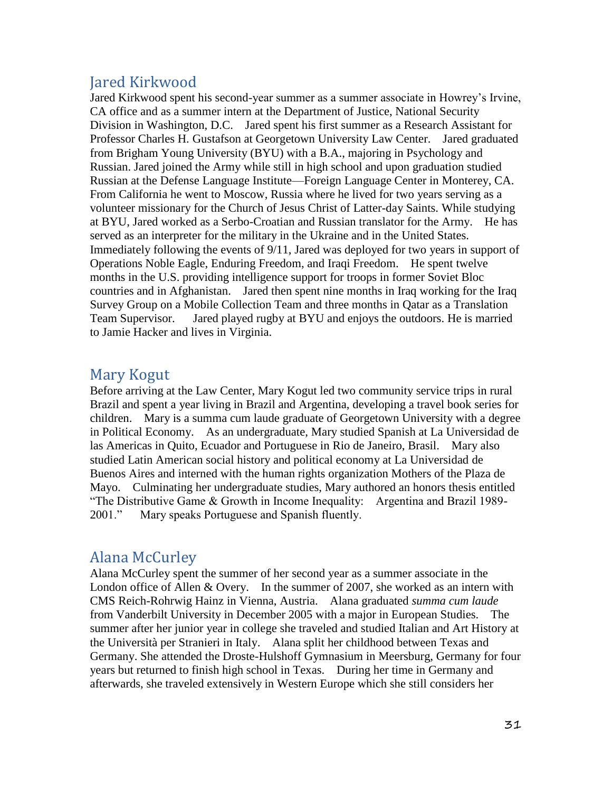## Jared Kirkwood

Jared Kirkwood spent his second-year summer as a summer associate in Howrey's Irvine, CA office and as a summer intern at the Department of Justice, National Security Division in Washington, D.C. Jared spent his first summer as a Research Assistant for Professor Charles H. Gustafson at Georgetown University Law Center. Jared graduated from Brigham Young University (BYU) with a B.A., majoring in Psychology and Russian. Jared joined the Army while still in high school and upon graduation studied Russian at the Defense Language Institute—Foreign Language Center in Monterey, CA. From California he went to Moscow, Russia where he lived for two years serving as a volunteer missionary for the Church of Jesus Christ of Latter-day Saints. While studying at BYU, Jared worked as a Serbo-Croatian and Russian translator for the Army. He has served as an interpreter for the military in the Ukraine and in the United States. Immediately following the events of 9/11, Jared was deployed for two years in support of Operations Noble Eagle, Enduring Freedom, and Iraqi Freedom. He spent twelve months in the U.S. providing intelligence support for troops in former Soviet Bloc countries and in Afghanistan. Jared then spent nine months in Iraq working for the Iraq Survey Group on a Mobile Collection Team and three months in Qatar as a Translation Team Supervisor. Jared played rugby at BYU and enjoys the outdoors. He is married to Jamie Hacker and lives in Virginia.

## Mary Kogut

Before arriving at the Law Center, Mary Kogut led two community service trips in rural Brazil and spent a year living in Brazil and Argentina, developing a travel book series for children. Mary is a summa cum laude graduate of Georgetown University with a degree in Political Economy. As an undergraduate, Mary studied Spanish at La Universidad de las Americas in Quito, Ecuador and Portuguese in Rio de Janeiro, Brasil. Mary also studied Latin American social history and political economy at La Universidad de Buenos Aires and interned with the human rights organization Mothers of the Plaza de Mayo. Culminating her undergraduate studies, Mary authored an honors thesis entitled "The Distributive Game & Growth in Income Inequality: Argentina and Brazil 1989- 2001." Mary speaks Portuguese and Spanish fluently.

# Alana McCurley

Alana McCurley spent the summer of her second year as a summer associate in the London office of Allen & Overy. In the summer of 2007, she worked as an intern with CMS Reich-Rohrwig Hainz in Vienna, Austria. Alana graduated *summa cum laude* from Vanderbilt University in December 2005 with a major in European Studies. The summer after her junior year in college she traveled and studied Italian and Art History at the Università per Stranieri in Italy. Alana split her childhood between Texas and Germany. She attended the Droste-Hulshoff Gymnasium in Meersburg, Germany for four years but returned to finish high school in Texas. During her time in Germany and afterwards, she traveled extensively in Western Europe which she still considers her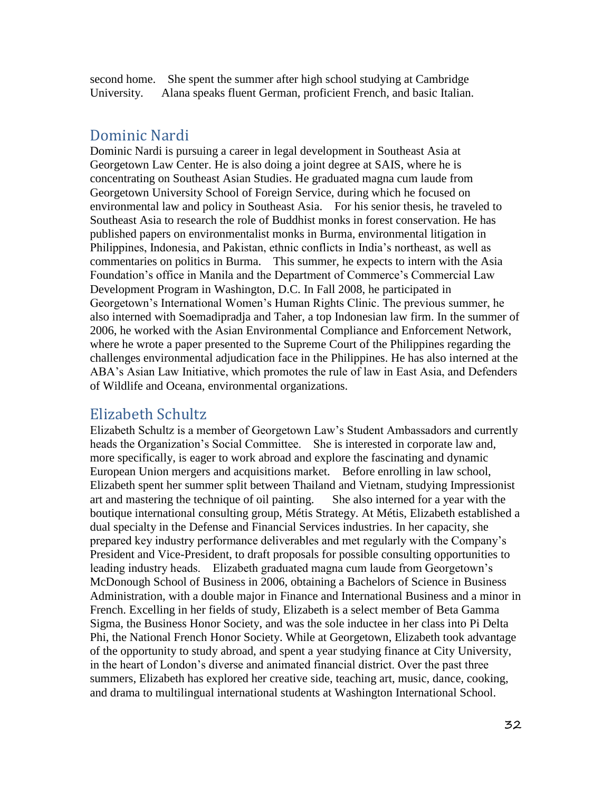second home. She spent the summer after high school studying at Cambridge University. Alana speaks fluent German, proficient French, and basic Italian.

#### Dominic Nardi

Dominic Nardi is pursuing a career in legal development in Southeast Asia at Georgetown Law Center. He is also doing a joint degree at SAIS, where he is concentrating on Southeast Asian Studies. He graduated magna cum laude from Georgetown University School of Foreign Service, during which he focused on environmental law and policy in Southeast Asia. For his senior thesis, he traveled to Southeast Asia to research the role of Buddhist monks in forest conservation. He has published papers on environmentalist monks in Burma, environmental litigation in Philippines, Indonesia, and Pakistan, ethnic conflicts in India's northeast, as well as commentaries on politics in Burma. This summer, he expects to intern with the Asia Foundation's office in Manila and the Department of Commerce's Commercial Law Development Program in Washington, D.C. In Fall 2008, he participated in Georgetown's International Women's Human Rights Clinic. The previous summer, he also interned with Soemadipradja and Taher, a top Indonesian law firm. In the summer of 2006, he worked with the Asian Environmental Compliance and Enforcement Network, where he wrote a paper presented to the Supreme Court of the Philippines regarding the challenges environmental adjudication face in the Philippines. He has also interned at the ABA's Asian Law Initiative, which promotes the rule of law in East Asia, and Defenders of Wildlife and Oceana, environmental organizations.

#### Elizabeth Schultz

Elizabeth Schultz is a member of Georgetown Law's Student Ambassadors and currently heads the Organization's Social Committee. She is interested in corporate law and, more specifically, is eager to work abroad and explore the fascinating and dynamic European Union mergers and acquisitions market. Before enrolling in law school, Elizabeth spent her summer split between Thailand and Vietnam, studying Impressionist art and mastering the technique of oil painting. She also interned for a year with the boutique international consulting group, Métis Strategy. At Métis, Elizabeth established a dual specialty in the Defense and Financial Services industries. In her capacity, she prepared key industry performance deliverables and met regularly with the Company's President and Vice-President, to draft proposals for possible consulting opportunities to leading industry heads. Elizabeth graduated magna cum laude from Georgetown's McDonough School of Business in 2006, obtaining a Bachelors of Science in Business Administration, with a double major in Finance and International Business and a minor in French. Excelling in her fields of study, Elizabeth is a select member of Beta Gamma Sigma, the Business Honor Society, and was the sole inductee in her class into Pi Delta Phi, the National French Honor Society. While at Georgetown, Elizabeth took advantage of the opportunity to study abroad, and spent a year studying finance at City University, in the heart of London's diverse and animated financial district. Over the past three summers, Elizabeth has explored her creative side, teaching art, music, dance, cooking, and drama to multilingual international students at Washington International School.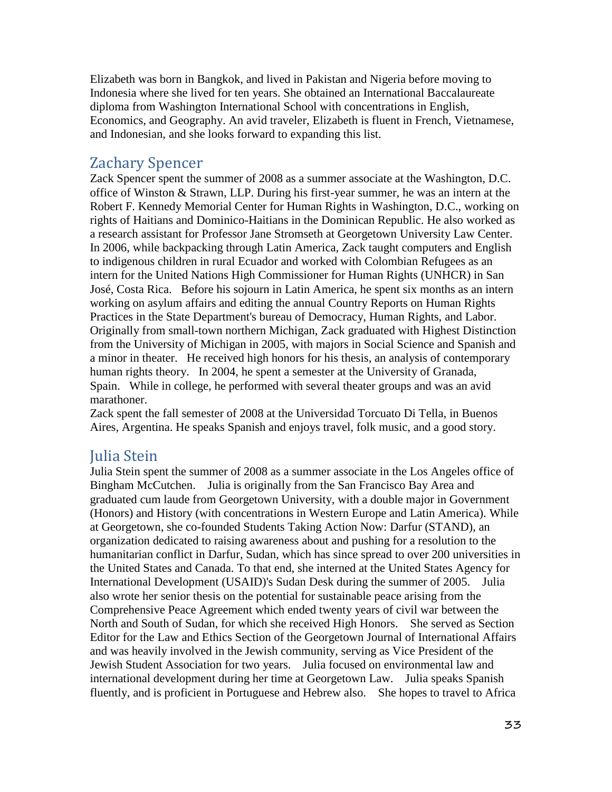Elizabeth was born in Bangkok, and lived in Pakistan and Nigeria before moving to Indonesia where she lived for ten years. She obtained an International Baccalaureate diploma from Washington International School with concentrations in English, Economics, and Geography. An avid traveler, Elizabeth is fluent in French, Vietnamese, and Indonesian, and she looks forward to expanding this list.

### Zachary Spencer

Zack Spencer spent the summer of 2008 as a summer associate at the Washington, D.C. office of Winston & Strawn, LLP. During his first-year summer, he was an intern at the Robert F. Kennedy Memorial Center for Human Rights in Washington, D.C., working on rights of Haitians and Dominico-Haitians in the Dominican Republic. He also worked as a research assistant for Professor Jane Stromseth at Georgetown University Law Center. In 2006, while backpacking through Latin America, Zack taught computers and English to indigenous children in rural Ecuador and worked with Colombian Refugees as an intern for the United Nations High Commissioner for Human Rights (UNHCR) in San José, Costa Rica. Before his sojourn in Latin America, he spent six months as an intern working on asylum affairs and editing the annual Country Reports on Human Rights Practices in the State Department's bureau of Democracy, Human Rights, and Labor. Originally from small-town northern Michigan, Zack graduated with Highest Distinction from the University of Michigan in 2005, with majors in Social Science and Spanish and a minor in theater. He received high honors for his thesis, an analysis of contemporary human rights theory. In 2004, he spent a semester at the University of Granada, Spain. While in college, he performed with several theater groups and was an avid marathoner.

Zack spent the fall semester of 2008 at the Universidad Torcuato Di Tella, in Buenos Aires, Argentina. He speaks Spanish and enjoys travel, folk music, and a good story.

### Julia Stein

Julia Stein spent the summer of 2008 as a summer associate in the Los Angeles office of Bingham McCutchen. Julia is originally from the San Francisco Bay Area and graduated cum laude from Georgetown University, with a double major in Government (Honors) and History (with concentrations in Western Europe and Latin America). While at Georgetown, she co-founded Students Taking Action Now: Darfur (STAND), an organization dedicated to raising awareness about and pushing for a resolution to the humanitarian conflict in Darfur, Sudan, which has since spread to over 200 universities in the United States and Canada. To that end, she interned at the United States Agency for International Development (USAID)'s Sudan Desk during the summer of 2005. Julia also wrote her senior thesis on the potential for sustainable peace arising from the Comprehensive Peace Agreement which ended twenty years of civil war between the North and South of Sudan, for which she received High Honors. She served as Section Editor for the Law and Ethics Section of the Georgetown Journal of International Affairs and was heavily involved in the Jewish community, serving as Vice President of the Jewish Student Association for two years. Julia focused on environmental law and international development during her time at Georgetown Law. Julia speaks Spanish fluently, and is proficient in Portuguese and Hebrew also. She hopes to travel to Africa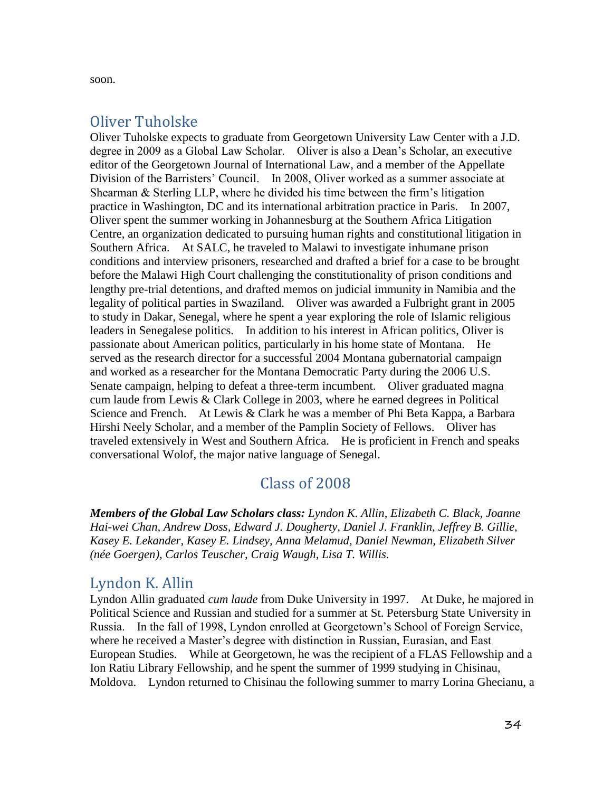soon.

## Oliver Tuholske

Oliver Tuholske expects to graduate from Georgetown University Law Center with a J.D. degree in 2009 as a Global Law Scholar. Oliver is also a Dean's Scholar, an executive editor of the Georgetown Journal of International Law, and a member of the Appellate Division of the Barristers' Council. In 2008, Oliver worked as a summer associate at Shearman & Sterling LLP, where he divided his time between the firm's litigation practice in Washington, DC and its international arbitration practice in Paris. In 2007, Oliver spent the summer working in Johannesburg at the Southern Africa Litigation Centre, an organization dedicated to pursuing human rights and constitutional litigation in Southern Africa. At SALC, he traveled to Malawi to investigate inhumane prison conditions and interview prisoners, researched and drafted a brief for a case to be brought before the Malawi High Court challenging the constitutionality of prison conditions and lengthy pre-trial detentions, and drafted memos on judicial immunity in Namibia and the legality of political parties in Swaziland. Oliver was awarded a Fulbright grant in 2005 to study in Dakar, Senegal, where he spent a year exploring the role of Islamic religious leaders in Senegalese politics. In addition to his interest in African politics, Oliver is passionate about American politics, particularly in his home state of Montana. He served as the research director for a successful 2004 Montana gubernatorial campaign and worked as a researcher for the Montana Democratic Party during the 2006 U.S. Senate campaign, helping to defeat a three-term incumbent. Oliver graduated magna cum laude from Lewis & Clark College in 2003, where he earned degrees in Political Science and French. At Lewis & Clark he was a member of Phi Beta Kappa, a Barbara Hirshi Neely Scholar, and a member of the Pamplin Society of Fellows. Oliver has traveled extensively in West and Southern Africa. He is proficient in French and speaks conversational Wolof, the major native language of Senegal.

# Class of 2008

*Members of the Global Law Scholars class: Lyndon K. Allin, Elizabeth C. Black, Joanne Hai-wei Chan, Andrew Doss, Edward J. Dougherty, Daniel J. Franklin, Jeffrey B. Gillie, Kasey E. Lekander, Kasey E. Lindsey, Anna Melamud, Daniel Newman, Elizabeth Silver (née Goergen), Carlos Teuscher, Craig Waugh, Lisa T. Willis.*

## Lyndon K. Allin

Lyndon Allin graduated *cum laude* from Duke University in 1997. At Duke, he majored in Political Science and Russian and studied for a summer at St. Petersburg State University in Russia. In the fall of 1998, Lyndon enrolled at Georgetown's School of Foreign Service, where he received a Master's degree with distinction in Russian, Eurasian, and East European Studies. While at Georgetown, he was the recipient of a FLAS Fellowship and a Ion Ratiu Library Fellowship, and he spent the summer of 1999 studying in Chisinau, Moldova. Lyndon returned to Chisinau the following summer to marry Lorina Ghecianu, a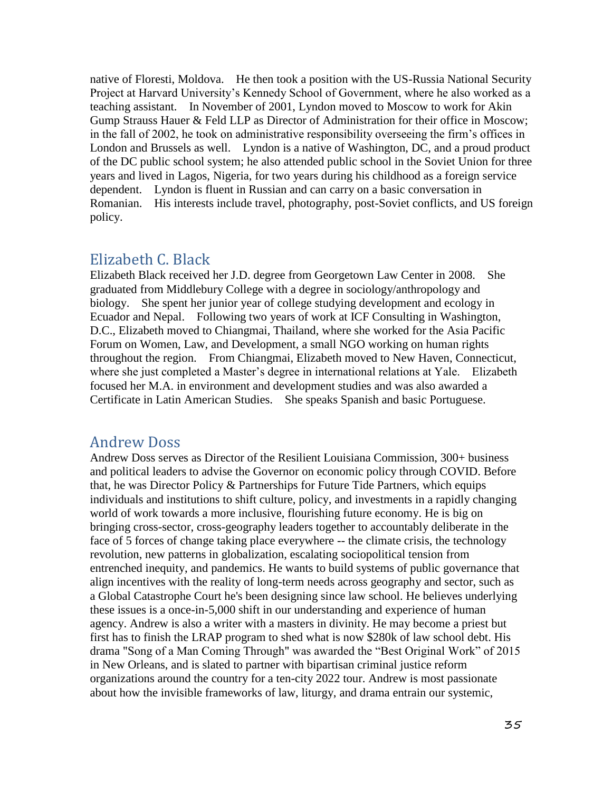native of Floresti, Moldova. He then took a position with the US-Russia National Security Project at Harvard University's Kennedy School of Government, where he also worked as a teaching assistant. In November of 2001, Lyndon moved to Moscow to work for Akin Gump Strauss Hauer & Feld LLP as Director of Administration for their office in Moscow; in the fall of 2002, he took on administrative responsibility overseeing the firm's offices in London and Brussels as well. Lyndon is a native of Washington, DC, and a proud product of the DC public school system; he also attended public school in the Soviet Union for three years and lived in Lagos, Nigeria, for two years during his childhood as a foreign service dependent. Lyndon is fluent in Russian and can carry on a basic conversation in Romanian. His interests include travel, photography, post-Soviet conflicts, and US foreign policy.

### Elizabeth C. Black

Elizabeth Black received her J.D. degree from Georgetown Law Center in 2008. She graduated from Middlebury College with a degree in sociology/anthropology and biology. She spent her junior year of college studying development and ecology in Ecuador and Nepal. Following two years of work at ICF Consulting in Washington, D.C., Elizabeth moved to Chiangmai, Thailand, where she worked for the Asia Pacific Forum on Women, Law, and Development, a small NGO working on human rights throughout the region. From Chiangmai, Elizabeth moved to New Haven, Connecticut, where she just completed a Master's degree in international relations at Yale. Elizabeth focused her M.A. in environment and development studies and was also awarded a Certificate in Latin American Studies. She speaks Spanish and basic Portuguese.

### Andrew Doss

Andrew Doss serves as Director of the Resilient Louisiana Commission, 300+ business and political leaders to advise the Governor on economic policy through COVID. Before that, he was Director Policy & Partnerships for Future Tide Partners, which equips individuals and institutions to shift culture, policy, and investments in a rapidly changing world of work towards a more inclusive, flourishing future economy. He is big on bringing cross-sector, cross-geography leaders together to accountably deliberate in the face of 5 forces of change taking place everywhere -- the climate crisis, the technology revolution, new patterns in globalization, escalating sociopolitical tension from entrenched inequity, and pandemics. He wants to build systems of public governance that align incentives with the reality of long-term needs across geography and sector, such as a Global Catastrophe Court he's been designing since law school. He believes underlying these issues is a once-in-5,000 shift in our understanding and experience of human agency. Andrew is also a writer with a masters in divinity. He may become a priest but first has to finish the LRAP program to shed what is now \$280k of law school debt. His drama "Song of a Man Coming Through" was awarded the "Best Original Work" of 2015 in New Orleans, and is slated to partner with bipartisan criminal justice reform organizations around the country for a ten-city 2022 tour. Andrew is most passionate about how the invisible frameworks of law, liturgy, and drama entrain our systemic,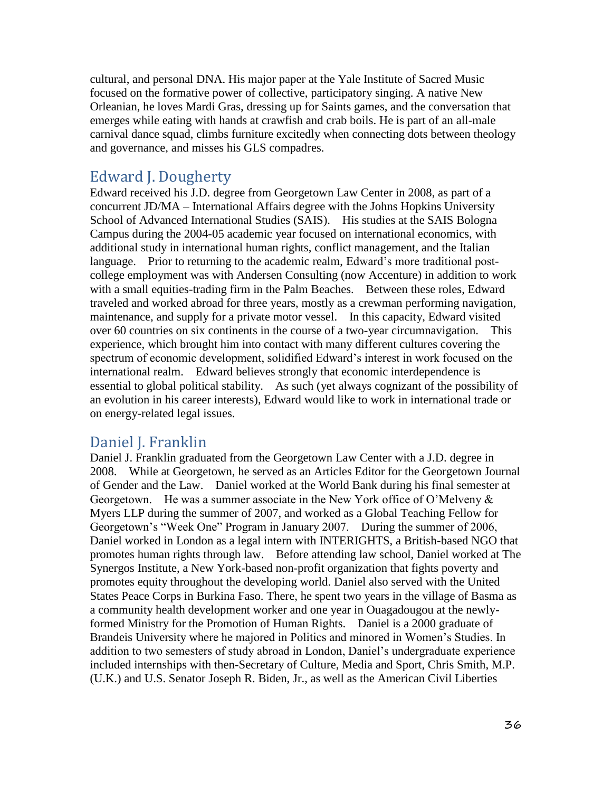cultural, and personal DNA. His major paper at the Yale Institute of Sacred Music focused on the formative power of collective, participatory singing. A native New Orleanian, he loves Mardi Gras, dressing up for Saints games, and the conversation that emerges while eating with hands at crawfish and crab boils. He is part of an all-male carnival dance squad, climbs furniture excitedly when connecting dots between theology and governance, and misses his GLS compadres.

### Edward J. Dougherty

Edward received his J.D. degree from Georgetown Law Center in 2008, as part of a concurrent JD/MA – International Affairs degree with the Johns Hopkins University School of Advanced International Studies (SAIS). His studies at the SAIS Bologna Campus during the 2004-05 academic year focused on international economics, with additional study in international human rights, conflict management, and the Italian language. Prior to returning to the academic realm, Edward's more traditional postcollege employment was with Andersen Consulting (now Accenture) in addition to work with a small equities-trading firm in the Palm Beaches. Between these roles, Edward traveled and worked abroad for three years, mostly as a crewman performing navigation, maintenance, and supply for a private motor vessel. In this capacity, Edward visited over 60 countries on six continents in the course of a two-year circumnavigation. This experience, which brought him into contact with many different cultures covering the spectrum of economic development, solidified Edward's interest in work focused on the international realm. Edward believes strongly that economic interdependence is essential to global political stability. As such (yet always cognizant of the possibility of an evolution in his career interests), Edward would like to work in international trade or on energy-related legal issues.

### Daniel J. Franklin

Daniel J. Franklin graduated from the Georgetown Law Center with a J.D. degree in 2008. While at Georgetown, he served as an Articles Editor for the Georgetown Journal of Gender and the Law. Daniel worked at the World Bank during his final semester at Georgetown. He was a summer associate in the New York office of O'Melveny  $\&$ Myers LLP during the summer of 2007, and worked as a Global Teaching Fellow for Georgetown's "Week One" Program in January 2007. During the summer of 2006, Daniel worked in London as a legal intern with INTERIGHTS, a British-based NGO that promotes human rights through law. Before attending law school, Daniel worked at The Synergos Institute, a New York-based non-profit organization that fights poverty and promotes equity throughout the developing world. Daniel also served with the United States Peace Corps in Burkina Faso. There, he spent two years in the village of Basma as a community health development worker and one year in Ouagadougou at the newlyformed Ministry for the Promotion of Human Rights. Daniel is a 2000 graduate of Brandeis University where he majored in Politics and minored in Women's Studies. In addition to two semesters of study abroad in London, Daniel's undergraduate experience included internships with then-Secretary of Culture, Media and Sport, Chris Smith, M.P. (U.K.) and U.S. Senator Joseph R. Biden, Jr., as well as the American Civil Liberties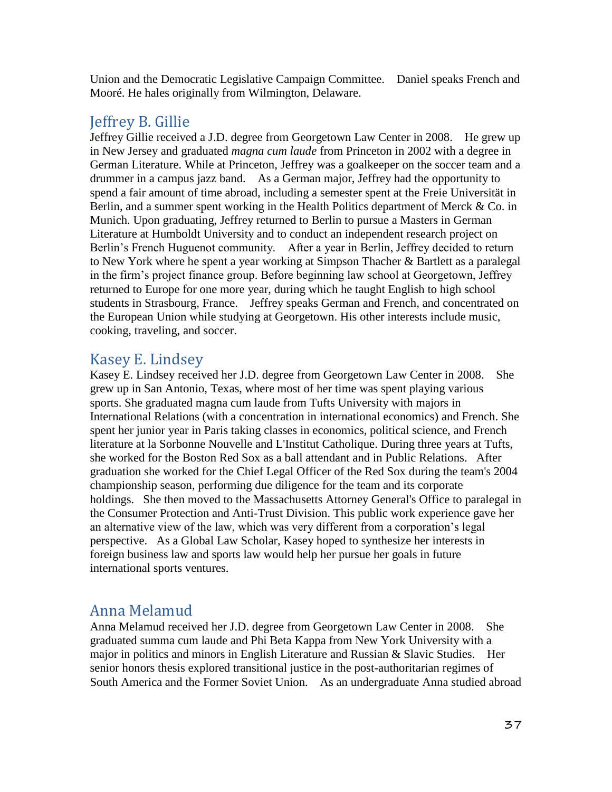Union and the Democratic Legislative Campaign Committee. Daniel speaks French and Mooré. He hales originally from Wilmington, Delaware.

## Jeffrey B. Gillie

Jeffrey Gillie received a J.D. degree from Georgetown Law Center in 2008. He grew up in New Jersey and graduated *magna cum laude* from Princeton in 2002 with a degree in German Literature. While at Princeton, Jeffrey was a goalkeeper on the soccer team and a drummer in a campus jazz band. As a German major, Jeffrey had the opportunity to spend a fair amount of time abroad, including a semester spent at the Freie Universität in Berlin, and a summer spent working in the Health Politics department of Merck & Co. in Munich. Upon graduating, Jeffrey returned to Berlin to pursue a Masters in German Literature at Humboldt University and to conduct an independent research project on Berlin's French Huguenot community. After a year in Berlin, Jeffrey decided to return to New York where he spent a year working at Simpson Thacher & Bartlett as a paralegal in the firm's project finance group. Before beginning law school at Georgetown, Jeffrey returned to Europe for one more year, during which he taught English to high school students in Strasbourg, France. Jeffrey speaks German and French, and concentrated on the European Union while studying at Georgetown. His other interests include music, cooking, traveling, and soccer.

## Kasey E. Lindsey

Kasey E. Lindsey received her J.D. degree from Georgetown Law Center in 2008. She grew up in San Antonio, Texas, where most of her time was spent playing various sports. She graduated magna cum laude from Tufts University with majors in International Relations (with a concentration in international economics) and French. She spent her junior year in Paris taking classes in economics, political science, and French literature at la Sorbonne Nouvelle and L'Institut Catholique. During three years at Tufts, she worked for the Boston Red Sox as a ball attendant and in Public Relations. After graduation she worked for the Chief Legal Officer of the Red Sox during the team's 2004 championship season, performing due diligence for the team and its corporate holdings. She then moved to the Massachusetts Attorney General's Office to paralegal in the Consumer Protection and Anti-Trust Division. This public work experience gave her an alternative view of the law, which was very different from a corporation's legal perspective. As a Global Law Scholar, Kasey hoped to synthesize her interests in foreign business law and sports law would help her pursue her goals in future international sports ventures.

# Anna Melamud

Anna Melamud received her J.D. degree from Georgetown Law Center in 2008. She graduated summa cum laude and Phi Beta Kappa from New York University with a major in politics and minors in English Literature and Russian & Slavic Studies. Her senior honors thesis explored transitional justice in the post-authoritarian regimes of South America and the Former Soviet Union. As an undergraduate Anna studied abroad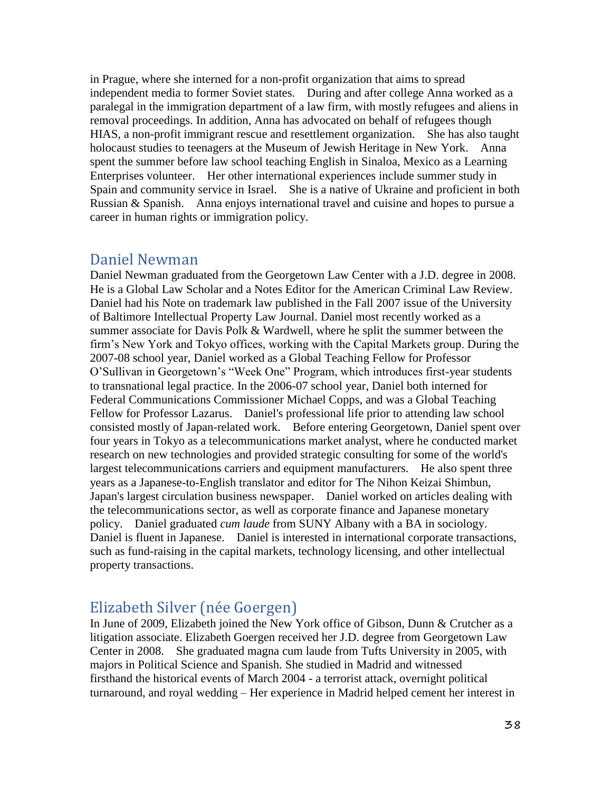in Prague, where she interned for a non-profit organization that aims to spread independent media to former Soviet states. During and after college Anna worked as a paralegal in the immigration department of a law firm, with mostly refugees and aliens in removal proceedings. In addition, Anna has advocated on behalf of refugees though HIAS, a non-profit immigrant rescue and resettlement organization. She has also taught holocaust studies to teenagers at the Museum of Jewish Heritage in New York. Anna spent the summer before law school teaching English in Sinaloa, Mexico as a Learning Enterprises volunteer. Her other international experiences include summer study in Spain and community service in Israel. She is a native of Ukraine and proficient in both Russian & Spanish. Anna enjoys international travel and cuisine and hopes to pursue a career in human rights or immigration policy.

#### Daniel Newman

Daniel Newman graduated from the Georgetown Law Center with a J.D. degree in 2008. He is a Global Law Scholar and a Notes Editor for the American Criminal Law Review. Daniel had his Note on trademark law published in the Fall 2007 issue of the University of Baltimore Intellectual Property Law Journal. Daniel most recently worked as a summer associate for Davis Polk & Wardwell, where he split the summer between the firm's New York and Tokyo offices, working with the Capital Markets group. During the 2007-08 school year, Daniel worked as a Global Teaching Fellow for Professor O'Sullivan in Georgetown's "Week One" Program, which introduces first-year students to transnational legal practice. In the 2006-07 school year, Daniel both interned for Federal Communications Commissioner Michael Copps, and was a Global Teaching Fellow for Professor Lazarus. Daniel's professional life prior to attending law school consisted mostly of Japan-related work. Before entering Georgetown, Daniel spent over four years in Tokyo as a telecommunications market analyst, where he conducted market research on new technologies and provided strategic consulting for some of the world's largest telecommunications carriers and equipment manufacturers. He also spent three years as a Japanese-to-English translator and editor for The Nihon Keizai Shimbun, Japan's largest circulation business newspaper. Daniel worked on articles dealing with the telecommunications sector, as well as corporate finance and Japanese monetary policy. Daniel graduated *cum laude* from SUNY Albany with a BA in sociology. Daniel is fluent in Japanese. Daniel is interested in international corporate transactions, such as fund-raising in the capital markets, technology licensing, and other intellectual property transactions.

### Elizabeth Silver (née Goergen)

In June of 2009, Elizabeth joined the New York office of Gibson, Dunn & Crutcher as a litigation associate. Elizabeth Goergen received her J.D. degree from Georgetown Law Center in 2008. She graduated magna cum laude from Tufts University in 2005, with majors in Political Science and Spanish. She studied in Madrid and witnessed firsthand the historical events of March 2004 - a terrorist attack, overnight political turnaround, and royal wedding – Her experience in Madrid helped cement her interest in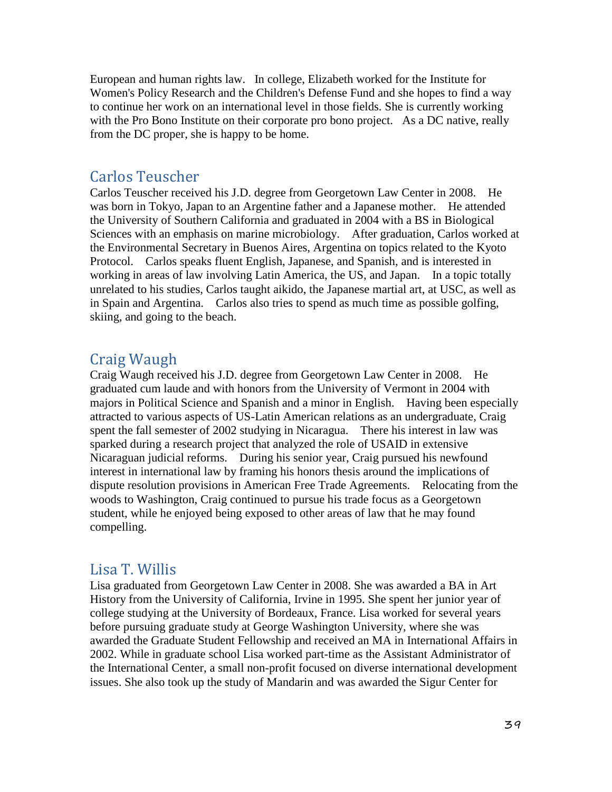European and human rights law. In college, Elizabeth worked for the Institute for Women's Policy Research and the Children's Defense Fund and she hopes to find a way to continue her work on an international level in those fields. She is currently working with the Pro Bono Institute on their corporate pro bono project. As a DC native, really from the DC proper, she is happy to be home.

#### Carlos Teuscher

Carlos Teuscher received his J.D. degree from Georgetown Law Center in 2008. He was born in Tokyo, Japan to an Argentine father and a Japanese mother. He attended the University of Southern California and graduated in 2004 with a BS in Biological Sciences with an emphasis on marine microbiology. After graduation, Carlos worked at the Environmental Secretary in Buenos Aires, Argentina on topics related to the Kyoto Protocol. Carlos speaks fluent English, Japanese, and Spanish, and is interested in working in areas of law involving Latin America, the US, and Japan. In a topic totally unrelated to his studies, Carlos taught aikido, the Japanese martial art, at USC, as well as in Spain and Argentina. Carlos also tries to spend as much time as possible golfing, skiing, and going to the beach.

### Craig Waugh

Craig Waugh received his J.D. degree from Georgetown Law Center in 2008. He graduated cum laude and with honors from the University of Vermont in 2004 with majors in Political Science and Spanish and a minor in English. Having been especially attracted to various aspects of US-Latin American relations as an undergraduate, Craig spent the fall semester of 2002 studying in Nicaragua. There his interest in law was sparked during a research project that analyzed the role of USAID in extensive Nicaraguan judicial reforms. During his senior year, Craig pursued his newfound interest in international law by framing his honors thesis around the implications of dispute resolution provisions in American Free Trade Agreements. Relocating from the woods to Washington, Craig continued to pursue his trade focus as a Georgetown student, while he enjoyed being exposed to other areas of law that he may found compelling.

#### Lisa T. Willis

Lisa graduated from Georgetown Law Center in 2008. She was awarded a BA in Art History from the University of California, Irvine in 1995. She spent her junior year of college studying at the University of Bordeaux, France. Lisa worked for several years before pursuing graduate study at George Washington University, where she was awarded the Graduate Student Fellowship and received an MA in International Affairs in 2002. While in graduate school Lisa worked part-time as the Assistant Administrator of the International Center, a small non-profit focused on diverse international development issues. She also took up the study of Mandarin and was awarded the Sigur Center for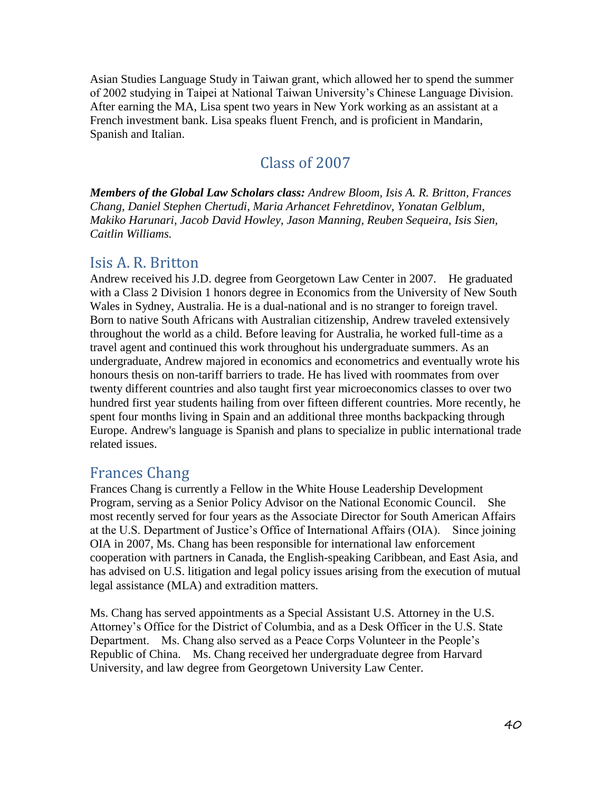Asian Studies Language Study in Taiwan grant, which allowed her to spend the summer of 2002 studying in Taipei at National Taiwan University's Chinese Language Division. After earning the MA, Lisa spent two years in New York working as an assistant at a French investment bank. Lisa speaks fluent French, and is proficient in Mandarin, Spanish and Italian.

### Class of 2007

*Members of the Global Law Scholars class: Andrew Bloom, Isis A. R. Britton, Frances Chang, Daniel Stephen Chertudi, Maria Arhancet Fehretdinov, Yonatan Gelblum, Makiko Harunari, Jacob David Howley, Jason Manning, Reuben Sequeira, Isis Sien, Caitlin Williams.*

#### Isis A. R. Britton

Andrew received his J.D. degree from Georgetown Law Center in 2007. He graduated with a Class 2 Division 1 honors degree in Economics from the University of New South Wales in Sydney, Australia. He is a dual-national and is no stranger to foreign travel. Born to native South Africans with Australian citizenship, Andrew traveled extensively throughout the world as a child. Before leaving for Australia, he worked full-time as a travel agent and continued this work throughout his undergraduate summers. As an undergraduate, Andrew majored in economics and econometrics and eventually wrote his honours thesis on non-tariff barriers to trade. He has lived with roommates from over twenty different countries and also taught first year microeconomics classes to over two hundred first year students hailing from over fifteen different countries. More recently, he spent four months living in Spain and an additional three months backpacking through Europe. Andrew's language is Spanish and plans to specialize in public international trade related issues.

### Frances Chang

Frances Chang is currently a Fellow in the White House Leadership Development Program, serving as a Senior Policy Advisor on the National Economic Council. She most recently served for four years as the Associate Director for South American Affairs at the U.S. Department of Justice's Office of International Affairs (OIA). Since joining OIA in 2007, Ms. Chang has been responsible for international law enforcement cooperation with partners in Canada, the English-speaking Caribbean, and East Asia, and has advised on U.S. litigation and legal policy issues arising from the execution of mutual legal assistance (MLA) and extradition matters.

Ms. Chang has served appointments as a Special Assistant U.S. Attorney in the U.S. Attorney's Office for the District of Columbia, and as a Desk Officer in the U.S. State Department. Ms. Chang also served as a Peace Corps Volunteer in the People's Republic of China. Ms. Chang received her undergraduate degree from Harvard University, and law degree from Georgetown University Law Center.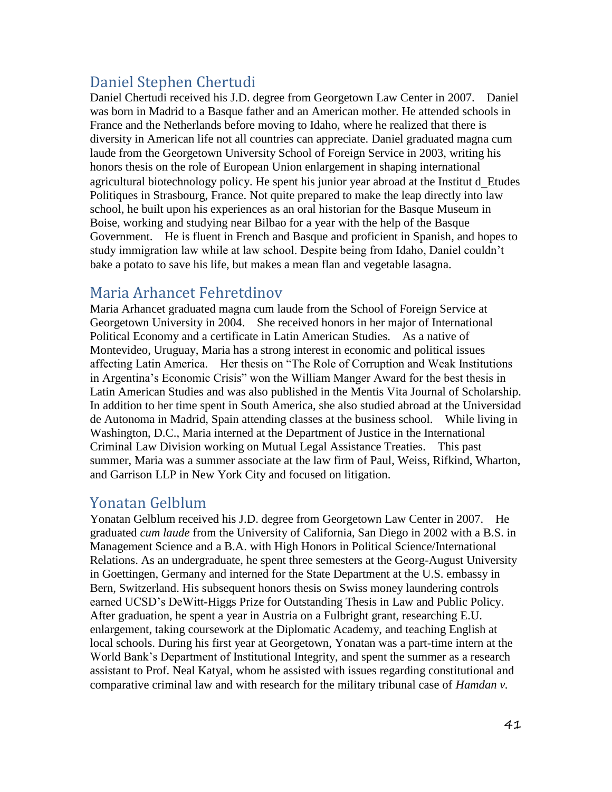# Daniel Stephen Chertudi

Daniel Chertudi received his J.D. degree from Georgetown Law Center in 2007. Daniel was born in Madrid to a Basque father and an American mother. He attended schools in France and the Netherlands before moving to Idaho, where he realized that there is diversity in American life not all countries can appreciate. Daniel graduated magna cum laude from the Georgetown University School of Foreign Service in 2003, writing his honors thesis on the role of European Union enlargement in shaping international agricultural biotechnology policy. He spent his junior year abroad at the Institut d Etudes Politiques in Strasbourg, France. Not quite prepared to make the leap directly into law school, he built upon his experiences as an oral historian for the Basque Museum in Boise, working and studying near Bilbao for a year with the help of the Basque Government. He is fluent in French and Basque and proficient in Spanish, and hopes to study immigration law while at law school. Despite being from Idaho, Daniel couldn't bake a potato to save his life, but makes a mean flan and vegetable lasagna.

## Maria Arhancet Fehretdinov

Maria Arhancet graduated magna cum laude from the School of Foreign Service at Georgetown University in 2004. She received honors in her major of International Political Economy and a certificate in Latin American Studies. As a native of Montevideo, Uruguay, Maria has a strong interest in economic and political issues affecting Latin America. Her thesis on "The Role of Corruption and Weak Institutions in Argentina's Economic Crisis" won the William Manger Award for the best thesis in Latin American Studies and was also published in the Mentis Vita Journal of Scholarship. In addition to her time spent in South America, she also studied abroad at the Universidad de Autonoma in Madrid, Spain attending classes at the business school. While living in Washington, D.C., Maria interned at the Department of Justice in the International Criminal Law Division working on Mutual Legal Assistance Treaties. This past summer, Maria was a summer associate at the law firm of Paul, Weiss, Rifkind, Wharton, and Garrison LLP in New York City and focused on litigation.

### Yonatan Gelblum

Yonatan Gelblum received his J.D. degree from Georgetown Law Center in 2007. He graduated *cum laude* from the University of California, San Diego in 2002 with a B.S. in Management Science and a B.A. with High Honors in Political Science/International Relations. As an undergraduate, he spent three semesters at the Georg-August University in Goettingen, Germany and interned for the State Department at the U.S. embassy in Bern, Switzerland. His subsequent honors thesis on Swiss money laundering controls earned UCSD's DeWitt-Higgs Prize for Outstanding Thesis in Law and Public Policy. After graduation, he spent a year in Austria on a Fulbright grant, researching E.U. enlargement, taking coursework at the Diplomatic Academy, and teaching English at local schools. During his first year at Georgetown, Yonatan was a part-time intern at the World Bank's Department of Institutional Integrity, and spent the summer as a research assistant to Prof. Neal Katyal, whom he assisted with issues regarding constitutional and comparative criminal law and with research for the military tribunal case of *Hamdan v.*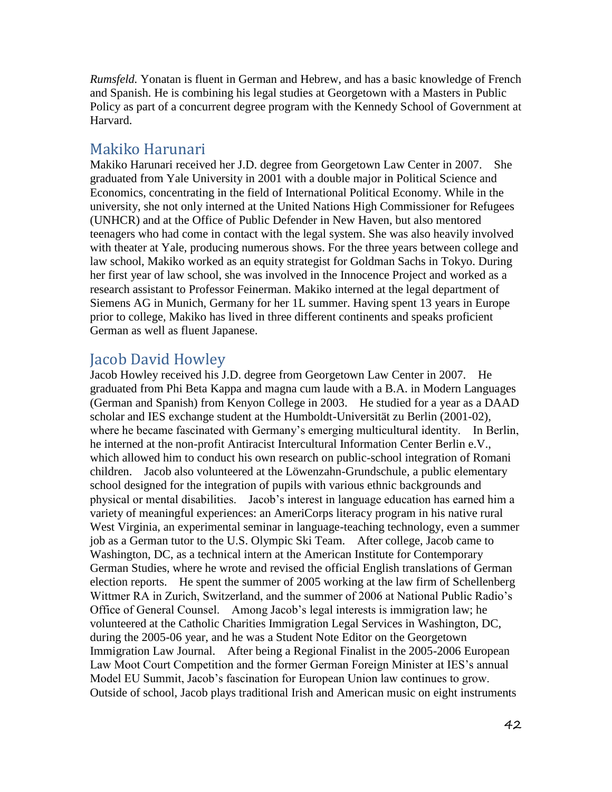*Rumsfeld.* Yonatan is fluent in German and Hebrew, and has a basic knowledge of French and Spanish. He is combining his legal studies at Georgetown with a Masters in Public Policy as part of a concurrent degree program with the Kennedy School of Government at Harvard.

#### Makiko Harunari

Makiko Harunari received her J.D. degree from Georgetown Law Center in 2007. She graduated from Yale University in 2001 with a double major in Political Science and Economics, concentrating in the field of International Political Economy. While in the university, she not only interned at the United Nations High Commissioner for Refugees (UNHCR) and at the Office of Public Defender in New Haven, but also mentored teenagers who had come in contact with the legal system. She was also heavily involved with theater at Yale, producing numerous shows. For the three years between college and law school, Makiko worked as an equity strategist for Goldman Sachs in Tokyo. During her first year of law school, she was involved in the Innocence Project and worked as a research assistant to Professor Feinerman. Makiko interned at the legal department of Siemens AG in Munich, Germany for her 1L summer. Having spent 13 years in Europe prior to college, Makiko has lived in three different continents and speaks proficient German as well as fluent Japanese.

### Jacob David Howley

Jacob Howley received his J.D. degree from Georgetown Law Center in 2007. He graduated from Phi Beta Kappa and magna cum laude with a B.A. in Modern Languages (German and Spanish) from Kenyon College in 2003. He studied for a year as a DAAD scholar and IES exchange student at the Humboldt-Universität zu Berlin (2001-02), where he became fascinated with Germany's emerging multicultural identity. In Berlin, he interned at the non-profit Antiracist Intercultural Information Center Berlin e.V., which allowed him to conduct his own research on public-school integration of Romani children. Jacob also volunteered at the Löwenzahn-Grundschule, a public elementary school designed for the integration of pupils with various ethnic backgrounds and physical or mental disabilities. Jacob's interest in language education has earned him a variety of meaningful experiences: an AmeriCorps literacy program in his native rural West Virginia, an experimental seminar in language-teaching technology, even a summer job as a German tutor to the U.S. Olympic Ski Team. After college, Jacob came to Washington, DC, as a technical intern at the American Institute for Contemporary German Studies, where he wrote and revised the official English translations of German election reports. He spent the summer of 2005 working at the law firm of Schellenberg Wittmer RA in Zurich, Switzerland, and the summer of 2006 at National Public Radio's Office of General Counsel. Among Jacob's legal interests is immigration law; he volunteered at the Catholic Charities Immigration Legal Services in Washington, DC, during the 2005-06 year, and he was a Student Note Editor on the Georgetown Immigration Law Journal. After being a Regional Finalist in the 2005-2006 European Law Moot Court Competition and the former German Foreign Minister at IES's annual Model EU Summit, Jacob's fascination for European Union law continues to grow. Outside of school, Jacob plays traditional Irish and American music on eight instruments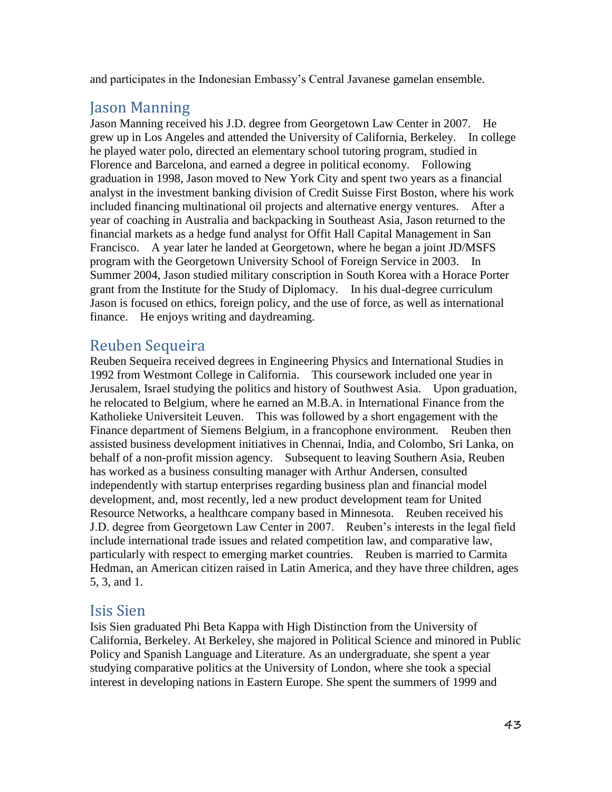and participates in the Indonesian Embassy's Central Javanese gamelan ensemble.

# Jason Manning

Jason Manning received his J.D. degree from Georgetown Law Center in 2007. He grew up in Los Angeles and attended the University of California, Berkeley. In college he played water polo, directed an elementary school tutoring program, studied in Florence and Barcelona, and earned a degree in political economy. Following graduation in 1998, Jason moved to New York City and spent two years as a financial analyst in the investment banking division of Credit Suisse First Boston, where his work included financing multinational oil projects and alternative energy ventures. After a year of coaching in Australia and backpacking in Southeast Asia, Jason returned to the financial markets as a hedge fund analyst for Offit Hall Capital Management in San Francisco. A year later he landed at Georgetown, where he began a joint JD/MSFS program with the Georgetown University School of Foreign Service in 2003. In Summer 2004, Jason studied military conscription in South Korea with a Horace Porter grant from the Institute for the Study of Diplomacy. In his dual-degree curriculum Jason is focused on ethics, foreign policy, and the use of force, as well as international finance. He enjoys writing and daydreaming.

### Reuben Sequeira

Reuben Sequeira received degrees in Engineering Physics and International Studies in 1992 from Westmont College in California. This coursework included one year in Jerusalem, Israel studying the politics and history of Southwest Asia. Upon graduation, he relocated to Belgium, where he earned an M.B.A. in International Finance from the Katholieke Universiteit Leuven. This was followed by a short engagement with the Finance department of Siemens Belgium, in a francophone environment. Reuben then assisted business development initiatives in Chennai, India, and Colombo, Sri Lanka, on behalf of a non-profit mission agency. Subsequent to leaving Southern Asia, Reuben has worked as a business consulting manager with Arthur Andersen, consulted independently with startup enterprises regarding business plan and financial model development, and, most recently, led a new product development team for United Resource Networks, a healthcare company based in Minnesota. Reuben received his J.D. degree from Georgetown Law Center in 2007. Reuben's interests in the legal field include international trade issues and related competition law, and comparative law, particularly with respect to emerging market countries. Reuben is married to Carmita Hedman, an American citizen raised in Latin America, and they have three children, ages 5, 3, and 1.

### Isis Sien

Isis Sien graduated Phi Beta Kappa with High Distinction from the University of California, Berkeley. At Berkeley, she majored in Political Science and minored in Public Policy and Spanish Language and Literature. As an undergraduate, she spent a year studying comparative politics at the University of London, where she took a special interest in developing nations in Eastern Europe. She spent the summers of 1999 and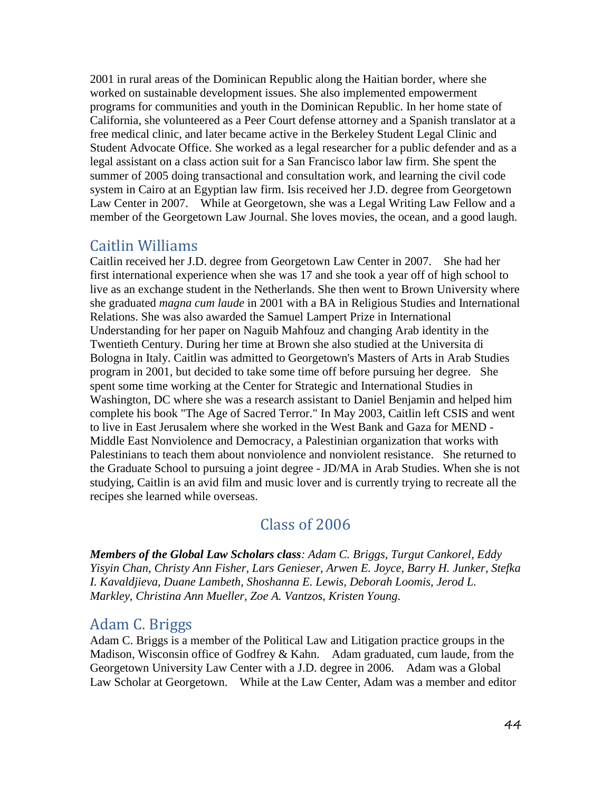2001 in rural areas of the Dominican Republic along the Haitian border, where she worked on sustainable development issues. She also implemented empowerment programs for communities and youth in the Dominican Republic. In her home state of California, she volunteered as a Peer Court defense attorney and a Spanish translator at a free medical clinic, and later became active in the Berkeley Student Legal Clinic and Student Advocate Office. She worked as a legal researcher for a public defender and as a legal assistant on a class action suit for a San Francisco labor law firm. She spent the summer of 2005 doing transactional and consultation work, and learning the civil code system in Cairo at an Egyptian law firm. Isis received her J.D. degree from Georgetown Law Center in 2007. While at Georgetown, she was a Legal Writing Law Fellow and a member of the Georgetown Law Journal. She loves movies, the ocean, and a good laugh.

### Caitlin Williams

Caitlin received her J.D. degree from Georgetown Law Center in 2007. She had her first international experience when she was 17 and she took a year off of high school to live as an exchange student in the Netherlands. She then went to Brown University where she graduated *magna cum laude* in 2001 with a BA in Religious Studies and International Relations. She was also awarded the Samuel Lampert Prize in International Understanding for her paper on Naguib Mahfouz and changing Arab identity in the Twentieth Century. During her time at Brown she also studied at the Universita di Bologna in Italy. Caitlin was admitted to Georgetown's Masters of Arts in Arab Studies program in 2001, but decided to take some time off before pursuing her degree. She spent some time working at the Center for Strategic and International Studies in Washington, DC where she was a research assistant to Daniel Benjamin and helped him complete his book "The Age of Sacred Terror." In May 2003, Caitlin left CSIS and went to live in East Jerusalem where she worked in the West Bank and Gaza for MEND - Middle East Nonviolence and Democracy, a Palestinian organization that works with Palestinians to teach them about nonviolence and nonviolent resistance. She returned to the Graduate School to pursuing a joint degree - JD/MA in Arab Studies. When she is not studying, Caitlin is an avid film and music lover and is currently trying to recreate all the recipes she learned while overseas.

## Class of 2006

*Members of the Global Law Scholars class: Adam C. Briggs, Turgut Cankorel, Eddy Yisyin Chan, Christy Ann Fisher, Lars Genieser, Arwen E. Joyce, Barry H. Junker, Stefka I. Kavaldjieva, Duane Lambeth, Shoshanna E. Lewis, Deborah Loomis, Jerod L. Markley, Christina Ann Mueller, Zoe A. Vantzos, Kristen Young.*

### Adam C. Briggs

Adam C. Briggs is a member of the Political Law and Litigation practice groups in the Madison, Wisconsin office of Godfrey & Kahn. Adam graduated, cum laude, from the Georgetown University Law Center with a J.D. degree in 2006. Adam was a Global Law Scholar at Georgetown. While at the Law Center, Adam was a member and editor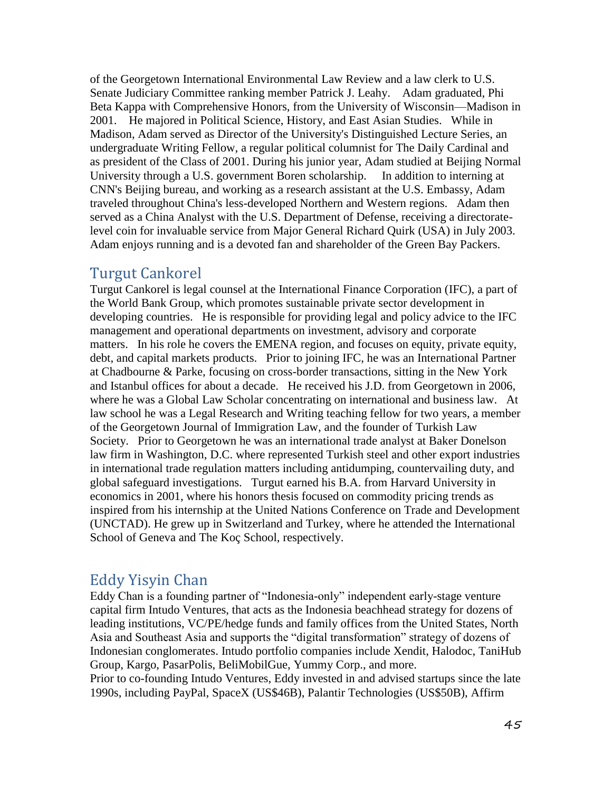of the Georgetown International Environmental Law Review and a law clerk to U.S. Senate Judiciary Committee ranking member Patrick J. Leahy. Adam graduated, Phi Beta Kappa with Comprehensive Honors, from the University of Wisconsin—Madison in 2001. He majored in Political Science, History, and East Asian Studies. While in Madison, Adam served as Director of the University's Distinguished Lecture Series, an undergraduate Writing Fellow, a regular political columnist for The Daily Cardinal and as president of the Class of 2001. During his junior year, Adam studied at Beijing Normal University through a U.S. government Boren scholarship. In addition to interning at CNN's Beijing bureau, and working as a research assistant at the U.S. Embassy, Adam traveled throughout China's less-developed Northern and Western regions. Adam then served as a China Analyst with the U.S. Department of Defense, receiving a directoratelevel coin for invaluable service from Major General Richard Quirk (USA) in July 2003. Adam enjoys running and is a devoted fan and shareholder of the Green Bay Packers.

### Turgut Cankorel

Turgut Cankorel is legal counsel at the International Finance Corporation (IFC), a part of the World Bank Group, which promotes sustainable private sector development in developing countries. He is responsible for providing legal and policy advice to the IFC management and operational departments on investment, advisory and corporate matters. In his role he covers the EMENA region, and focuses on equity, private equity, debt, and capital markets products. Prior to joining IFC, he was an International Partner at Chadbourne & Parke, focusing on cross-border transactions, sitting in the New York and Istanbul offices for about a decade. He received his J.D. from Georgetown in 2006, where he was a Global Law Scholar concentrating on international and business law. At law school he was a Legal Research and Writing teaching fellow for two years, a member of the Georgetown Journal of Immigration Law, and the founder of Turkish Law Society. Prior to Georgetown he was an international trade analyst at Baker Donelson law firm in Washington, D.C. where represented Turkish steel and other export industries in international trade regulation matters including antidumping, countervailing duty, and global safeguard investigations. Turgut earned his B.A. from Harvard University in economics in 2001, where his honors thesis focused on commodity pricing trends as inspired from his internship at the United Nations Conference on Trade and Development (UNCTAD). He grew up in Switzerland and Turkey, where he attended the International School of Geneva and The Koç School, respectively.

### Eddy Yisyin Chan

Eddy Chan is a founding partner of "Indonesia-only" independent early-stage venture capital firm Intudo Ventures, that acts as the Indonesia beachhead strategy for dozens of leading institutions, VC/PE/hedge funds and family offices from the United States, North Asia and Southeast Asia and supports the "digital transformation" strategy of dozens of Indonesian conglomerates. Intudo portfolio companies include Xendit, Halodoc, TaniHub Group, Kargo, PasarPolis, BeliMobilGue, Yummy Corp., and more.

Prior to co-founding Intudo Ventures, Eddy invested in and advised startups since the late 1990s, including PayPal, SpaceX (US\$46B), Palantir Technologies (US\$50B), Affirm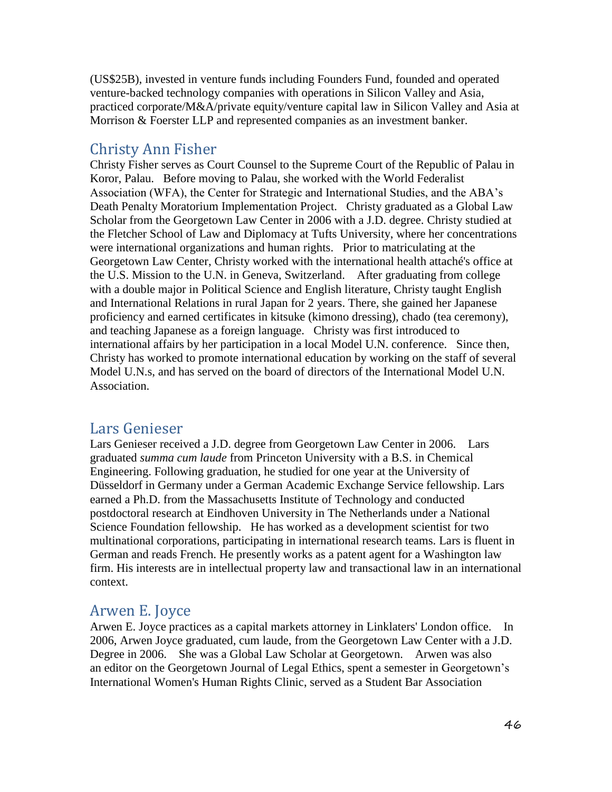(US\$25B), invested in venture funds including Founders Fund, founded and operated venture-backed technology companies with operations in Silicon Valley and Asia, practiced corporate/M&A/private equity/venture capital law in Silicon Valley and Asia at Morrison & Foerster LLP and represented companies as an investment banker.

### Christy Ann Fisher

Christy Fisher serves as Court Counsel to the Supreme Court of the Republic of Palau in Koror, Palau. Before moving to Palau, she worked with the World Federalist Association (WFA), the Center for Strategic and International Studies, and the ABA's Death Penalty Moratorium Implementation Project. Christy graduated as a Global Law Scholar from the Georgetown Law Center in 2006 with a J.D. degree. Christy studied at the Fletcher School of Law and Diplomacy at Tufts University, where her concentrations were international organizations and human rights. Prior to matriculating at the Georgetown Law Center, Christy worked with the international health attaché's office at the U.S. Mission to the U.N. in Geneva, Switzerland. After graduating from college with a double major in Political Science and English literature, Christy taught English and International Relations in rural Japan for 2 years. There, she gained her Japanese proficiency and earned certificates in kitsuke (kimono dressing), chado (tea ceremony), and teaching Japanese as a foreign language. Christy was first introduced to international affairs by her participation in a local Model U.N. conference. Since then, Christy has worked to promote international education by working on the staff of several Model U.N.s, and has served on the board of directors of the International Model U.N. Association.

### Lars Genieser

Lars Genieser received a J.D. degree from Georgetown Law Center in 2006. Lars graduated *summa cum laude* from Princeton University with a B.S. in Chemical Engineering. Following graduation, he studied for one year at the University of Düsseldorf in Germany under a German Academic Exchange Service fellowship. Lars earned a Ph.D. from the Massachusetts Institute of Technology and conducted postdoctoral research at Eindhoven University in The Netherlands under a National Science Foundation fellowship. He has worked as a development scientist for two multinational corporations, participating in international research teams. Lars is fluent in German and reads French. He presently works as a patent agent for a Washington law firm. His interests are in intellectual property law and transactional law in an international context.

## Arwen E. Joyce

Arwen E. Joyce practices as a capital markets attorney in Linklaters' London office. In 2006, Arwen Joyce graduated, cum laude, from the Georgetown Law Center with a J.D. Degree in 2006. She was a Global Law Scholar at Georgetown. Arwen was also an editor on the Georgetown Journal of Legal Ethics, spent a semester in Georgetown's International Women's Human Rights Clinic, served as a Student Bar Association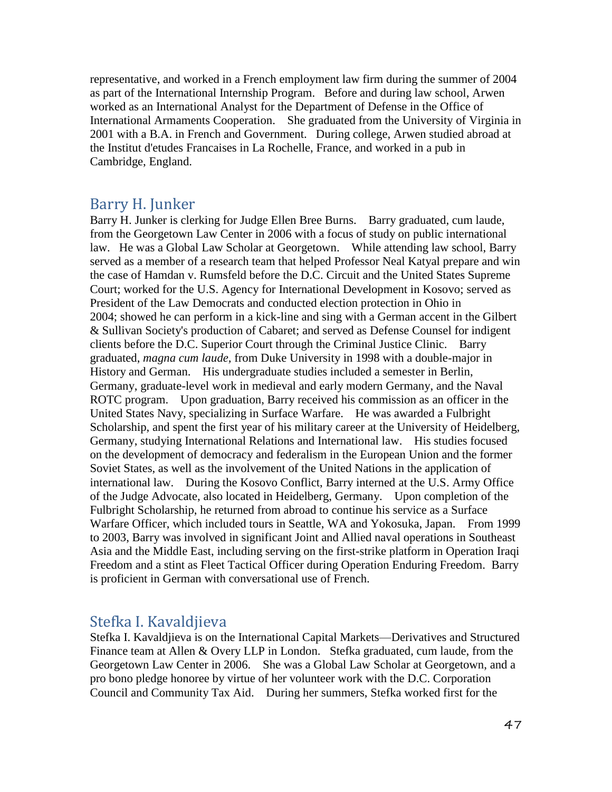representative, and worked in a French employment law firm during the summer of 2004 as part of the International Internship Program. Before and during law school, Arwen worked as an International Analyst for the Department of Defense in the Office of International Armaments Cooperation. She graduated from the University of Virginia in 2001 with a B.A. in French and Government. During college, Arwen studied abroad at the Institut d'etudes Francaises in La Rochelle, France, and worked in a pub in Cambridge, England.

### Barry H. Junker

Barry H. Junker is clerking for Judge Ellen Bree Burns. Barry graduated, cum laude, from the Georgetown Law Center in 2006 with a focus of study on public international law. He was a Global Law Scholar at Georgetown. While attending law school, Barry served as a member of a research team that helped Professor Neal Katyal prepare and win the case of Hamdan v. Rumsfeld before the D.C. Circuit and the United States Supreme Court; worked for the U.S. Agency for International Development in Kosovo; served as President of the Law Democrats and conducted election protection in Ohio in 2004; showed he can perform in a kick-line and sing with a German accent in the Gilbert & Sullivan Society's production of Cabaret; and served as Defense Counsel for indigent clients before the D.C. Superior Court through the Criminal Justice Clinic. Barry graduated, *magna cum laude,* from Duke University in 1998 with a double-major in History and German. His undergraduate studies included a semester in Berlin, Germany, graduate-level work in medieval and early modern Germany, and the Naval ROTC program. Upon graduation, Barry received his commission as an officer in the United States Navy, specializing in Surface Warfare. He was awarded a Fulbright Scholarship, and spent the first year of his military career at the University of Heidelberg, Germany, studying International Relations and International law. His studies focused on the development of democracy and federalism in the European Union and the former Soviet States, as well as the involvement of the United Nations in the application of international law. During the Kosovo Conflict, Barry interned at the U.S. Army Office of the Judge Advocate, also located in Heidelberg, Germany. Upon completion of the Fulbright Scholarship, he returned from abroad to continue his service as a Surface Warfare Officer, which included tours in Seattle, WA and Yokosuka, Japan. From 1999 to 2003, Barry was involved in significant Joint and Allied naval operations in Southeast Asia and the Middle East, including serving on the first-strike platform in Operation Iraqi Freedom and a stint as Fleet Tactical Officer during Operation Enduring Freedom. Barry is proficient in German with conversational use of French.

### Stefka I. Kavaldjieva

Stefka I. Kavaldjieva is on the International Capital Markets—Derivatives and Structured Finance team at Allen & Overy LLP in London. Stefka graduated, cum laude, from the Georgetown Law Center in 2006. She was a Global Law Scholar at Georgetown, and a pro bono pledge honoree by virtue of her volunteer work with the D.C. Corporation Council and Community Tax Aid. During her summers, Stefka worked first for the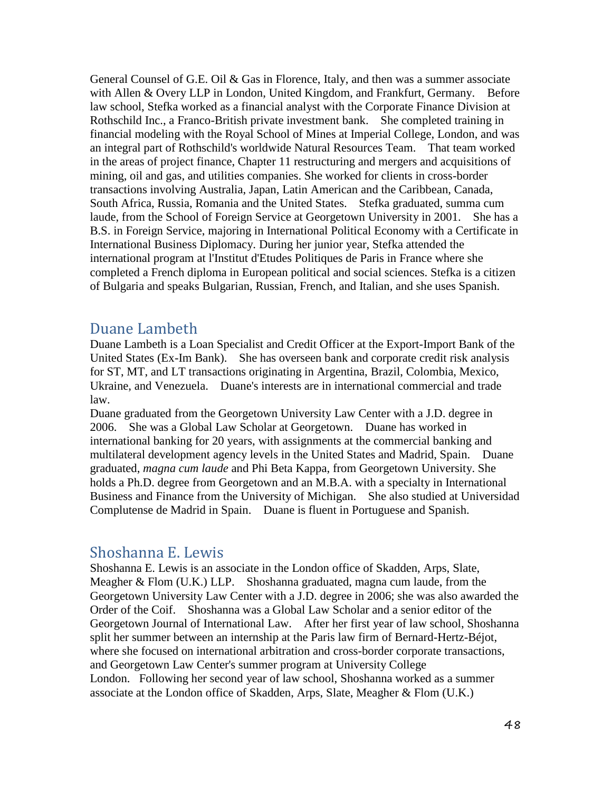General Counsel of G.E. Oil & Gas in Florence, Italy, and then was a summer associate with Allen & Overy LLP in London, United Kingdom, and Frankfurt, Germany. Before law school, Stefka worked as a financial analyst with the Corporate Finance Division at Rothschild Inc., a Franco-British private investment bank. She completed training in financial modeling with the Royal School of Mines at Imperial College, London, and was an integral part of Rothschild's worldwide Natural Resources Team. That team worked in the areas of project finance, Chapter 11 restructuring and mergers and acquisitions of mining, oil and gas, and utilities companies. She worked for clients in cross-border transactions involving Australia, Japan, Latin American and the Caribbean, Canada, South Africa, Russia, Romania and the United States. Stefka graduated, summa cum laude, from the School of Foreign Service at Georgetown University in 2001. She has a B.S. in Foreign Service, majoring in International Political Economy with a Certificate in International Business Diplomacy. During her junior year, Stefka attended the international program at l'Institut d'Etudes Politiques de Paris in France where she completed a French diploma in European political and social sciences. Stefka is a citizen of Bulgaria and speaks Bulgarian, Russian, French, and Italian, and she uses Spanish.

### Duane Lambeth

Duane Lambeth is a Loan Specialist and Credit Officer at the Export-Import Bank of the United States (Ex-Im Bank). She has overseen bank and corporate credit risk analysis for ST, MT, and LT transactions originating in Argentina, Brazil, Colombia, Mexico, Ukraine, and Venezuela. Duane's interests are in international commercial and trade law.

Duane graduated from the Georgetown University Law Center with a J.D. degree in 2006. She was a Global Law Scholar at Georgetown. Duane has worked in international banking for 20 years, with assignments at the commercial banking and multilateral development agency levels in the United States and Madrid, Spain. Duane graduated, *magna cum laude* and Phi Beta Kappa, from Georgetown University. She holds a Ph.D. degree from Georgetown and an M.B.A. with a specialty in International Business and Finance from the University of Michigan. She also studied at Universidad Complutense de Madrid in Spain. Duane is fluent in Portuguese and Spanish.

## Shoshanna E. Lewis

Shoshanna E. Lewis is an associate in the London office of Skadden, Arps, Slate, Meagher & Flom (U.K.) LLP. Shoshanna graduated, magna cum laude, from the Georgetown University Law Center with a J.D. degree in 2006; she was also awarded the Order of the Coif. Shoshanna was a Global Law Scholar and a senior editor of the Georgetown Journal of International Law. After her first year of law school, Shoshanna split her summer between an internship at the Paris law firm of Bernard-Hertz-Béjot, where she focused on international arbitration and cross-border corporate transactions, and Georgetown Law Center's summer program at University College London. Following her second year of law school, Shoshanna worked as a summer associate at the London office of Skadden, Arps, Slate, Meagher & Flom (U.K.)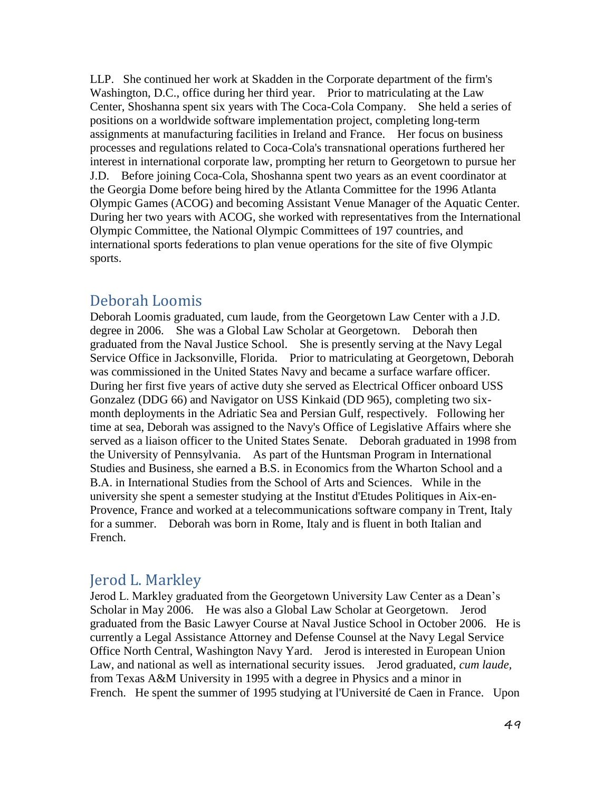LLP. She continued her work at Skadden in the Corporate department of the firm's Washington, D.C., office during her third year. Prior to matriculating at the Law Center, Shoshanna spent six years with The Coca-Cola Company. She held a series of positions on a worldwide software implementation project, completing long-term assignments at manufacturing facilities in Ireland and France. Her focus on business processes and regulations related to Coca-Cola's transnational operations furthered her interest in international corporate law, prompting her return to Georgetown to pursue her J.D. Before joining Coca-Cola, Shoshanna spent two years as an event coordinator at the Georgia Dome before being hired by the Atlanta Committee for the 1996 Atlanta Olympic Games (ACOG) and becoming Assistant Venue Manager of the Aquatic Center. During her two years with ACOG, she worked with representatives from the International Olympic Committee, the National Olympic Committees of 197 countries, and international sports federations to plan venue operations for the site of five Olympic sports.

### Deborah Loomis

Deborah Loomis graduated, cum laude, from the Georgetown Law Center with a J.D. degree in 2006. She was a Global Law Scholar at Georgetown. Deborah then graduated from the Naval Justice School. She is presently serving at the Navy Legal Service Office in Jacksonville, Florida. Prior to matriculating at Georgetown, Deborah was commissioned in the United States Navy and became a surface warfare officer. During her first five years of active duty she served as Electrical Officer onboard USS Gonzalez (DDG 66) and Navigator on USS Kinkaid (DD 965), completing two sixmonth deployments in the Adriatic Sea and Persian Gulf, respectively. Following her time at sea, Deborah was assigned to the Navy's Office of Legislative Affairs where she served as a liaison officer to the United States Senate. Deborah graduated in 1998 from the University of Pennsylvania. As part of the Huntsman Program in International Studies and Business, she earned a B.S. in Economics from the Wharton School and a B.A. in International Studies from the School of Arts and Sciences. While in the university she spent a semester studying at the Institut d'Etudes Politiques in Aix-en-Provence, France and worked at a telecommunications software company in Trent, Italy for a summer. Deborah was born in Rome, Italy and is fluent in both Italian and French.

## Jerod L. Markley

Jerod L. Markley graduated from the Georgetown University Law Center as a Dean's Scholar in May 2006. He was also a Global Law Scholar at Georgetown. Jerod graduated from the Basic Lawyer Course at Naval Justice School in October 2006. He is currently a Legal Assistance Attorney and Defense Counsel at the Navy Legal Service Office North Central, Washington Navy Yard. Jerod is interested in European Union Law, and national as well as international security issues. Jerod graduated, *cum laude,*  from Texas A&M University in 1995 with a degree in Physics and a minor in French. He spent the summer of 1995 studying at l'Université de Caen in France. Upon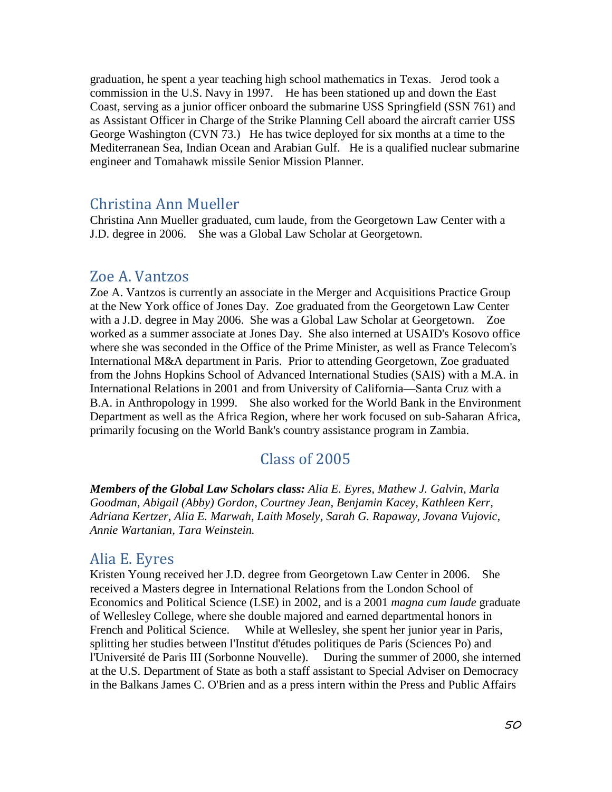graduation, he spent a year teaching high school mathematics in Texas. Jerod took a commission in the U.S. Navy in 1997. He has been stationed up and down the East Coast, serving as a junior officer onboard the submarine USS Springfield (SSN 761) and as Assistant Officer in Charge of the Strike Planning Cell aboard the aircraft carrier USS George Washington (CVN 73.) He has twice deployed for six months at a time to the Mediterranean Sea, Indian Ocean and Arabian Gulf. He is a qualified nuclear submarine engineer and Tomahawk missile Senior Mission Planner.

#### Christina Ann Mueller

Christina Ann Mueller graduated, cum laude, from the Georgetown Law Center with a J.D. degree in 2006. She was a Global Law Scholar at Georgetown.

#### Zoe A. Vantzos

Zoe A. Vantzos is currently an associate in the Merger and Acquisitions Practice Group at the New York office of Jones Day. Zoe graduated from the Georgetown Law Center with a J.D. degree in May 2006. She was a Global Law Scholar at Georgetown. Zoe worked as a summer associate at Jones Day. She also interned at USAID's Kosovo office where she was seconded in the Office of the Prime Minister, as well as France Telecom's International M&A department in Paris. Prior to attending Georgetown, Zoe graduated from the Johns Hopkins School of Advanced International Studies (SAIS) with a M.A. in International Relations in 2001 and from University of California—Santa Cruz with a B.A. in Anthropology in 1999. She also worked for the World Bank in the Environment Department as well as the Africa Region, where her work focused on sub-Saharan Africa, primarily focusing on the World Bank's country assistance program in Zambia.

### Class of 2005

*Members of the Global Law Scholars class: Alia E. Eyres, Mathew J. Galvin, Marla Goodman, Abigail (Abby) Gordon, Courtney Jean, Benjamin Kacey, Kathleen Kerr, Adriana Kertzer, Alia E. Marwah, Laith Mosely, Sarah G. Rapaway, Jovana Vujovic, Annie Wartanian, Tara Weinstein.*

#### Alia E. Eyres

Kristen Young received her J.D. degree from Georgetown Law Center in 2006. She received a Masters degree in International Relations from the London School of Economics and Political Science (LSE) in 2002, and is a 2001 *magna cum laude* graduate of Wellesley College, where she double majored and earned departmental honors in French and Political Science. While at Wellesley, she spent her junior year in Paris, splitting her studies between l'Institut d'études politiques de Paris (Sciences Po) and l'Université de Paris III (Sorbonne Nouvelle). During the summer of 2000, she interned at the U.S. Department of State as both a staff assistant to Special Adviser on Democracy in the Balkans James C. O'Brien and as a press intern within the Press and Public Affairs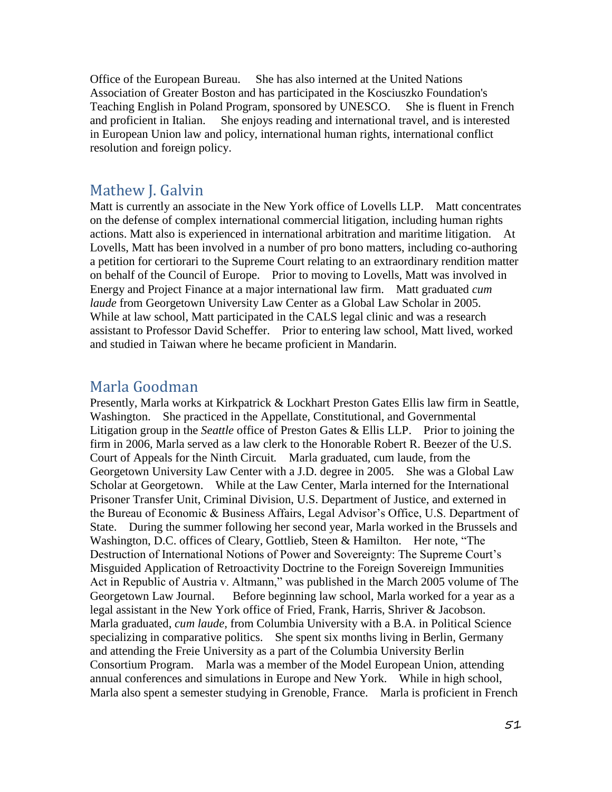Office of the European Bureau. She has also interned at the United Nations Association of Greater Boston and has participated in the Kosciuszko Foundation's Teaching English in Poland Program, sponsored by UNESCO. She is fluent in French and proficient in Italian. She enjoys reading and international travel, and is interested in European Union law and policy, international human rights, international conflict resolution and foreign policy.

#### Mathew J. Galvin

Matt is currently an associate in the New York office of Lovells LLP. Matt concentrates on the defense of complex international commercial litigation, including human rights actions. Matt also is experienced in international arbitration and maritime litigation. At Lovells, Matt has been involved in a number of pro bono matters, including co-authoring a petition for certiorari to the Supreme Court relating to an extraordinary rendition matter on behalf of the Council of Europe. Prior to moving to Lovells, Matt was involved in Energy and Project Finance at a major international law firm. Matt graduated *cum laude* from Georgetown University Law Center as a Global Law Scholar in 2005. While at law school, Matt participated in the CALS legal clinic and was a research assistant to Professor David Scheffer. Prior to entering law school, Matt lived, worked and studied in Taiwan where he became proficient in Mandarin.

### Marla Goodman

Presently, Marla works at Kirkpatrick & Lockhart Preston Gates Ellis law firm in Seattle, Washington. She practiced in the Appellate, Constitutional, and Governmental Litigation group in the *Seattle* office of Preston Gates & Ellis LLP. Prior to joining the firm in 2006, Marla served as a law clerk to the Honorable Robert R. Beezer of the U.S. Court of Appeals for the Ninth Circuit*.* Marla graduated, cum laude, from the Georgetown University Law Center with a J.D. degree in 2005. She was a Global Law Scholar at Georgetown. While at the Law Center, Marla interned for the International Prisoner Transfer Unit, Criminal Division, U.S. Department of Justice, and externed in the Bureau of Economic & Business Affairs, Legal Advisor's Office, U.S. Department of State. During the summer following her second year, Marla worked in the Brussels and Washington, D.C. offices of Cleary, Gottlieb, Steen & Hamilton. Her note, "The Destruction of International Notions of Power and Sovereignty: The Supreme Court's Misguided Application of Retroactivity Doctrine to the Foreign Sovereign Immunities Act in Republic of Austria v. Altmann," was published in the March 2005 volume of The Georgetown Law Journal. Before beginning law school, Marla worked for a year as a legal assistant in the New York office of Fried, Frank, Harris, Shriver & Jacobson. Marla graduated, *cum laude,* from Columbia University with a B.A. in Political Science specializing in comparative politics. She spent six months living in Berlin, Germany and attending the Freie University as a part of the Columbia University Berlin Consortium Program. Marla was a member of the Model European Union, attending annual conferences and simulations in Europe and New York. While in high school, Marla also spent a semester studying in Grenoble, France. Marla is proficient in French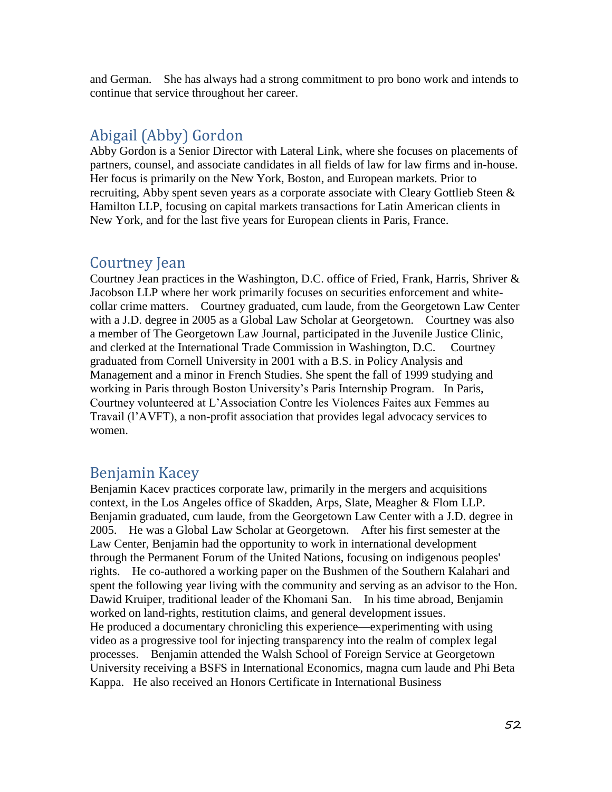and German. She has always had a strong commitment to pro bono work and intends to continue that service throughout her career.

### Abigail (Abby) Gordon

Abby Gordon is a Senior Director with Lateral Link, where she focuses on placements of partners, counsel, and associate candidates in all fields of law for law firms and in-house. Her focus is primarily on the New York, Boston, and European markets. Prior to recruiting, Abby spent seven years as a corporate associate with Cleary Gottlieb Steen  $\&$ Hamilton LLP, focusing on capital markets transactions for Latin American clients in New York, and for the last five years for European clients in Paris, France.

### Courtney Jean

Courtney Jean practices in the Washington, D.C. office of Fried, Frank, Harris, Shriver & Jacobson LLP where her work primarily focuses on securities enforcement and whitecollar crime matters. Courtney graduated, cum laude, from the Georgetown Law Center with a J.D. degree in 2005 as a Global Law Scholar at Georgetown. Courtney was also a member of The Georgetown Law Journal, participated in the Juvenile Justice Clinic, and clerked at the International Trade Commission in Washington, D.C. Courtney graduated from Cornell University in 2001 with a B.S. in Policy Analysis and Management and a minor in French Studies. She spent the fall of 1999 studying and working in Paris through Boston University's Paris Internship Program. In Paris, Courtney volunteered at L'Association Contre les Violences Faites aux Femmes au Travail (l'AVFT), a non-profit association that provides legal advocacy services to women.

### Benjamin Kacey

Benjamin Kacev practices corporate law, primarily in the mergers and acquisitions context, in the Los Angeles office of Skadden, Arps, Slate, Meagher & Flom LLP. Benjamin graduated, cum laude, from the Georgetown Law Center with a J.D. degree in 2005. He was a Global Law Scholar at Georgetown. After his first semester at the Law Center, Benjamin had the opportunity to work in international development through the Permanent Forum of the United Nations, focusing on indigenous peoples' rights. He co-authored a working paper on the Bushmen of the Southern Kalahari and spent the following year living with the community and serving as an advisor to the Hon. Dawid Kruiper, traditional leader of the Khomani San. In his time abroad, Benjamin worked on land-rights, restitution claims, and general development issues. He produced a documentary chronicling this experience—experimenting with using video as a progressive tool for injecting transparency into the realm of complex legal processes. Benjamin attended the Walsh School of Foreign Service at Georgetown University receiving a BSFS in International Economics, magna cum laude and Phi Beta Kappa. He also received an Honors Certificate in International Business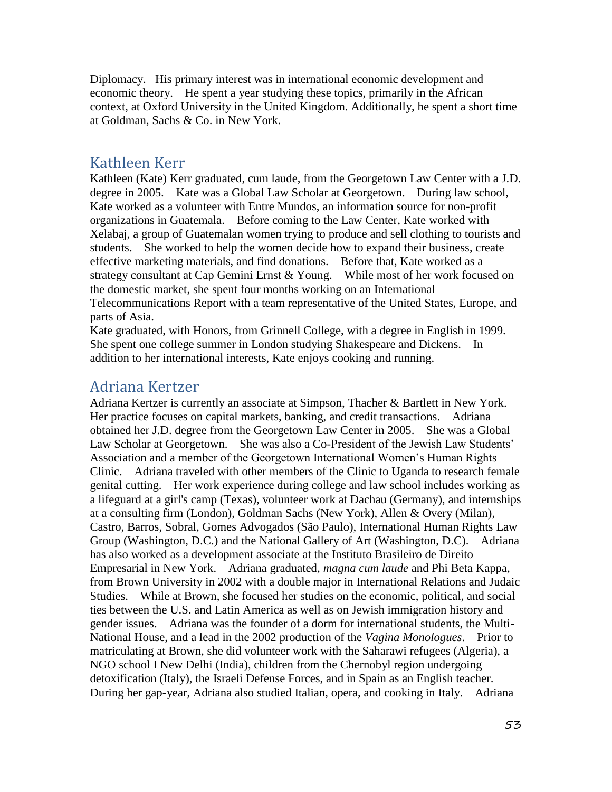Diplomacy. His primary interest was in international economic development and economic theory. He spent a year studying these topics, primarily in the African context, at Oxford University in the United Kingdom. Additionally, he spent a short time at Goldman, Sachs & Co. in New York.

### Kathleen Kerr

Kathleen (Kate) Kerr graduated, cum laude, from the Georgetown Law Center with a J.D. degree in 2005. Kate was a Global Law Scholar at Georgetown. During law school, Kate worked as a volunteer with Entre Mundos, an information source for non-profit organizations in Guatemala. Before coming to the Law Center, Kate worked with Xelabaj, a group of Guatemalan women trying to produce and sell clothing to tourists and students. She worked to help the women decide how to expand their business, create effective marketing materials, and find donations. Before that, Kate worked as a strategy consultant at Cap Gemini Ernst & Young. While most of her work focused on the domestic market, she spent four months working on an International Telecommunications Report with a team representative of the United States, Europe, and parts of Asia.

Kate graduated, with Honors, from Grinnell College, with a degree in English in 1999. She spent one college summer in London studying Shakespeare and Dickens. In addition to her international interests, Kate enjoys cooking and running.

### Adriana Kertzer

Adriana Kertzer is currently an associate at Simpson, Thacher & Bartlett in New York. Her practice focuses on capital markets, banking, and credit transactions. Adriana obtained her J.D. degree from the Georgetown Law Center in 2005. She was a Global Law Scholar at Georgetown. She was also a Co-President of the Jewish Law Students' Association and a member of the Georgetown International Women's Human Rights Clinic. Adriana traveled with other members of the Clinic to Uganda to research female genital cutting. Her work experience during college and law school includes working as a lifeguard at a girl's camp (Texas), volunteer work at Dachau (Germany), and internships at a consulting firm (London), Goldman Sachs (New York), Allen & Overy (Milan), Castro, Barros, Sobral, Gomes Advogados (São Paulo), International Human Rights Law Group (Washington, D.C.) and the National Gallery of Art (Washington, D.C). Adriana has also worked as a development associate at the Instituto Brasileiro de Direito Empresarial in New York. Adriana graduated, *magna cum laude* and Phi Beta Kappa, from Brown University in 2002 with a double major in International Relations and Judaic Studies. While at Brown, she focused her studies on the economic, political, and social ties between the U.S. and Latin America as well as on Jewish immigration history and gender issues. Adriana was the founder of a dorm for international students, the Multi-National House, and a lead in the 2002 production of the *Vagina Monologues*. Prior to matriculating at Brown, she did volunteer work with the Saharawi refugees (Algeria), a NGO school I New Delhi (India), children from the Chernobyl region undergoing detoxification (Italy), the Israeli Defense Forces, and in Spain as an English teacher. During her gap-year, Adriana also studied Italian, opera, and cooking in Italy. Adriana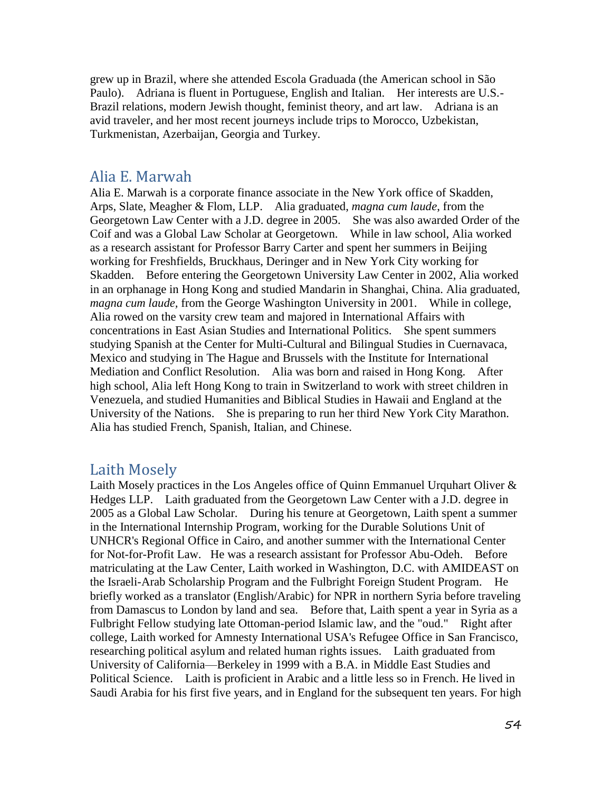grew up in Brazil, where she attended Escola Graduada (the American school in São Paulo). Adriana is fluent in Portuguese, English and Italian. Her interests are U.S.- Brazil relations, modern Jewish thought, feminist theory, and art law. Adriana is an avid traveler, and her most recent journeys include trips to Morocco, Uzbekistan, Turkmenistan, Azerbaijan, Georgia and Turkey.

#### Alia E. Marwah

Alia E. Marwah is a corporate finance associate in the New York office of Skadden, Arps, Slate, Meagher & Flom, LLP. Alia graduated, *magna cum laude*, from the Georgetown Law Center with a J.D. degree in 2005. She was also awarded Order of the Coif and was a Global Law Scholar at Georgetown. While in law school, Alia worked as a research assistant for Professor Barry Carter and spent her summers in Beijing working for Freshfields, Bruckhaus, Deringer and in New York City working for Skadden. Before entering the Georgetown University Law Center in 2002, Alia worked in an orphanage in Hong Kong and studied Mandarin in Shanghai, China. Alia graduated, *magna cum laude,* from the George Washington University in 2001. While in college, Alia rowed on the varsity crew team and majored in International Affairs with concentrations in East Asian Studies and International Politics. She spent summers studying Spanish at the Center for Multi-Cultural and Bilingual Studies in Cuernavaca, Mexico and studying in The Hague and Brussels with the Institute for International Mediation and Conflict Resolution. Alia was born and raised in Hong Kong. After high school, Alia left Hong Kong to train in Switzerland to work with street children in Venezuela, and studied Humanities and Biblical Studies in Hawaii and England at the University of the Nations. She is preparing to run her third New York City Marathon. Alia has studied French, Spanish, Italian, and Chinese.

#### Laith Mosely

Laith Mosely practices in the Los Angeles office of Quinn Emmanuel Urquhart Oliver & Hedges LLP. Laith graduated from the Georgetown Law Center with a J.D. degree in 2005 as a Global Law Scholar. During his tenure at Georgetown, Laith spent a summer in the International Internship Program, working for the Durable Solutions Unit of UNHCR's Regional Office in Cairo, and another summer with the International Center for Not-for-Profit Law. He was a research assistant for Professor Abu-Odeh. Before matriculating at the Law Center, Laith worked in Washington, D.C. with AMIDEAST on the Israeli-Arab Scholarship Program and the Fulbright Foreign Student Program. He briefly worked as a translator (English/Arabic) for NPR in northern Syria before traveling from Damascus to London by land and sea. Before that, Laith spent a year in Syria as a Fulbright Fellow studying late Ottoman-period Islamic law, and the "oud." Right after college, Laith worked for Amnesty International USA's Refugee Office in San Francisco, researching political asylum and related human rights issues. Laith graduated from University of California—Berkeley in 1999 with a B.A. in Middle East Studies and Political Science. Laith is proficient in Arabic and a little less so in French. He lived in Saudi Arabia for his first five years, and in England for the subsequent ten years. For high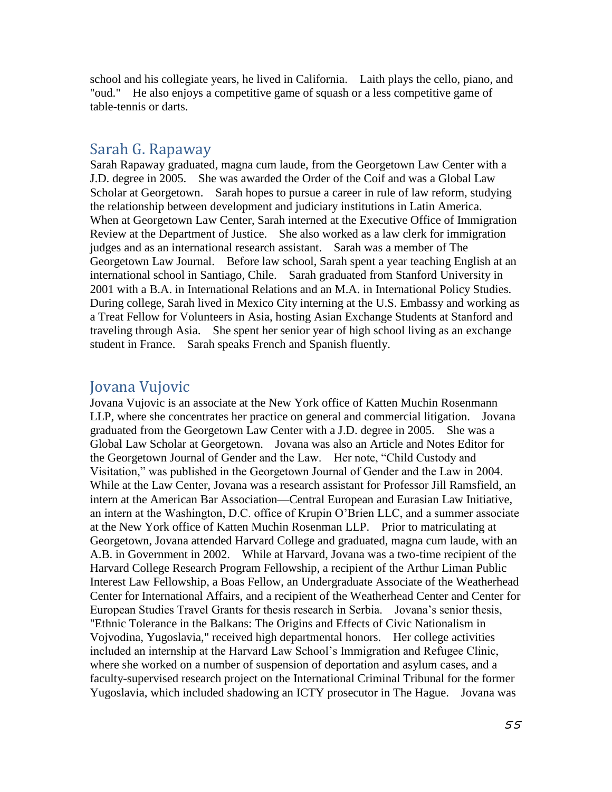school and his collegiate years, he lived in California. Laith plays the cello, piano, and "oud." He also enjoys a competitive game of squash or a less competitive game of table-tennis or darts.

#### Sarah G. Rapaway

Sarah Rapaway graduated, magna cum laude, from the Georgetown Law Center with a J.D. degree in 2005. She was awarded the Order of the Coif and was a Global Law Scholar at Georgetown. Sarah hopes to pursue a career in rule of law reform, studying the relationship between development and judiciary institutions in Latin America. When at Georgetown Law Center, Sarah interned at the Executive Office of Immigration Review at the Department of Justice. She also worked as a law clerk for immigration judges and as an international research assistant. Sarah was a member of The Georgetown Law Journal. Before law school, Sarah spent a year teaching English at an international school in Santiago, Chile. Sarah graduated from Stanford University in 2001 with a B.A. in International Relations and an M.A. in International Policy Studies. During college, Sarah lived in Mexico City interning at the U.S. Embassy and working as a Treat Fellow for Volunteers in Asia, hosting Asian Exchange Students at Stanford and traveling through Asia. She spent her senior year of high school living as an exchange student in France. Sarah speaks French and Spanish fluently.

#### Jovana Vujovic

Jovana Vujovic is an associate at the New York office of Katten Muchin Rosenmann LLP, where she concentrates her practice on general and commercial litigation. Jovana graduated from the Georgetown Law Center with a J.D. degree in 2005. She was a Global Law Scholar at Georgetown. Jovana was also an Article and Notes Editor for the Georgetown Journal of Gender and the Law. Her note, "Child Custody and Visitation," was published in the Georgetown Journal of Gender and the Law in 2004. While at the Law Center, Jovana was a research assistant for Professor Jill Ramsfield, an intern at the American Bar Association—Central European and Eurasian Law Initiative, an intern at the Washington, D.C. office of Krupin O'Brien LLC, and a summer associate at the New York office of Katten Muchin Rosenman LLP. Prior to matriculating at Georgetown, Jovana attended Harvard College and graduated, magna cum laude, with an A.B. in Government in 2002. While at Harvard, Jovana was a two-time recipient of the Harvard College Research Program Fellowship, a recipient of the Arthur Liman Public Interest Law Fellowship, a Boas Fellow, an Undergraduate Associate of the Weatherhead Center for International Affairs, and a recipient of the Weatherhead Center and Center for European Studies Travel Grants for thesis research in Serbia. Jovana's senior thesis, "Ethnic Tolerance in the Balkans: The Origins and Effects of Civic Nationalism in Vojvodina, Yugoslavia," received high departmental honors. Her college activities included an internship at the Harvard Law School's Immigration and Refugee Clinic, where she worked on a number of suspension of deportation and asylum cases, and a faculty-supervised research project on the International Criminal Tribunal for the former Yugoslavia, which included shadowing an ICTY prosecutor in The Hague. Jovana was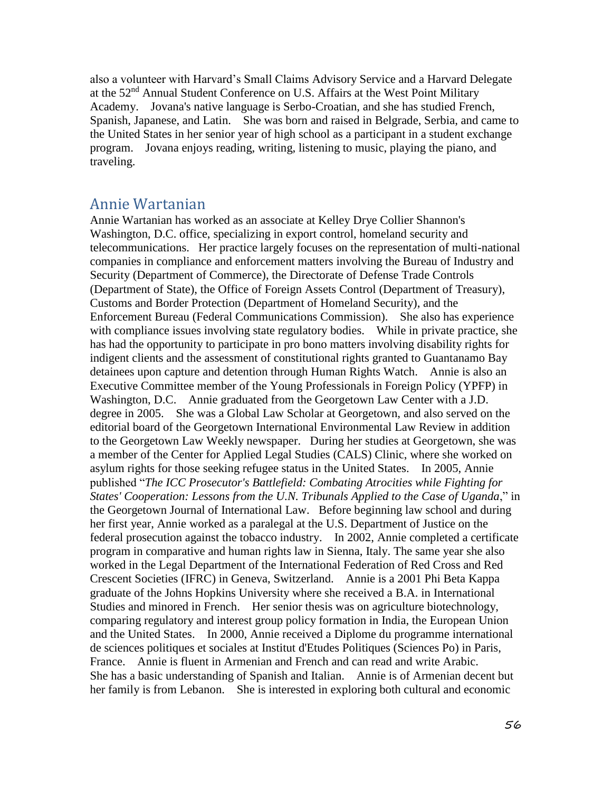also a volunteer with Harvard's Small Claims Advisory Service and a Harvard Delegate at the 52nd Annual Student Conference on U.S. Affairs at the West Point Military Academy. Jovana's native language is Serbo-Croatian, and she has studied French, Spanish, Japanese, and Latin. She was born and raised in Belgrade, Serbia, and came to the United States in her senior year of high school as a participant in a student exchange program. Jovana enjoys reading, writing, listening to music, playing the piano, and traveling.

#### Annie Wartanian

Annie Wartanian has worked as an associate at Kelley Drye Collier Shannon's Washington, D.C. office, specializing in export control, homeland security and telecommunications. Her practice largely focuses on the representation of multi-national companies in compliance and enforcement matters involving the Bureau of Industry and Security (Department of Commerce), the Directorate of Defense Trade Controls (Department of State), the Office of Foreign Assets Control (Department of Treasury), Customs and Border Protection (Department of Homeland Security), and the Enforcement Bureau (Federal Communications Commission). She also has experience with compliance issues involving state regulatory bodies. While in private practice, she has had the opportunity to participate in pro bono matters involving disability rights for indigent clients and the assessment of constitutional rights granted to Guantanamo Bay detainees upon capture and detention through Human Rights Watch. Annie is also an Executive Committee member of the Young Professionals in Foreign Policy (YPFP) in Washington, D.C. Annie graduated from the Georgetown Law Center with a J.D. degree in 2005. She was a Global Law Scholar at Georgetown, and also served on the editorial board of the Georgetown International Environmental Law Review in addition to the Georgetown Law Weekly newspaper. During her studies at Georgetown, she was a member of the Center for Applied Legal Studies (CALS) Clinic, where she worked on asylum rights for those seeking refugee status in the United States. In 2005, Annie published "*The ICC Prosecutor's Battlefield: Combating Atrocities while Fighting for States' Cooperation: Lessons from the U.N. Tribunals Applied to the Case of Uganda*," in the Georgetown Journal of International Law. Before beginning law school and during her first year, Annie worked as a paralegal at the U.S. Department of Justice on the federal prosecution against the tobacco industry. In 2002, Annie completed a certificate program in comparative and human rights law in Sienna, Italy. The same year she also worked in the Legal Department of the International Federation of Red Cross and Red Crescent Societies (IFRC) in Geneva, Switzerland. Annie is a 2001 Phi Beta Kappa graduate of the Johns Hopkins University where she received a B.A. in International Studies and minored in French. Her senior thesis was on agriculture biotechnology, comparing regulatory and interest group policy formation in India, the European Union and the United States. In 2000, Annie received a Diplome du programme international de sciences politiques et sociales at Institut d'Etudes Politiques (Sciences Po) in Paris, France. Annie is fluent in Armenian and French and can read and write Arabic. She has a basic understanding of Spanish and Italian. Annie is of Armenian decent but her family is from Lebanon. She is interested in exploring both cultural and economic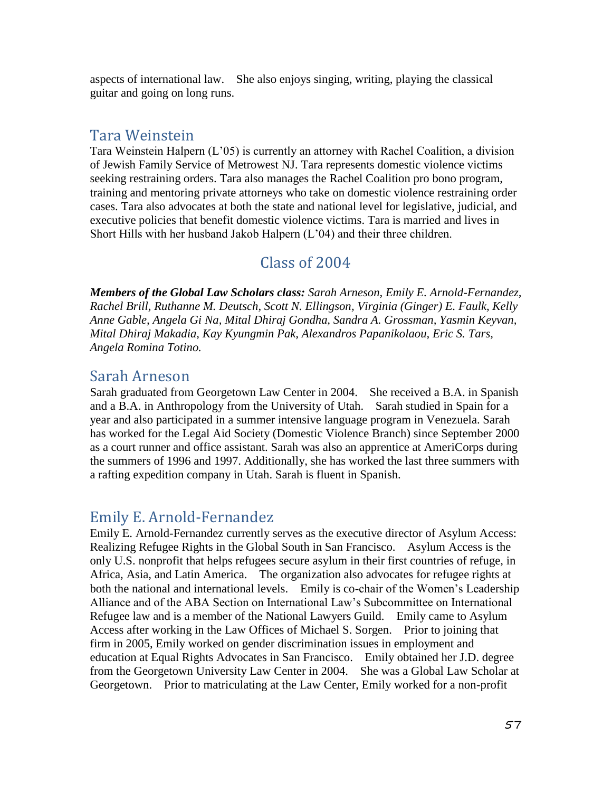aspects of international law. She also enjoys singing, writing, playing the classical guitar and going on long runs.

#### Tara Weinstein

Tara Weinstein Halpern (L'05) is currently an attorney with Rachel Coalition, a division of Jewish Family Service of Metrowest NJ. Tara represents domestic violence victims seeking restraining orders. Tara also manages the Rachel Coalition pro bono program, training and mentoring private attorneys who take on domestic violence restraining order cases. Tara also advocates at both the state and national level for legislative, judicial, and executive policies that benefit domestic violence victims. Tara is married and lives in Short Hills with her husband Jakob Halpern (L'04) and their three children.

### Class of 2004

*Members of the Global Law Scholars class: Sarah Arneson, Emily E. Arnold-Fernandez, Rachel Brill, Ruthanne M. Deutsch, Scott N. Ellingson, Virginia (Ginger) E. Faulk, Kelly Anne Gable, Angela Gi Na, Mital Dhiraj Gondha, Sandra A. Grossman, Yasmin Keyvan, Mital Dhiraj Makadia, Kay Kyungmin Pak, Alexandros Papanikolaou, Eric S. Tars, Angela Romina Totino.*

### Sarah Arneson

Sarah graduated from Georgetown Law Center in 2004. She received a B.A. in Spanish and a B.A. in Anthropology from the University of Utah. Sarah studied in Spain for a year and also participated in a summer intensive language program in Venezuela. Sarah has worked for the Legal Aid Society (Domestic Violence Branch) since September 2000 as a court runner and office assistant. Sarah was also an apprentice at AmeriCorps during the summers of 1996 and 1997. Additionally, she has worked the last three summers with a rafting expedition company in Utah. Sarah is fluent in Spanish.

### Emily E. Arnold-Fernandez

Emily E. Arnold-Fernandez currently serves as the executive director of Asylum Access: Realizing Refugee Rights in the Global South in San Francisco. Asylum Access is the only U.S. nonprofit that helps refugees secure asylum in their first countries of refuge, in Africa, Asia, and Latin America. The organization also advocates for refugee rights at both the national and international levels. Emily is co-chair of the Women's Leadership Alliance and of the ABA Section on International Law's Subcommittee on International Refugee law and is a member of the National Lawyers Guild. Emily came to Asylum Access after working in the Law Offices of Michael S. Sorgen. Prior to joining that firm in 2005, Emily worked on gender discrimination issues in employment and education at Equal Rights Advocates in San Francisco. Emily obtained her J.D. degree from the Georgetown University Law Center in 2004. She was a Global Law Scholar at Georgetown. Prior to matriculating at the Law Center, Emily worked for a non-profit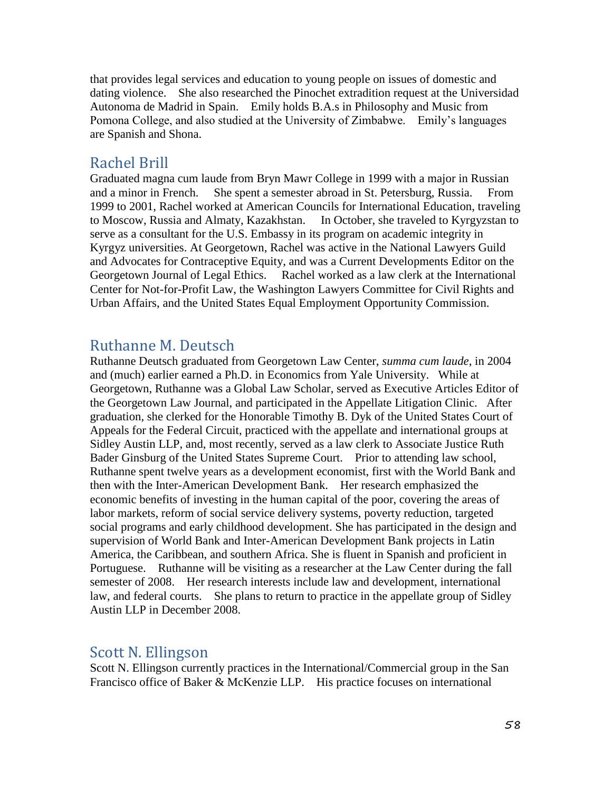that provides legal services and education to young people on issues of domestic and dating violence. She also researched the Pinochet extradition request at the Universidad Autonoma de Madrid in Spain. Emily holds B.A.s in Philosophy and Music from Pomona College, and also studied at the University of Zimbabwe. Emily's languages are Spanish and Shona.

#### Rachel Brill

Graduated magna cum laude from Bryn Mawr College in 1999 with a major in Russian and a minor in French. She spent a semester abroad in St. Petersburg, Russia. From 1999 to 2001, Rachel worked at American Councils for International Education, traveling to Moscow, Russia and Almaty, Kazakhstan. In October, she traveled to Kyrgyzstan to serve as a consultant for the U.S. Embassy in its program on academic integrity in Kyrgyz universities. At Georgetown, Rachel was active in the National Lawyers Guild and Advocates for Contraceptive Equity, and was a Current Developments Editor on the Georgetown Journal of Legal Ethics. Rachel worked as a law clerk at the International Center for Not-for-Profit Law, the Washington Lawyers Committee for Civil Rights and Urban Affairs, and the United States Equal Employment Opportunity Commission.

#### Ruthanne M. Deutsch

Ruthanne Deutsch graduated from Georgetown Law Center, *summa cum laude*, in 2004 and (much) earlier earned a Ph.D. in Economics from Yale University. While at Georgetown, Ruthanne was a Global Law Scholar, served as Executive Articles Editor of the Georgetown Law Journal, and participated in the Appellate Litigation Clinic. After graduation, she clerked for the Honorable Timothy B. Dyk of the United States Court of Appeals for the Federal Circuit, practiced with the appellate and international groups at Sidley Austin LLP, and, most recently, served as a law clerk to Associate Justice Ruth Bader Ginsburg of the United States Supreme Court. Prior to attending law school, Ruthanne spent twelve years as a development economist, first with the World Bank and then with the Inter-American Development Bank. Her research emphasized the economic benefits of investing in the human capital of the poor, covering the areas of labor markets, reform of social service delivery systems, poverty reduction, targeted social programs and early childhood development. She has participated in the design and supervision of World Bank and Inter-American Development Bank projects in Latin America, the Caribbean, and southern Africa. She is fluent in Spanish and proficient in Portuguese. Ruthanne will be visiting as a researcher at the Law Center during the fall semester of 2008. Her research interests include law and development, international law, and federal courts. She plans to return to practice in the appellate group of Sidley Austin LLP in December 2008.

### Scott N. Ellingson

Scott N. Ellingson currently practices in the International/Commercial group in the San Francisco office of Baker & McKenzie LLP. His practice focuses on international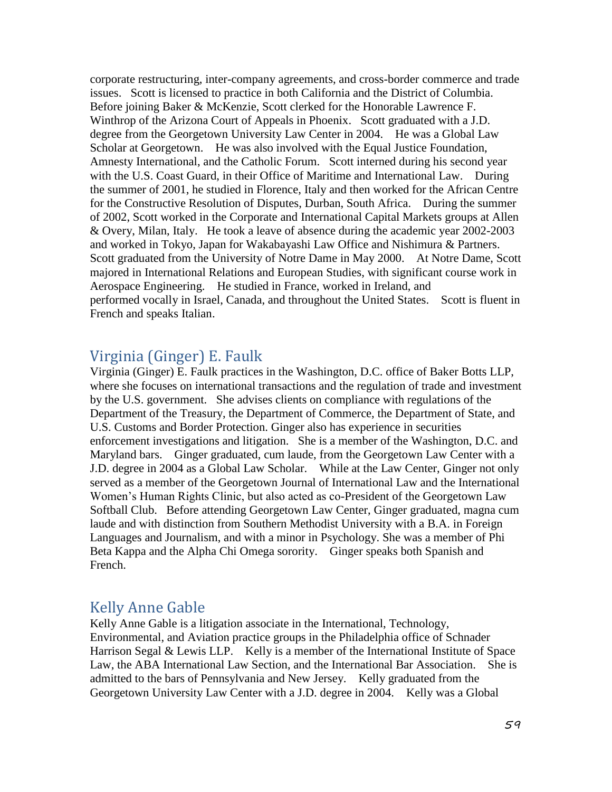corporate restructuring, inter-company agreements, and cross-border commerce and trade issues. Scott is licensed to practice in both California and the District of Columbia. Before joining Baker & McKenzie, Scott clerked for the Honorable Lawrence F. Winthrop of the Arizona Court of Appeals in Phoenix. Scott graduated with a J.D. degree from the Georgetown University Law Center in 2004. He was a Global Law Scholar at Georgetown. He was also involved with the Equal Justice Foundation, Amnesty International, and the Catholic Forum. Scott interned during his second year with the U.S. Coast Guard, in their Office of Maritime and International Law. During the summer of 2001, he studied in Florence, Italy and then worked for the African Centre for the Constructive Resolution of Disputes, Durban, South Africa. During the summer of 2002, Scott worked in the Corporate and International Capital Markets groups at Allen & Overy, Milan, Italy. He took a leave of absence during the academic year 2002-2003 and worked in Tokyo, Japan for Wakabayashi Law Office and Nishimura & Partners. Scott graduated from the University of Notre Dame in May 2000. At Notre Dame, Scott majored in International Relations and European Studies, with significant course work in Aerospace Engineering. He studied in France, worked in Ireland, and performed vocally in Israel, Canada, and throughout the United States. Scott is fluent in French and speaks Italian.

### Virginia (Ginger) E. Faulk

Virginia (Ginger) E. Faulk practices in the Washington, D.C. office of Baker Botts LLP, where she focuses on international transactions and the regulation of trade and investment by the U.S. government. She advises clients on compliance with regulations of the Department of the Treasury, the Department of Commerce, the Department of State, and U.S. Customs and Border Protection. Ginger also has experience in securities enforcement investigations and litigation. She is a member of the Washington, D.C. and Maryland bars. Ginger graduated, cum laude, from the Georgetown Law Center with a J.D. degree in 2004 as a Global Law Scholar. While at the Law Center, Ginger not only served as a member of the Georgetown Journal of International Law and the International Women's Human Rights Clinic, but also acted as co-President of the Georgetown Law Softball Club. Before attending Georgetown Law Center, Ginger graduated, magna cum laude and with distinction from Southern Methodist University with a B.A. in Foreign Languages and Journalism, and with a minor in Psychology. She was a member of Phi Beta Kappa and the Alpha Chi Omega sorority. Ginger speaks both Spanish and French.

### Kelly Anne Gable

Kelly Anne Gable is a litigation associate in the International, Technology, Environmental, and Aviation practice groups in the Philadelphia office of Schnader Harrison Segal & Lewis LLP. Kelly is a member of the International Institute of Space Law, the ABA International Law Section, and the International Bar Association. She is admitted to the bars of Pennsylvania and New Jersey. Kelly graduated from the Georgetown University Law Center with a J.D. degree in 2004. Kelly was a Global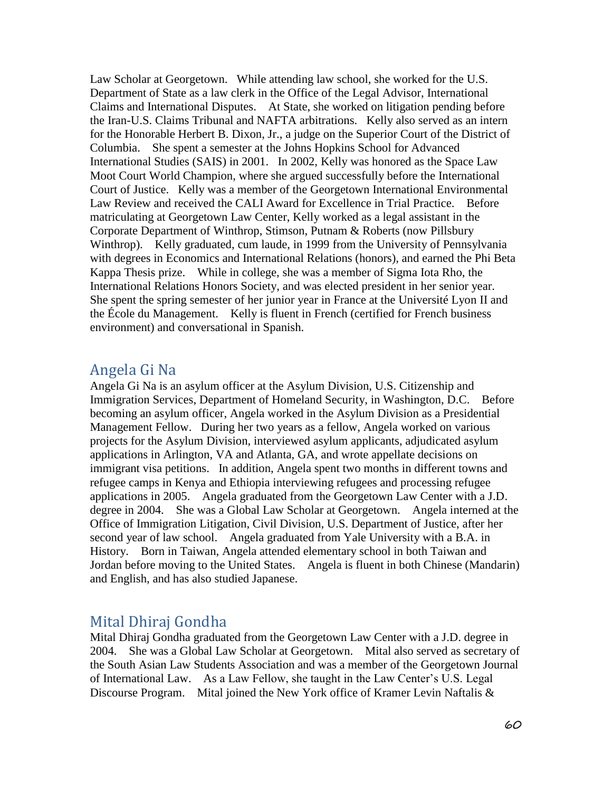Law Scholar at Georgetown. While attending law school, she worked for the U.S. Department of State as a law clerk in the Office of the Legal Advisor, International Claims and International Disputes. At State, she worked on litigation pending before the Iran-U.S. Claims Tribunal and NAFTA arbitrations. Kelly also served as an intern for the Honorable Herbert B. Dixon, Jr., a judge on the Superior Court of the District of Columbia. She spent a semester at the Johns Hopkins School for Advanced International Studies (SAIS) in 2001. In 2002, Kelly was honored as the Space Law Moot Court World Champion, where she argued successfully before the International Court of Justice. Kelly was a member of the Georgetown International Environmental Law Review and received the CALI Award for Excellence in Trial Practice. Before matriculating at Georgetown Law Center, Kelly worked as a legal assistant in the Corporate Department of Winthrop, Stimson, Putnam & Roberts (now Pillsbury Winthrop). Kelly graduated, cum laude, in 1999 from the University of Pennsylvania with degrees in Economics and International Relations (honors), and earned the Phi Beta Kappa Thesis prize. While in college, she was a member of Sigma Iota Rho, the International Relations Honors Society, and was elected president in her senior year. She spent the spring semester of her junior year in France at the Université Lyon II and the École du Management. Kelly is fluent in French (certified for French business environment) and conversational in Spanish.

### Angela Gi Na

Angela Gi Na is an asylum officer at the Asylum Division, U.S. Citizenship and Immigration Services, Department of Homeland Security, in Washington, D.C. Before becoming an asylum officer, Angela worked in the Asylum Division as a Presidential Management Fellow. During her two years as a fellow, Angela worked on various projects for the Asylum Division, interviewed asylum applicants, adjudicated asylum applications in Arlington, VA and Atlanta, GA, and wrote appellate decisions on immigrant visa petitions. In addition, Angela spent two months in different towns and refugee camps in Kenya and Ethiopia interviewing refugees and processing refugee applications in 2005. Angela graduated from the Georgetown Law Center with a J.D. degree in 2004. She was a Global Law Scholar at Georgetown. Angela interned at the Office of Immigration Litigation, Civil Division, U.S. Department of Justice, after her second year of law school. Angela graduated from Yale University with a B.A. in History. Born in Taiwan, Angela attended elementary school in both Taiwan and Jordan before moving to the United States. Angela is fluent in both Chinese (Mandarin) and English, and has also studied Japanese.

### Mital Dhiraj Gondha

Mital Dhiraj Gondha graduated from the Georgetown Law Center with a J.D. degree in 2004. She was a Global Law Scholar at Georgetown. Mital also served as secretary of the South Asian Law Students Association and was a member of the Georgetown Journal of International Law. As a Law Fellow, she taught in the Law Center's U.S. Legal Discourse Program. Mital joined the New York office of Kramer Levin Naftalis &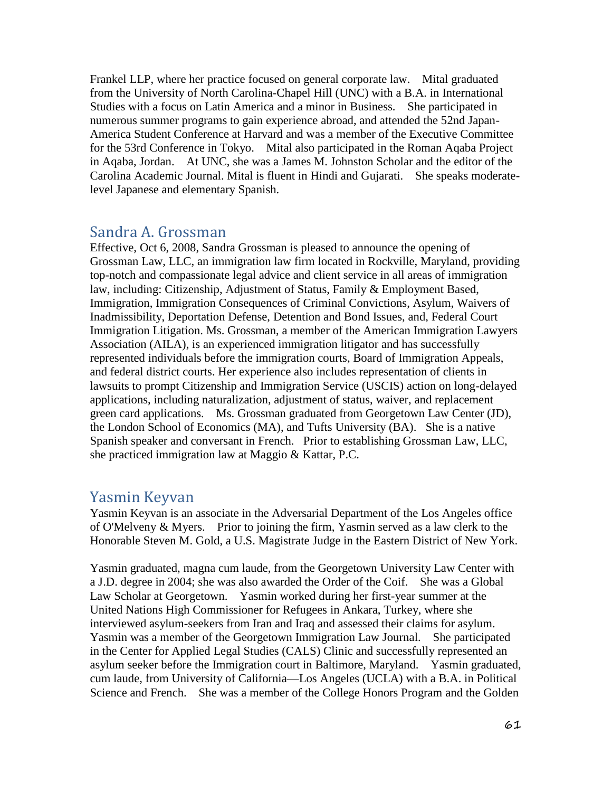Frankel LLP, where her practice focused on general corporate law. Mital graduated from the University of North Carolina-Chapel Hill (UNC) with a B.A. in International Studies with a focus on Latin America and a minor in Business. She participated in numerous summer programs to gain experience abroad, and attended the 52nd Japan-America Student Conference at Harvard and was a member of the Executive Committee for the 53rd Conference in Tokyo. Mital also participated in the Roman Aqaba Project in Aqaba, Jordan. At UNC, she was a James M. Johnston Scholar and the editor of the Carolina Academic Journal. Mital is fluent in Hindi and Gujarati. She speaks moderatelevel Japanese and elementary Spanish.

### Sandra A. Grossman

Effective, Oct 6, 2008, Sandra Grossman is pleased to announce the opening of Grossman Law, LLC, an immigration law firm located in Rockville, Maryland, providing top-notch and compassionate legal advice and client service in all areas of immigration law, including: Citizenship, Adjustment of Status, Family & Employment Based, Immigration, Immigration Consequences of Criminal Convictions, Asylum, Waivers of Inadmissibility, Deportation Defense, Detention and Bond Issues, and, Federal Court Immigration Litigation. Ms. Grossman, a member of the American Immigration Lawyers Association (AILA), is an experienced immigration litigator and has successfully represented individuals before the immigration courts, Board of Immigration Appeals, and federal district courts. Her experience also includes representation of clients in lawsuits to prompt Citizenship and Immigration Service (USCIS) action on long-delayed applications, including naturalization, adjustment of status, waiver, and replacement green card applications. Ms. Grossman graduated from Georgetown Law Center (JD), the London School of Economics (MA), and Tufts University (BA). She is a native Spanish speaker and conversant in French. Prior to establishing Grossman Law, LLC, she practiced immigration law at Maggio & Kattar, P.C.

### Yasmin Keyvan

Yasmin Keyvan is an associate in the Adversarial Department of the Los Angeles office of O'Melveny & Myers. Prior to joining the firm, Yasmin served as a law clerk to the Honorable Steven M. Gold, a U.S. Magistrate Judge in the Eastern District of New York.

Yasmin graduated, magna cum laude, from the Georgetown University Law Center with a J.D. degree in 2004; she was also awarded the Order of the Coif. She was a Global Law Scholar at Georgetown. Yasmin worked during her first-year summer at the United Nations High Commissioner for Refugees in Ankara, Turkey, where she interviewed asylum-seekers from Iran and Iraq and assessed their claims for asylum. Yasmin was a member of the Georgetown Immigration Law Journal. She participated in the Center for Applied Legal Studies (CALS) Clinic and successfully represented an asylum seeker before the Immigration court in Baltimore, Maryland. Yasmin graduated, cum laude, from University of California—Los Angeles (UCLA) with a B.A. in Political Science and French. She was a member of the College Honors Program and the Golden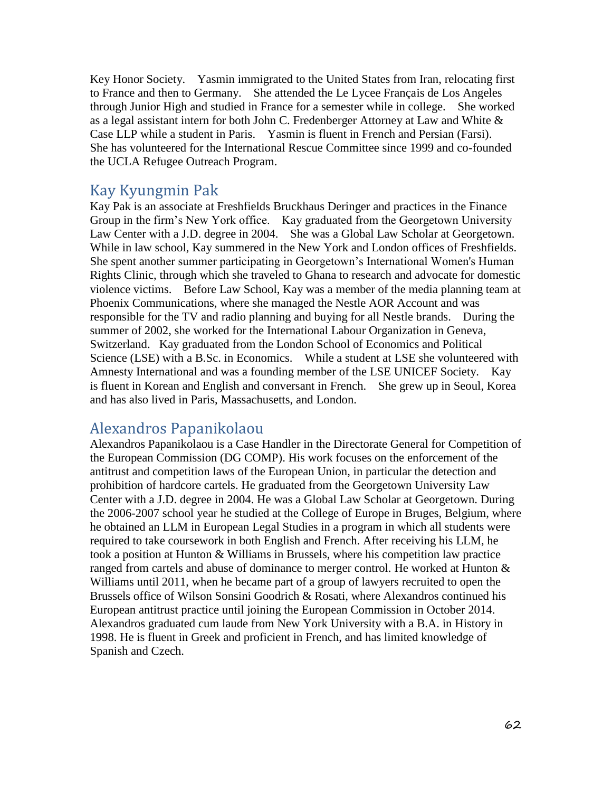Key Honor Society. Yasmin immigrated to the United States from Iran, relocating first to France and then to Germany. She attended the Le Lycee Français de Los Angeles through Junior High and studied in France for a semester while in college. She worked as a legal assistant intern for both John C. Fredenberger Attorney at Law and White & Case LLP while a student in Paris. Yasmin is fluent in French and Persian (Farsi). She has volunteered for the International Rescue Committee since 1999 and co-founded the UCLA Refugee Outreach Program.

### Kay Kyungmin Pak

Kay Pak is an associate at Freshfields Bruckhaus Deringer and practices in the Finance Group in the firm's New York office. Kay graduated from the Georgetown University Law Center with a J.D. degree in 2004. She was a Global Law Scholar at Georgetown. While in law school, Kay summered in the New York and London offices of Freshfields. She spent another summer participating in Georgetown's International Women's Human Rights Clinic, through which she traveled to Ghana to research and advocate for domestic violence victims. Before Law School, Kay was a member of the media planning team at Phoenix Communications, where she managed the Nestle AOR Account and was responsible for the TV and radio planning and buying for all Nestle brands. During the summer of 2002, she worked for the International Labour Organization in Geneva, Switzerland. Kay graduated from the London School of Economics and Political Science (LSE) with a B.Sc. in Economics. While a student at LSE she volunteered with Amnesty International and was a founding member of the LSE UNICEF Society. Kay is fluent in Korean and English and conversant in French. She grew up in Seoul, Korea and has also lived in Paris, Massachusetts, and London.

### Alexandros Papanikolaou

Alexandros Papanikolaou is a Case Handler in the Directorate General for Competition of the European Commission (DG COMP). His work focuses on the enforcement of the antitrust and competition laws of the European Union, in particular the detection and prohibition of hardcore cartels. He graduated from the Georgetown University Law Center with a J.D. degree in 2004. He was a Global Law Scholar at Georgetown. During the 2006-2007 school year he studied at the College of Europe in Bruges, Belgium, where he obtained an LLM in European Legal Studies in a program in which all students were required to take coursework in both English and French. After receiving his LLM, he took a position at Hunton & Williams in Brussels, where his competition law practice ranged from cartels and abuse of dominance to merger control. He worked at Hunton & Williams until 2011, when he became part of a group of lawyers recruited to open the Brussels office of Wilson Sonsini Goodrich & Rosati, where Alexandros continued his European antitrust practice until joining the European Commission in October 2014. Alexandros graduated cum laude from New York University with a B.A. in History in 1998. He is fluent in Greek and proficient in French, and has limited knowledge of Spanish and Czech.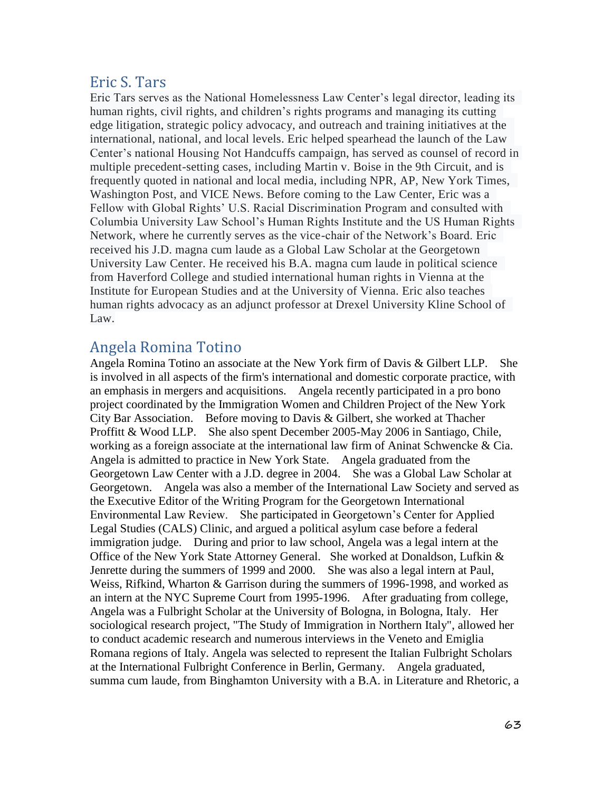## Eric S. Tars

Eric Tars serves as the National Homelessness Law Center's legal director, leading its human rights, civil rights, and children's rights programs and managing its cutting edge litigation, strategic policy advocacy, and outreach and training initiatives at the international, national, and local levels. Eric helped spearhead the launch of the Law Center's national Housing Not Handcuffs campaign, has served as counsel of record in multiple precedent-setting cases, including Martin v. Boise in the 9th Circuit, and is frequently quoted in national and local media, including NPR, AP, New York Times, Washington Post, and VICE News. Before coming to the Law Center, Eric was a Fellow with Global Rights' U.S. Racial Discrimination Program and consulted with Columbia University Law School's Human Rights Institute and the US Human Rights Network, where he currently serves as the vice-chair of the Network's Board. Eric received his J.D. magna cum laude as a Global Law Scholar at the Georgetown University Law Center. He received his B.A. magna cum laude in political science from Haverford College and studied international human rights in Vienna at the Institute for European Studies and at the University of Vienna. Eric also teaches human rights advocacy as an adjunct professor at Drexel University Kline School of Law.

## Angela Romina Totino

Angela Romina Totino an associate at the New York firm of Davis & Gilbert LLP. She is involved in all aspects of the firm's international and domestic corporate practice, with an emphasis in mergers and acquisitions. Angela recently participated in a pro bono project coordinated by the Immigration Women and Children Project of the New York City Bar Association. Before moving to Davis & Gilbert, she worked at Thacher Proffitt & Wood LLP. She also spent December 2005-May 2006 in Santiago, Chile, working as a foreign associate at the international law firm of Aninat Schwencke & Cia. Angela is admitted to practice in New York State. Angela graduated from the Georgetown Law Center with a J.D. degree in 2004. She was a Global Law Scholar at Georgetown. Angela was also a member of the International Law Society and served as the Executive Editor of the Writing Program for the Georgetown International Environmental Law Review. She participated in Georgetown's Center for Applied Legal Studies (CALS) Clinic, and argued a political asylum case before a federal immigration judge. During and prior to law school, Angela was a legal intern at the Office of the New York State Attorney General. She worked at Donaldson, Lufkin & Jenrette during the summers of 1999 and 2000. She was also a legal intern at Paul, Weiss, Rifkind, Wharton & Garrison during the summers of 1996-1998, and worked as an intern at the NYC Supreme Court from 1995-1996. After graduating from college, Angela was a Fulbright Scholar at the University of Bologna, in Bologna, Italy. Her sociological research project, "The Study of Immigration in Northern Italy", allowed her to conduct academic research and numerous interviews in the Veneto and Emiglia Romana regions of Italy. Angela was selected to represent the Italian Fulbright Scholars at the International Fulbright Conference in Berlin, Germany. Angela graduated, summa cum laude, from Binghamton University with a B.A. in Literature and Rhetoric, a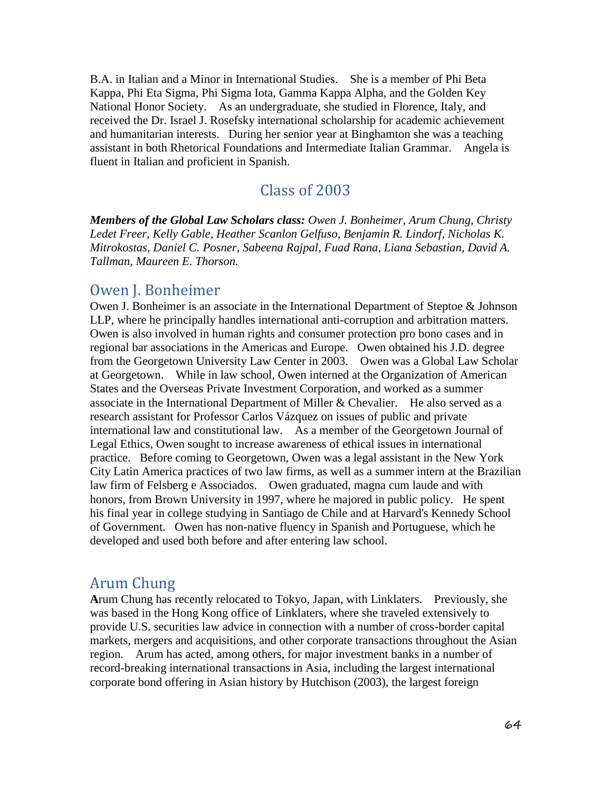B.A. in Italian and a Minor in International Studies. She is a member of Phi Beta Kappa, Phi Eta Sigma, Phi Sigma Iota, Gamma Kappa Alpha, and the Golden Key National Honor Society. As an undergraduate, she studied in Florence, Italy, and received the Dr. Israel J. Rosefsky international scholarship for academic achievement and humanitarian interests. During her senior year at Binghamton she was a teaching assistant in both Rhetorical Foundations and Intermediate Italian Grammar. Angela is fluent in Italian and proficient in Spanish.

### Class of 2003

*Members of the Global Law Scholars class: Owen J. Bonheimer, Arum Chung, Christy Ledet Freer, Kelly Gable, Heather Scanlon Gelfuso, Benjamin R. Lindorf, Nicholas K. Mitrokostas, Daniel C. Posner, Sabeena Rajpal, Fuad Rana, Liana Sebastian, David A. Tallman, Maureen E. Thorson.*

### Owen J. Bonheimer

Owen J. Bonheimer is an associate in the International Department of Steptoe & Johnson LLP, where he principally handles international anti-corruption and arbitration matters. Owen is also involved in human rights and consumer protection pro bono cases and in regional bar associations in the Americas and Europe. Owen obtained his J.D. degree from the Georgetown University Law Center in 2003. Owen was a Global Law Scholar at Georgetown. While in law school, Owen interned at the Organization of American States and the Overseas Private Investment Corporation, and worked as a summer associate in the International Department of Miller & Chevalier. He also served as a research assistant for Professor Carlos Vázquez on issues of public and private international law and constitutional law. As a member of the Georgetown Journal of Legal Ethics, Owen sought to increase awareness of ethical issues in international practice. Before coming to Georgetown, Owen was a legal assistant in the New York City Latin America practices of two law firms, as well as a summer intern at the Brazilian law firm of Felsberg e Associados. Owen graduated, magna cum laude and with honors, from Brown University in 1997, where he majored in public policy. He spent his final year in college studying in Santiago de Chile and at Harvard's Kennedy School of Government. Owen has non-native fluency in Spanish and Portuguese, which he developed and used both before and after entering law school.

### Arum Chung

**A**rum Chung has recently relocated to Tokyo, Japan, with Linklaters. Previously, she was based in the Hong Kong office of Linklaters, where she traveled extensively to provide U.S. securities law advice in connection with a number of cross-border capital markets, mergers and acquisitions, and other corporate transactions throughout the Asian region. Arum has acted, among others, for major investment banks in a number of record-breaking international transactions in Asia, including the largest international corporate bond offering in Asian history by Hutchison (2003), the largest foreign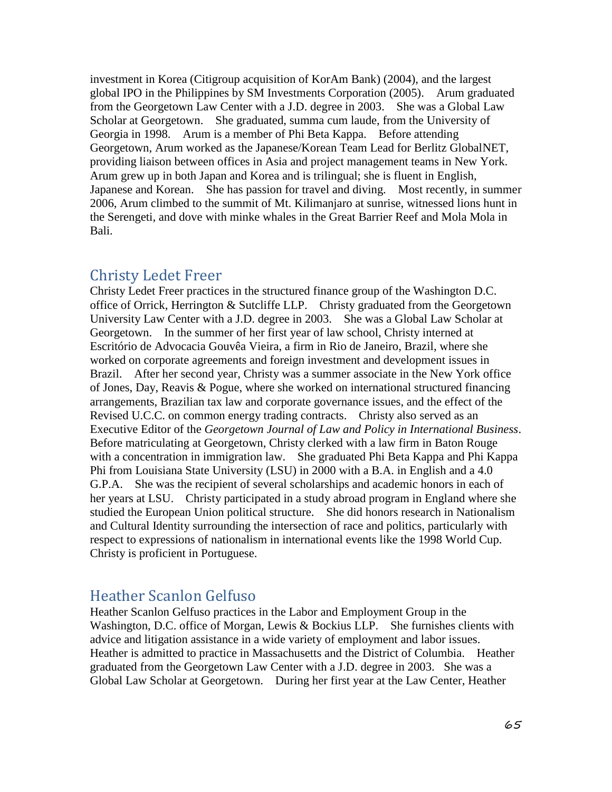investment in Korea (Citigroup acquisition of KorAm Bank) (2004), and the largest global IPO in the Philippines by SM Investments Corporation (2005). Arum graduated from the Georgetown Law Center with a J.D. degree in 2003. She was a Global Law Scholar at Georgetown. She graduated, summa cum laude, from the University of Georgia in 1998. Arum is a member of Phi Beta Kappa. Before attending Georgetown, Arum worked as the Japanese/Korean Team Lead for Berlitz GlobalNET, providing liaison between offices in Asia and project management teams in New York. Arum grew up in both Japan and Korea and is trilingual; she is fluent in English, Japanese and Korean. She has passion for travel and diving. Most recently, in summer 2006, Arum climbed to the summit of Mt. Kilimanjaro at sunrise, witnessed lions hunt in the Serengeti, and dove with minke whales in the Great Barrier Reef and Mola Mola in Bali.

### Christy Ledet Freer

Christy Ledet Freer practices in the structured finance group of the Washington D.C. office of Orrick, Herrington & Sutcliffe LLP. Christy graduated from the Georgetown University Law Center with a J.D. degree in 2003. She was a Global Law Scholar at Georgetown. In the summer of her first year of law school, Christy interned at Escritório de Advocacia Gouvêa Vieira, a firm in Rio de Janeiro, Brazil, where she worked on corporate agreements and foreign investment and development issues in Brazil. After her second year, Christy was a summer associate in the New York office of Jones, Day, Reavis & Pogue, where she worked on international structured financing arrangements, Brazilian tax law and corporate governance issues, and the effect of the Revised U.C.C. on common energy trading contracts. Christy also served as an Executive Editor of the *Georgetown Journal of Law and Policy in International Business*. Before matriculating at Georgetown, Christy clerked with a law firm in Baton Rouge with a concentration in immigration law. She graduated Phi Beta Kappa and Phi Kappa Phi from Louisiana State University (LSU) in 2000 with a B.A. in English and a 4.0 G.P.A. She was the recipient of several scholarships and academic honors in each of her years at LSU. Christy participated in a study abroad program in England where she studied the European Union political structure. She did honors research in Nationalism and Cultural Identity surrounding the intersection of race and politics, particularly with respect to expressions of nationalism in international events like the 1998 World Cup. Christy is proficient in Portuguese.

### Heather Scanlon Gelfuso

Heather Scanlon Gelfuso practices in the Labor and Employment Group in the Washington, D.C. office of Morgan, Lewis & Bockius LLP. She furnishes clients with advice and litigation assistance in a wide variety of employment and labor issues. Heather is admitted to practice in Massachusetts and the District of Columbia. Heather graduated from the Georgetown Law Center with a J.D. degree in 2003. She was a Global Law Scholar at Georgetown. During her first year at the Law Center, Heather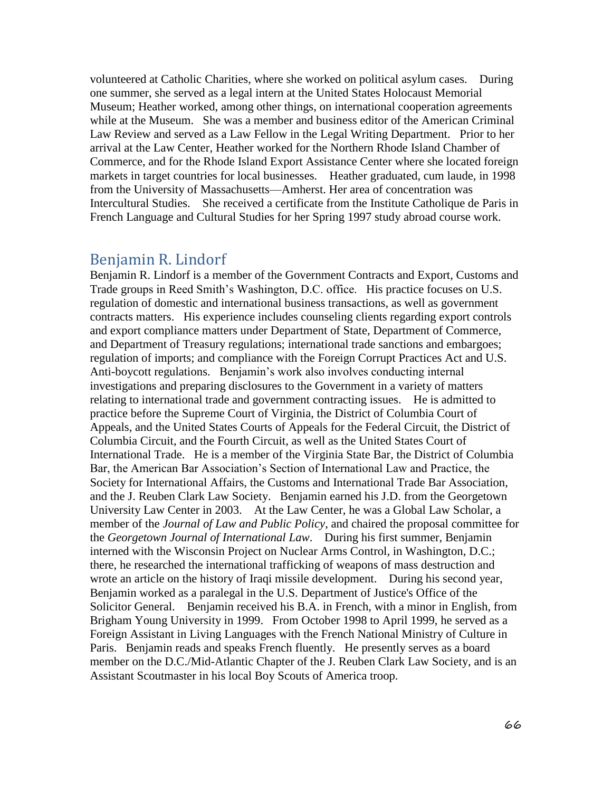volunteered at Catholic Charities, where she worked on political asylum cases. During one summer, she served as a legal intern at the United States Holocaust Memorial Museum; Heather worked, among other things, on international cooperation agreements while at the Museum. She was a member and business editor of the American Criminal Law Review and served as a Law Fellow in the Legal Writing Department. Prior to her arrival at the Law Center, Heather worked for the Northern Rhode Island Chamber of Commerce, and for the Rhode Island Export Assistance Center where she located foreign markets in target countries for local businesses. Heather graduated, cum laude, in 1998 from the University of Massachusetts—Amherst. Her area of concentration was Intercultural Studies. She received a certificate from the Institute Catholique de Paris in French Language and Cultural Studies for her Spring 1997 study abroad course work.

#### Benjamin R. Lindorf

Benjamin R. Lindorf is a member of the Government Contracts and Export, Customs and Trade groups in Reed Smith's Washington, D.C. office. His practice focuses on U.S. regulation of domestic and international business transactions, as well as government contracts matters. His experience includes counseling clients regarding export controls and export compliance matters under Department of State, Department of Commerce, and Department of Treasury regulations; international trade sanctions and embargoes; regulation of imports; and compliance with the Foreign Corrupt Practices Act and U.S. Anti-boycott regulations. Benjamin's work also involves conducting internal investigations and preparing disclosures to the Government in a variety of matters relating to international trade and government contracting issues. He is admitted to practice before the Supreme Court of Virginia, the District of Columbia Court of Appeals, and the United States Courts of Appeals for the Federal Circuit, the District of Columbia Circuit, and the Fourth Circuit, as well as the United States Court of International Trade. He is a member of the Virginia State Bar, the District of Columbia Bar, the American Bar Association's Section of International Law and Practice, the Society for International Affairs, the Customs and International Trade Bar Association, and the J. Reuben Clark Law Society. Benjamin earned his J.D. from the Georgetown University Law Center in 2003. At the Law Center, he was a Global Law Scholar, a member of the *Journal of Law and Public Policy*, and chaired the proposal committee for the *Georgetown Journal of International Law*. During his first summer, Benjamin interned with the Wisconsin Project on Nuclear Arms Control, in Washington, D.C.; there, he researched the international trafficking of weapons of mass destruction and wrote an article on the history of Iraqi missile development. During his second year, Benjamin worked as a paralegal in the U.S. Department of Justice's Office of the Solicitor General. Benjamin received his B.A. in French, with a minor in English, from Brigham Young University in 1999. From October 1998 to April 1999, he served as a Foreign Assistant in Living Languages with the French National Ministry of Culture in Paris. Benjamin reads and speaks French fluently. He presently serves as a board member on the D.C./Mid-Atlantic Chapter of the J. Reuben Clark Law Society, and is an Assistant Scoutmaster in his local Boy Scouts of America troop.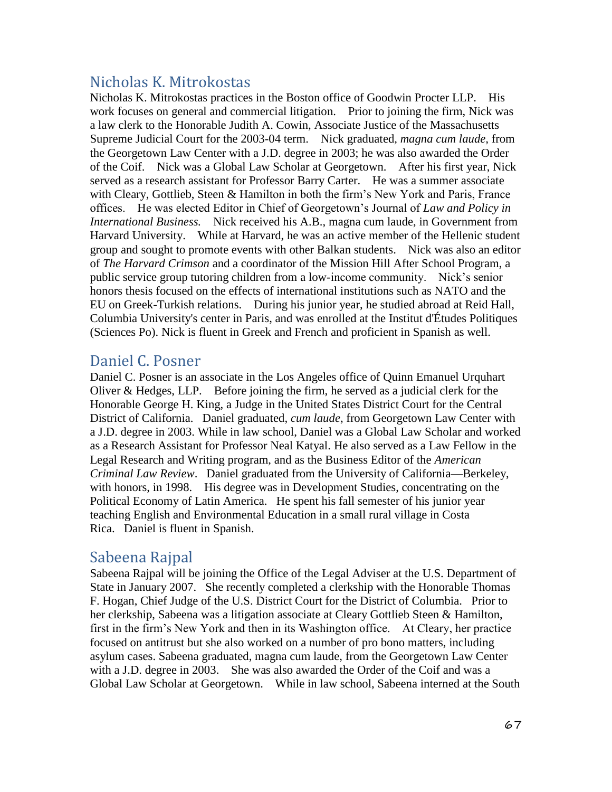# Nicholas K. Mitrokostas

Nicholas K. Mitrokostas practices in the Boston office of Goodwin Procter LLP. His work focuses on general and commercial litigation. Prior to joining the firm, Nick was a law clerk to the Honorable Judith A. Cowin, Associate Justice of the Massachusetts Supreme Judicial Court for the 2003-04 term. Nick graduated*, magna cum laude,* from the Georgetown Law Center with a J.D. degree in 2003; he was also awarded the Order of the Coif. Nick was a Global Law Scholar at Georgetown. After his first year, Nick served as a research assistant for Professor Barry Carter. He was a summer associate with Cleary, Gottlieb, Steen & Hamilton in both the firm's New York and Paris, France offices. He was elected Editor in Chief of Georgetown's Journal of *Law and Policy in International Business.* Nick received his A.B., magna cum laude, in Government from Harvard University. While at Harvard, he was an active member of the Hellenic student group and sought to promote events with other Balkan students. Nick was also an editor of *The Harvard Crimson* and a coordinator of the Mission Hill After School Program, a public service group tutoring children from a low-income community. Nick's senior honors thesis focused on the effects of international institutions such as NATO and the EU on Greek-Turkish relations. During his junior year, he studied abroad at Reid Hall, Columbia University's center in Paris, and was enrolled at the Institut d'Études Politiques (Sciences Po). Nick is fluent in Greek and French and proficient in Spanish as well.

## Daniel C. Posner

Daniel C. Posner is an associate in the Los Angeles office of Quinn Emanuel Urquhart Oliver & Hedges, LLP. Before joining the firm, he served as a judicial clerk for the Honorable George H. King, a Judge in the United States District Court for the Central District of California. Daniel graduated, *cum laude*, from Georgetown Law Center with a J.D. degree in 2003. While in law school, Daniel was a Global Law Scholar and worked as a Research Assistant for Professor Neal Katyal. He also served as a Law Fellow in the Legal Research and Writing program, and as the Business Editor of the *American Criminal Law Review*. Daniel graduated from the University of California—Berkeley, with honors, in 1998. His degree was in Development Studies, concentrating on the Political Economy of Latin America. He spent his fall semester of his junior year teaching English and Environmental Education in a small rural village in Costa Rica. Daniel is fluent in Spanish.

## Sabeena Rajpal

Sabeena Rajpal will be joining the Office of the Legal Adviser at the U.S. Department of State in January 2007. She recently completed a clerkship with the Honorable Thomas F. Hogan, Chief Judge of the U.S. District Court for the District of Columbia. Prior to her clerkship, Sabeena was a litigation associate at Cleary Gottlieb Steen & Hamilton, first in the firm's New York and then in its Washington office. At Cleary, her practice focused on antitrust but she also worked on a number of pro bono matters, including asylum cases. Sabeena graduated, magna cum laude, from the Georgetown Law Center with a J.D. degree in 2003. She was also awarded the Order of the Coif and was a Global Law Scholar at Georgetown. While in law school, Sabeena interned at the South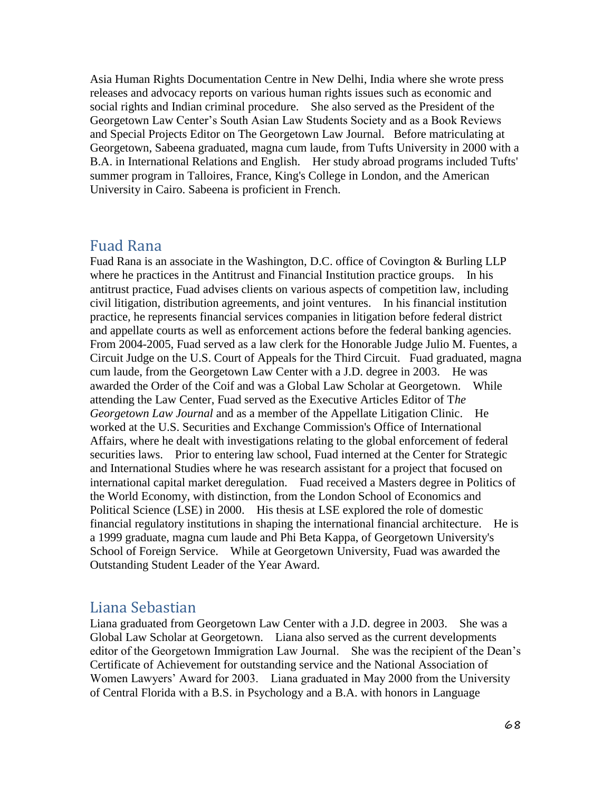Asia Human Rights Documentation Centre in New Delhi, India where she wrote press releases and advocacy reports on various human rights issues such as economic and social rights and Indian criminal procedure. She also served as the President of the Georgetown Law Center's South Asian Law Students Society and as a Book Reviews and Special Projects Editor on The Georgetown Law Journal. Before matriculating at Georgetown, Sabeena graduated, magna cum laude, from Tufts University in 2000 with a B.A. in International Relations and English. Her study abroad programs included Tufts' summer program in Talloires, France, King's College in London, and the American University in Cairo. Sabeena is proficient in French.

#### Fuad Rana

Fuad Rana is an associate in the Washington, D.C. office of Covington & Burling LLP where he practices in the Antitrust and Financial Institution practice groups. In his antitrust practice, Fuad advises clients on various aspects of competition law, including civil litigation, distribution agreements, and joint ventures. In his financial institution practice, he represents financial services companies in litigation before federal district and appellate courts as well as enforcement actions before the federal banking agencies. From 2004-2005, Fuad served as a law clerk for the Honorable Judge Julio M. Fuentes, a Circuit Judge on the U.S. Court of Appeals for the Third Circuit. Fuad graduated, magna cum laude, from the Georgetown Law Center with a J.D. degree in 2003. He was awarded the Order of the Coif and was a Global Law Scholar at Georgetown. While attending the Law Center, Fuad served as the Executive Articles Editor of T*he Georgetown Law Journal* and as a member of the Appellate Litigation Clinic. He worked at the U.S. Securities and Exchange Commission's Office of International Affairs, where he dealt with investigations relating to the global enforcement of federal securities laws. Prior to entering law school, Fuad interned at the Center for Strategic and International Studies where he was research assistant for a project that focused on international capital market deregulation. Fuad received a Masters degree in Politics of the World Economy, with distinction, from the London School of Economics and Political Science (LSE) in 2000. His thesis at LSE explored the role of domestic financial regulatory institutions in shaping the international financial architecture. He is a 1999 graduate, magna cum laude and Phi Beta Kappa, of Georgetown University's School of Foreign Service. While at Georgetown University, Fuad was awarded the Outstanding Student Leader of the Year Award.

#### Liana Sebastian

Liana graduated from Georgetown Law Center with a J.D. degree in 2003. She was a Global Law Scholar at Georgetown. Liana also served as the current developments editor of the Georgetown Immigration Law Journal. She was the recipient of the Dean's Certificate of Achievement for outstanding service and the National Association of Women Lawyers' Award for 2003. Liana graduated in May 2000 from the University of Central Florida with a B.S. in Psychology and a B.A. with honors in Language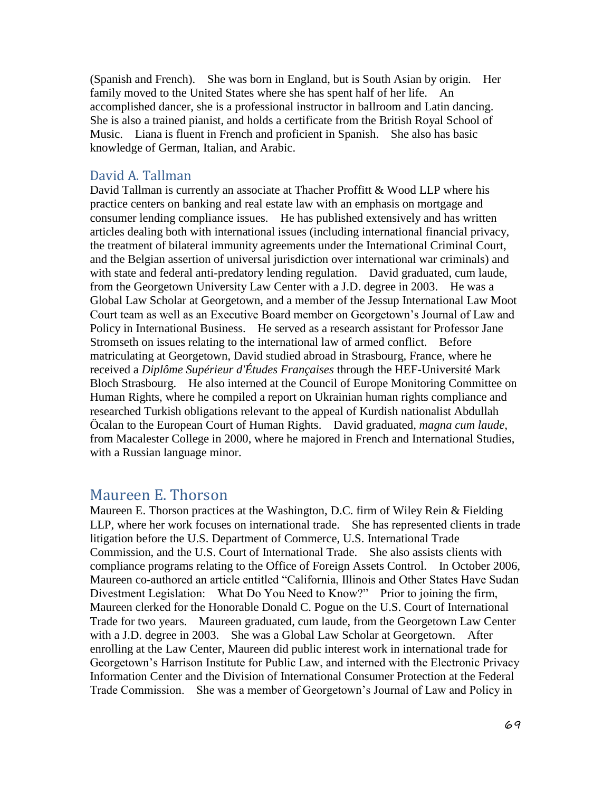(Spanish and French). She was born in England, but is South Asian by origin. Her family moved to the United States where she has spent half of her life. An accomplished dancer, she is a professional instructor in ballroom and Latin dancing. She is also a trained pianist, and holds a certificate from the British Royal School of Music. Liana is fluent in French and proficient in Spanish. She also has basic knowledge of German, Italian, and Arabic.

#### David A. Tallman

David Tallman is currently an associate at Thacher Proffitt & Wood LLP where his practice centers on banking and real estate law with an emphasis on mortgage and consumer lending compliance issues. He has published extensively and has written articles dealing both with international issues (including international financial privacy, the treatment of bilateral immunity agreements under the International Criminal Court, and the Belgian assertion of universal jurisdiction over international war criminals) and with state and federal anti-predatory lending regulation. David graduated, cum laude, from the Georgetown University Law Center with a J.D. degree in 2003. He was a Global Law Scholar at Georgetown, and a member of the Jessup International Law Moot Court team as well as an Executive Board member on Georgetown's Journal of Law and Policy in International Business. He served as a research assistant for Professor Jane Stromseth on issues relating to the international law of armed conflict. Before matriculating at Georgetown, David studied abroad in Strasbourg, France, where he received a *Diplôme Supérieur d'Études Françaises* through the HEF-Université Mark Bloch Strasbourg. He also interned at the Council of Europe Monitoring Committee on Human Rights, where he compiled a report on Ukrainian human rights compliance and researched Turkish obligations relevant to the appeal of Kurdish nationalist Abdullah Öcalan to the European Court of Human Rights. David graduated, *magna cum laude,* from Macalester College in 2000, where he majored in French and International Studies, with a Russian language minor.

#### Maureen E. Thorson

Maureen E. Thorson practices at the Washington, D.C. firm of Wiley Rein & Fielding LLP, where her work focuses on international trade. She has represented clients in trade litigation before the U.S. Department of Commerce, U.S. International Trade Commission, and the U.S. Court of International Trade. She also assists clients with compliance programs relating to the Office of Foreign Assets Control. In October 2006, Maureen co-authored an article entitled "California, Illinois and Other States Have Sudan Divestment Legislation: What Do You Need to Know?" Prior to joining the firm, Maureen clerked for the Honorable Donald C. Pogue on the U.S. Court of International Trade for two years. Maureen graduated, cum laude, from the Georgetown Law Center with a J.D. degree in 2003. She was a Global Law Scholar at Georgetown. After enrolling at the Law Center, Maureen did public interest work in international trade for Georgetown's Harrison Institute for Public Law, and interned with the Electronic Privacy Information Center and the Division of International Consumer Protection at the Federal Trade Commission. She was a member of Georgetown's Journal of Law and Policy in